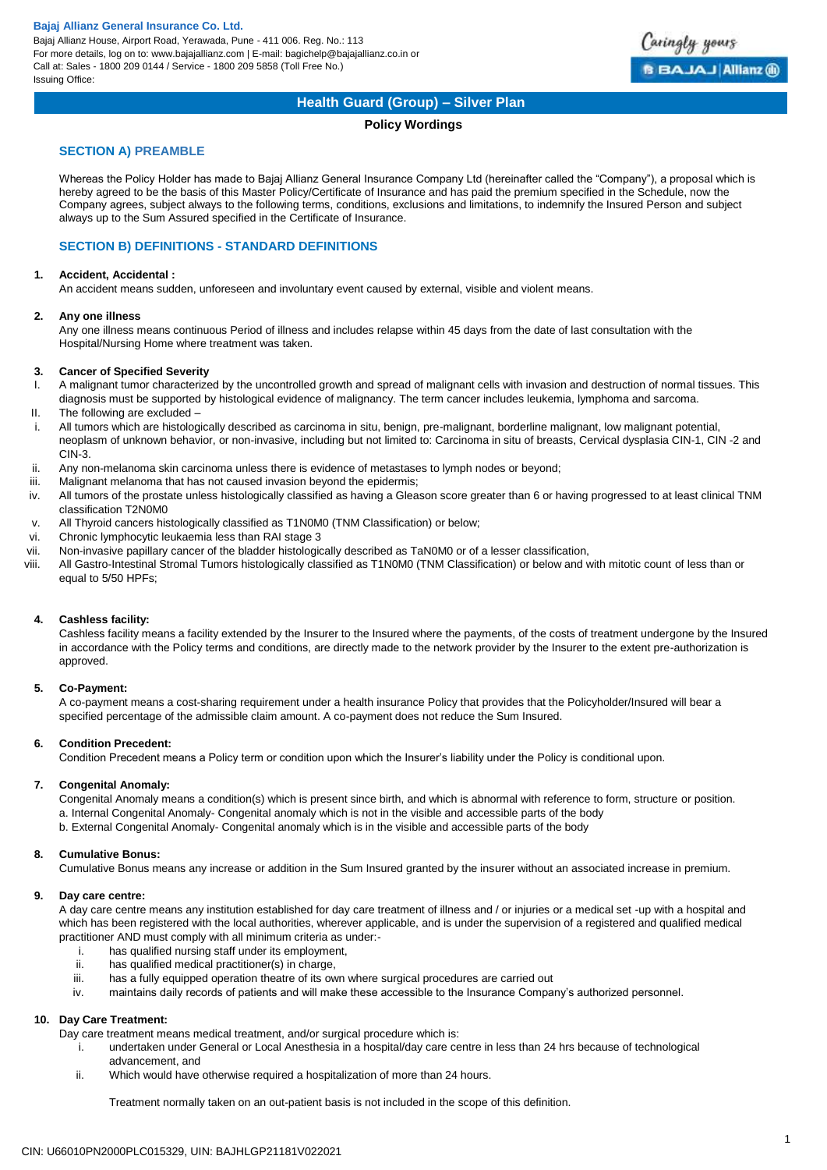Bajaj Allianz House, Airport Road, Yerawada, Pune - 411 006. Reg. No.: 113 For more details, log on to: www.bajajallianz.com | E-mail: bagichelp@bajajallianz.co.in or Call at: Sales - 1800 209 0144 / Service - 1800 209 5858 (Toll Free No.) Issuing Office:



# **Health Guard (Group) – Silver Plan**

### **Policy Wordings**

### **SECTION A) PREAMBLE**

Whereas the Policy Holder has made to Bajaj Allianz General Insurance Company Ltd (hereinafter called the "Company"), a proposal which is hereby agreed to be the basis of this Master Policy/Certificate of Insurance and has paid the premium specified in the Schedule, now the Company agrees, subject always to the following terms, conditions, exclusions and limitations, to indemnify the Insured Person and subject always up to the Sum Assured specified in the Certificate of Insurance.

### **SECTION B) DEFINITIONS - STANDARD DEFINITIONS**

### **1. Accident, Accidental :**

An accident means sudden, unforeseen and involuntary event caused by external, visible and violent means.

### **2. Any one illness**

Any one illness means continuous Period of illness and includes relapse within 45 days from the date of last consultation with the Hospital/Nursing Home where treatment was taken.

### **3. Cancer of Specified Severity**

- I. A malignant tumor characterized by the uncontrolled growth and spread of malignant cells with invasion and destruction of normal tissues. This diagnosis must be supported by histological evidence of malignancy. The term cancer includes leukemia, lymphoma and sarcoma.
- II. The following are excluded –
- i. All tumors which are histologically described as carcinoma in situ, benign, pre-malignant, borderline malignant, low malignant potential, neoplasm of unknown behavior, or non-invasive, including but not limited to: Carcinoma in situ of breasts, Cervical dysplasia CIN-1, CIN -2 and CIN-3.
- ii. Any non-melanoma skin carcinoma unless there is evidence of metastases to lymph nodes or beyond;
- iii. Malignant melanoma that has not caused invasion beyond the epidermis;
- iv. All tumors of the prostate unless histologically classified as having a Gleason score greater than 6 or having progressed to at least clinical TNM classification T2N0M0
- v. All Thyroid cancers histologically classified as T1N0M0 (TNM Classification) or below;
- vi. Chronic lymphocytic leukaemia less than RAI stage 3
- vii. Non-invasive papillary cancer of the bladder histologically described as TaN0M0 or of a lesser classification,
- viii. All Gastro-Intestinal Stromal Tumors histologically classified as T1N0M0 (TNM Classification) or below and with mitotic count of less than or equal to 5/50 HPFs;

### **4. Cashless facility:**

Cashless facility means a facility extended by the Insurer to the Insured where the payments, of the costs of treatment undergone by the Insured in accordance with the Policy terms and conditions, are directly made to the network provider by the Insurer to the extent pre-authorization is approved.

### **5. Co-Payment:**

A co-payment means a cost-sharing requirement under a health insurance Policy that provides that the Policyholder/Insured will bear a specified percentage of the admissible claim amount. A co-payment does not reduce the Sum Insured.

### **6. Condition Precedent:**

Condition Precedent means a Policy term or condition upon which the Insurer's liability under the Policy is conditional upon.

### **7. Congenital Anomaly:**

Congenital Anomaly means a condition(s) which is present since birth, and which is abnormal with reference to form, structure or position. a. Internal Congenital Anomaly- Congenital anomaly which is not in the visible and accessible parts of the body b. External Congenital Anomaly- Congenital anomaly which is in the visible and accessible parts of the body

### **8. Cumulative Bonus:**

Cumulative Bonus means any increase or addition in the Sum Insured granted by the insurer without an associated increase in premium.

### **9. Day care centre:**

A day care centre means any institution established for day care treatment of illness and / or injuries or a medical set -up with a hospital and which has been registered with the local authorities, wherever applicable, and is under the supervision of a registered and qualified medical practitioner AND must comply with all minimum criteria as under:-

- i. has qualified nursing staff under its employment,<br>ii. has qualified medical practitioner(s) in charge.
- has qualified medical practitioner(s) in charge,
- iii. has a fully equipped operation theatre of its own where surgical procedures are carried out
- iv. maintains daily records of patients and will make these accessible to the Insurance Company's authorized personnel.

### **10. Day Care Treatment:**

Day care treatment means medical treatment, and/or surgical procedure which is:

- i. undertaken under General or Local Anesthesia in a hospital/day care centre in less than 24 hrs because of technological advancement, and
- ii. Which would have otherwise required a hospitalization of more than 24 hours.

Treatment normally taken on an out-patient basis is not included in the scope of this definition.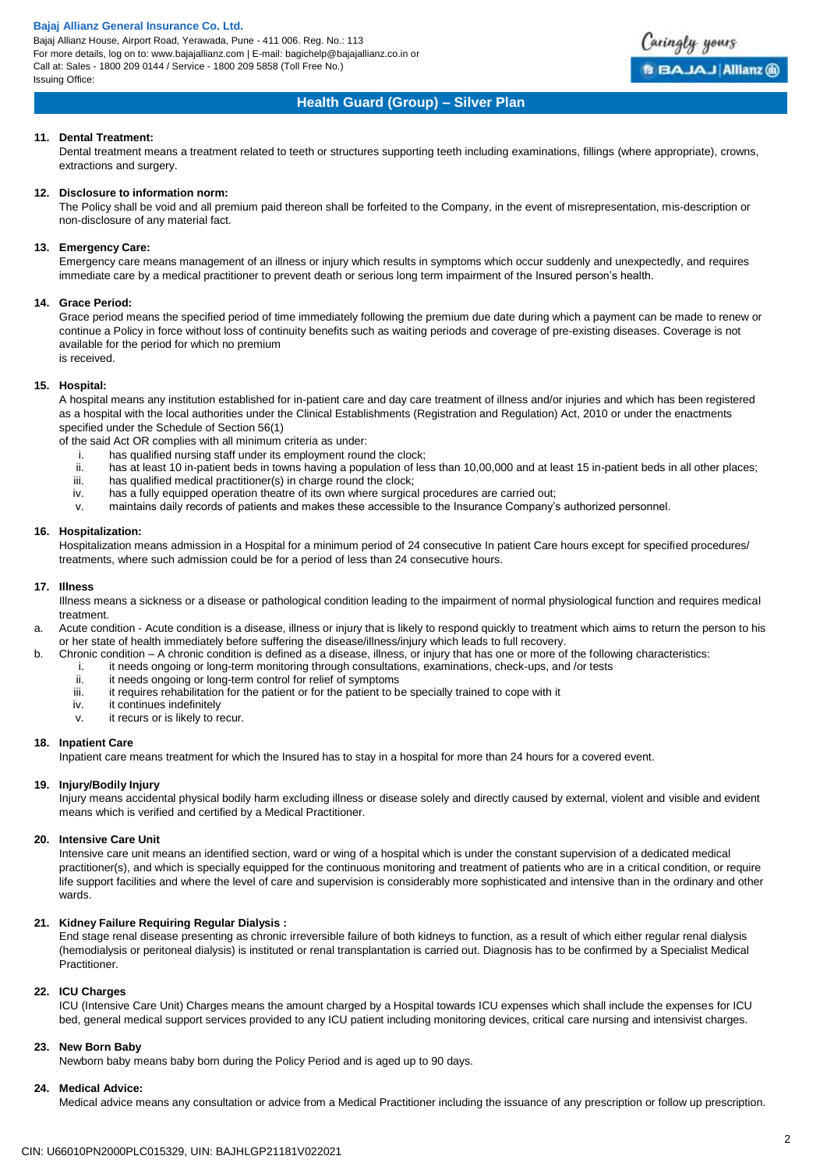Bajaj Allianz House, Airport Road, Yerawada, Pune - 411 006. Reg. No.: 113 For more details, log on to: www.bajajallianz.com | E-mail: bagichelp@bajajallianz.co.in or Call at: Sales - 1800 209 0144 / Service - 1800 209 5858 (Toll Free No.) Issuing Office:



# **Health Guard (Group) – Silver Plan**

### **11. Dental Treatment:**

Dental treatment means a treatment related to teeth or structures supporting teeth including examinations, fillings (where appropriate), crowns, extractions and surgery.

#### **12. Disclosure to information norm:**

The Policy shall be void and all premium paid thereon shall be forfeited to the Company, in the event of misrepresentation, mis-description or non-disclosure of any material fact.

#### **13. Emergency Care:**

Emergency care means management of an illness or injury which results in symptoms which occur suddenly and unexpectedly, and requires immediate care by a medical practitioner to prevent death or serious long term impairment of the Insured person's health.

#### **14. Grace Period:**

Grace period means the specified period of time immediately following the premium due date during which a payment can be made to renew or continue a Policy in force without loss of continuity benefits such as waiting periods and coverage of pre-existing diseases. Coverage is not available for the period for which no premium is received.

### **15. Hospital:**

A hospital means any institution established for in-patient care and day care treatment of illness and/or injuries and which has been registered as a hospital with the local authorities under the Clinical Establishments (Registration and Regulation) Act, 2010 or under the enactments specified under the Schedule of Section 56(1)

of the said Act OR complies with all minimum criteria as under:

- i. has qualified nursing staff under its employment round the clock;
- ii. has at least 10 in-patient beds in towns having a population of less than 10,00,000 and at least 15 in-patient beds in all other places;<br>iii. has qualified medical practitioner(s) in charge round the clock:
- has qualified medical practitioner(s) in charge round the clock;
- iv. has a fully equipped operation theatre of its own where surgical procedures are carried out;
- v. maintains daily records of patients and makes these accessible to the Insurance Company's authorized personnel.

### **16. Hospitalization:**

Hospitalization means admission in a Hospital for a minimum period of 24 consecutive In patient Care hours except for specified procedures/ treatments, where such admission could be for a period of less than 24 consecutive hours.

### **17. Illness**

Illness means a sickness or a disease or pathological condition leading to the impairment of normal physiological function and requires medical treatment.

a. Acute condition - Acute condition is a disease, illness or injury that is likely to respond quickly to treatment which aims to return the person to his or her state of health immediately before suffering the disease/illness/injury which leads to full recovery.

- b. Chronic condition A chronic condition is defined as a disease, illness, or injury that has one or more of the following characteristics:
	- i. it needs ongoing or long-term monitoring through consultations, examinations, check-ups, and /or tests<br>ii. it needs ongoing or long-term control for relief of symptoms
	- ii. it needs ongoing or long-term control for relief of symptoms<br>iii. it requires rehabilitation for the patient or for the patient to b
	- it requires rehabilitation for the patient or for the patient to be specially trained to cope with it
	- iv. it continues indefinitely
	- v. it recurs or is likely to recur.

#### **18. Inpatient Care**

Inpatient care means treatment for which the Insured has to stay in a hospital for more than 24 hours for a covered event.

### **19. Injury/Bodily Injury**

Injury means accidental physical bodily harm excluding illness or disease solely and directly caused by external, violent and visible and evident means which is verified and certified by a Medical Practitioner.

#### **20. Intensive Care Unit**

Intensive care unit means an identified section, ward or wing of a hospital which is under the constant supervision of a dedicated medical practitioner(s), and which is specially equipped for the continuous monitoring and treatment of patients who are in a critical condition, or require life support facilities and where the level of care and supervision is considerably more sophisticated and intensive than in the ordinary and other wards.

### **21. Kidney Failure Requiring Regular Dialysis :**

End stage renal disease presenting as chronic irreversible failure of both kidneys to function, as a result of which either regular renal dialysis (hemodialysis or peritoneal dialysis) is instituted or renal transplantation is carried out. Diagnosis has to be confirmed by a Specialist Medical Practitioner.

### **22. ICU Charges**

ICU (Intensive Care Unit) Charges means the amount charged by a Hospital towards ICU expenses which shall include the expenses for ICU bed, general medical support services provided to any ICU patient including monitoring devices, critical care nursing and intensivist charges.

#### **23. New Born Baby**

Newborn baby means baby born during the Policy Period and is aged up to 90 days.

### **24. Medical Advice:**

Medical advice means any consultation or advice from a Medical Practitioner including the issuance of any prescription or follow up prescription.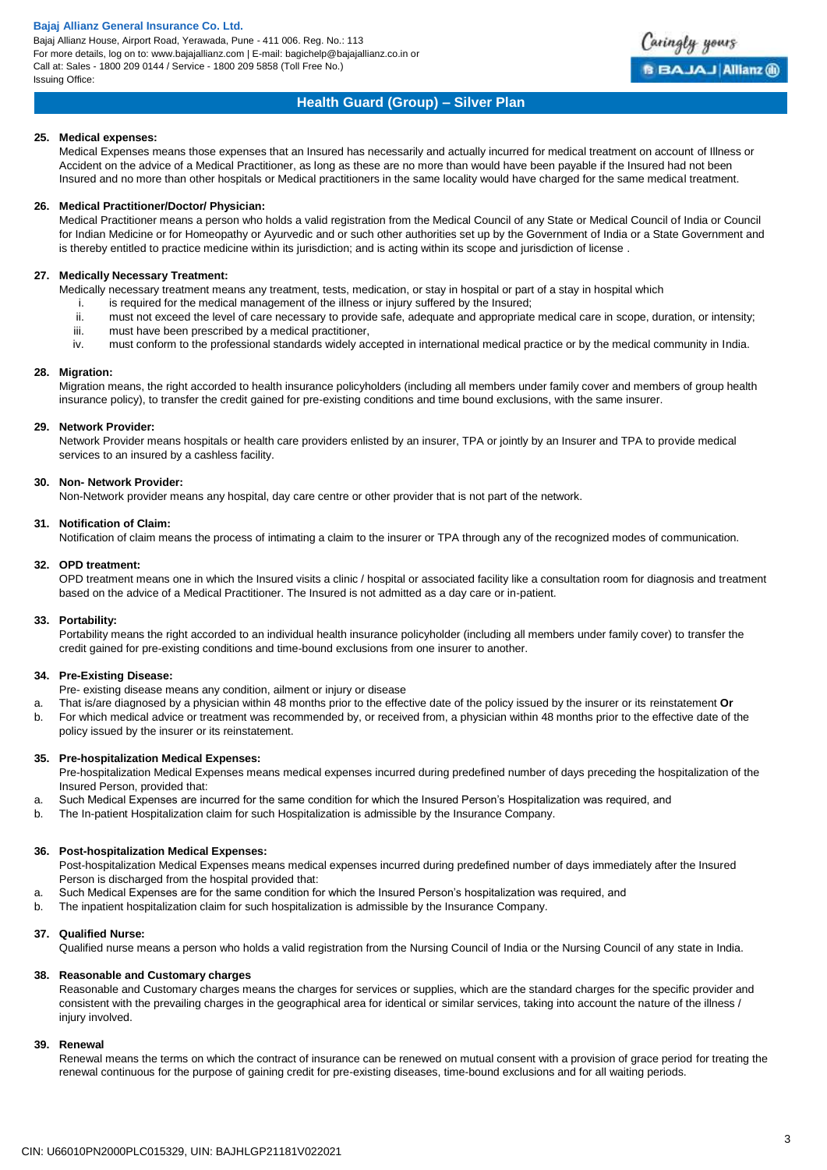Bajaj Allianz House, Airport Road, Yerawada, Pune - 411 006. Reg. No.: 113 For more details, log on to: www.bajajallianz.com | E-mail: bagichelp@bajajallianz.co.in or Call at: Sales - 1800 209 0144 / Service - 1800 209 5858 (Toll Free No.) Issuing Office:



## **Health Guard (Group) – Silver Plan**

### **25. Medical expenses:**

Medical Expenses means those expenses that an Insured has necessarily and actually incurred for medical treatment on account of Illness or Accident on the advice of a Medical Practitioner, as long as these are no more than would have been payable if the Insured had not been Insured and no more than other hospitals or Medical practitioners in the same locality would have charged for the same medical treatment.

### **26. Medical Practitioner/Doctor/ Physician:**

Medical Practitioner means a person who holds a valid registration from the Medical Council of any State or Medical Council of India or Council for Indian Medicine or for Homeopathy or Ayurvedic and or such other authorities set up by the Government of India or a State Government and is thereby entitled to practice medicine within its jurisdiction; and is acting within its scope and jurisdiction of license .

### **27. Medically Necessary Treatment:**

Medically necessary treatment means any treatment, tests, medication, or stay in hospital or part of a stay in hospital which

- i. is required for the medical management of the illness or injury suffered by the Insured;
- ii. must not exceed the level of care necessary to provide safe, adequate and appropriate medical care in scope, duration, or intensity;
- iii. must have been prescribed by a medical practitioner,
- iv. must conform to the professional standards widely accepted in international medical practice or by the medical community in India.

### **28. Migration:**

Migration means, the right accorded to health insurance policyholders (including all members under family cover and members of group health insurance policy), to transfer the credit gained for pre-existing conditions and time bound exclusions, with the same insurer.

### **29. Network Provider:**

Network Provider means hospitals or health care providers enlisted by an insurer, TPA or jointly by an Insurer and TPA to provide medical services to an insured by a cashless facility.

### **30. Non- Network Provider:**

Non-Network provider means any hospital, day care centre or other provider that is not part of the network.

### **31. Notification of Claim:**

Notification of claim means the process of intimating a claim to the insurer or TPA through any of the recognized modes of communication.

### **32. OPD treatment:**

OPD treatment means one in which the Insured visits a clinic / hospital or associated facility like a consultation room for diagnosis and treatment based on the advice of a Medical Practitioner. The Insured is not admitted as a day care or in-patient.

### **33. Portability:**

Portability means the right accorded to an individual health insurance policyholder (including all members under family cover) to transfer the credit gained for pre-existing conditions and time-bound exclusions from one insurer to another.

### **34. Pre-Existing Disease:**

Pre- existing disease means any condition, ailment or injury or disease

- a. That is/are diagnosed by a physician within 48 months prior to the effective date of the policy issued by the insurer or its reinstatement **Or**
- b. For which medical advice or treatment was recommended by, or received from, a physician within 48 months prior to the effective date of the policy issued by the insurer or its reinstatement.

### **35. Pre-hospitalization Medical Expenses:**

Pre-hospitalization Medical Expenses means medical expenses incurred during predefined number of days preceding the hospitalization of the Insured Person, provided that:

- a. Such Medical Expenses are incurred for the same condition for which the Insured Person's Hospitalization was required, and
- b. The In-patient Hospitalization claim for such Hospitalization is admissible by the Insurance Company.

### **36. Post-hospitalization Medical Expenses:**

Post-hospitalization Medical Expenses means medical expenses incurred during predefined number of days immediately after the Insured Person is discharged from the hospital provided that:

- a. Such Medical Expenses are for the same condition for which the Insured Person's hospitalization was required, and
- b. The inpatient hospitalization claim for such hospitalization is admissible by the Insurance Company.

### **37. Qualified Nurse:**

Qualified nurse means a person who holds a valid registration from the Nursing Council of India or the Nursing Council of any state in India.

#### **38. Reasonable and Customary charges**

Reasonable and Customary charges means the charges for services or supplies, which are the standard charges for the specific provider and consistent with the prevailing charges in the geographical area for identical or similar services, taking into account the nature of the illness / injury involved.

### **39. Renewal**

Renewal means the terms on which the contract of insurance can be renewed on mutual consent with a provision of grace period for treating the renewal continuous for the purpose of gaining credit for pre-existing diseases, time-bound exclusions and for all waiting periods.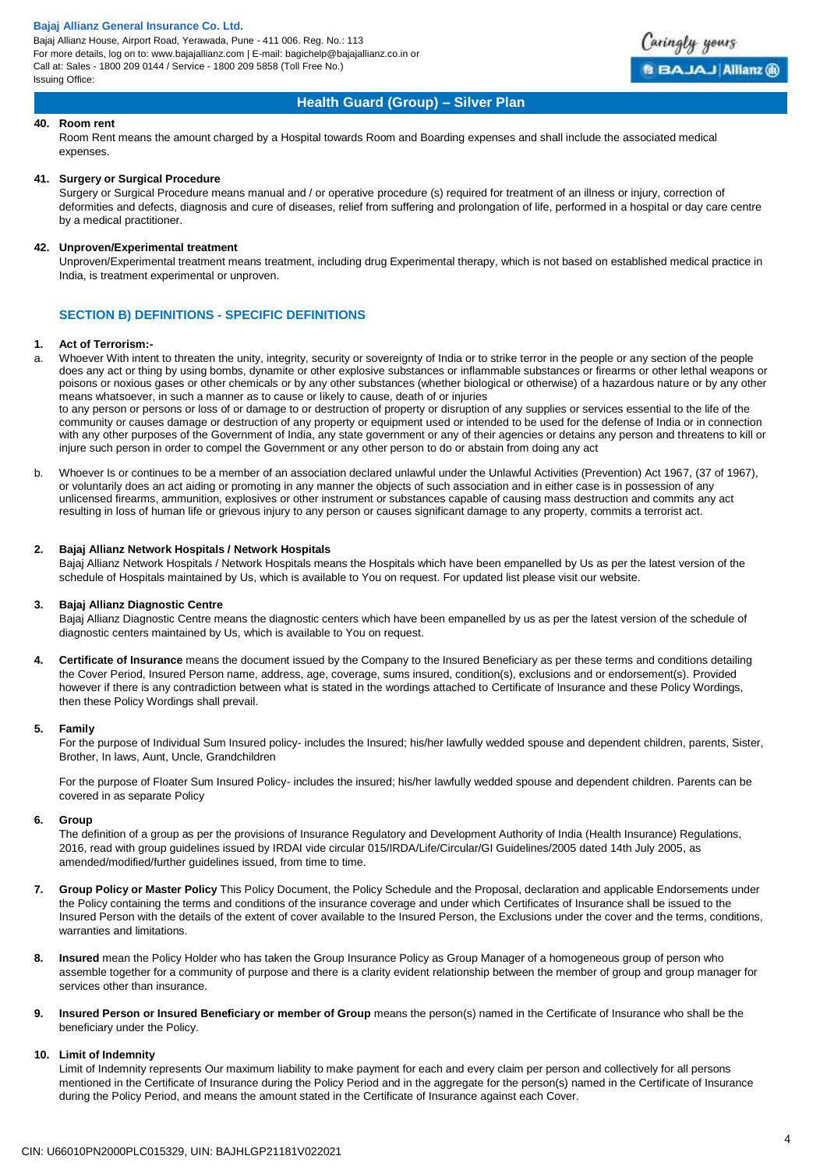Bajaj Allianz House, Airport Road, Yerawada, Pune - 411 006. Reg. No.: 113 For more details, log on to: www.bajajallianz.com | E-mail: bagichelp@bajajallianz.co.in or Call at: Sales - 1800 209 0144 / Service - 1800 209 5858 (Toll Free No.) Issuing Office:



### **Health Guard (Group) – Silver Plan**

### **40. Room rent**

Room Rent means the amount charged by a Hospital towards Room and Boarding expenses and shall include the associated medical expenses.

### **41. Surgery or Surgical Procedure**

Surgery or Surgical Procedure means manual and / or operative procedure (s) required for treatment of an illness or injury, correction of deformities and defects, diagnosis and cure of diseases, relief from suffering and prolongation of life, performed in a hospital or day care centre by a medical practitioner.

#### **42. Unproven/Experimental treatment**

Unproven/Experimental treatment means treatment, including drug Experimental therapy, which is not based on established medical practice in India, is treatment experimental or unproven.

### **SECTION B) DEFINITIONS - SPECIFIC DEFINITIONS**

### **1. Act of Terrorism:-**

a. Whoever With intent to threaten the unity, integrity, security or sovereignty of India or to strike terror in the people or any section of the people does any act or thing by using bombs, dynamite or other explosive substances or inflammable substances or firearms or other lethal weapons or poisons or noxious gases or other chemicals or by any other substances (whether biological or otherwise) of a hazardous nature or by any other means whatsoever, in such a manner as to cause or likely to cause, death of or injuries

to any person or persons or loss of or damage to or destruction of property or disruption of any supplies or services essential to the life of the community or causes damage or destruction of any property or equipment used or intended to be used for the defense of India or in connection with any other purposes of the Government of India, any state government or any of their agencies or detains any person and threatens to kill or injure such person in order to compel the Government or any other person to do or abstain from doing any act

b. Whoever Is or continues to be a member of an association declared unlawful under the Unlawful Activities (Prevention) Act 1967, (37 of 1967), or voluntarily does an act aiding or promoting in any manner the objects of such association and in either case is in possession of any unlicensed firearms, ammunition, explosives or other instrument or substances capable of causing mass destruction and commits any act resulting in loss of human life or grievous injury to any person or causes significant damage to any property, commits a terrorist act.

#### **2. Bajaj Allianz Network Hospitals / Network Hospitals**

Bajaj Allianz Network Hospitals / Network Hospitals means the Hospitals which have been empanelled by Us as per the latest version of the schedule of Hospitals maintained by Us, which is available to You on request. For updated list please visit our website.

#### **3. Bajaj Allianz Diagnostic Centre**

Bajaj Allianz Diagnostic Centre means the diagnostic centers which have been empanelled by us as per the latest version of the schedule of diagnostic centers maintained by Us, which is available to You on request.

**4. Certificate of Insurance** means the document issued by the Company to the Insured Beneficiary as per these terms and conditions detailing the Cover Period, Insured Person name, address, age, coverage, sums insured, condition(s), exclusions and or endorsement(s). Provided however if there is any contradiction between what is stated in the wordings attached to Certificate of Insurance and these Policy Wordings, then these Policy Wordings shall prevail.

#### **5. Family**

For the purpose of Individual Sum Insured policy- includes the Insured; his/her lawfully wedded spouse and dependent children, parents, Sister, Brother, In laws, Aunt, Uncle, Grandchildren

For the purpose of Floater Sum Insured Policy- includes the insured; his/her lawfully wedded spouse and dependent children. Parents can be covered in as separate Policy

#### **6. Group**

The definition of a group as per the provisions of Insurance Regulatory and Development Authority of India (Health Insurance) Regulations, 2016, read with group guidelines issued by IRDAI vide circular 015/IRDA/Life/Circular/GI Guidelines/2005 dated 14th July 2005, as amended/modified/further guidelines issued, from time to time.

- **7. Group Policy or Master Policy** This Policy Document, the Policy Schedule and the Proposal, declaration and applicable Endorsements under the Policy containing the terms and conditions of the insurance coverage and under which Certificates of Insurance shall be issued to the Insured Person with the details of the extent of cover available to the Insured Person, the Exclusions under the cover and the terms, conditions, warranties and limitations.
- **8. Insured** mean the Policy Holder who has taken the Group Insurance Policy as Group Manager of a homogeneous group of person who assemble together for a community of purpose and there is a clarity evident relationship between the member of group and group manager for services other than insurance.
- **9. Insured Person or Insured Beneficiary or member of Group** means the person(s) named in the Certificate of Insurance who shall be the beneficiary under the Policy.

### **10. Limit of Indemnity**

Limit of Indemnity represents Our maximum liability to make payment for each and every claim per person and collectively for all persons mentioned in the Certificate of Insurance during the Policy Period and in the aggregate for the person(s) named in the Certificate of Insurance during the Policy Period, and means the amount stated in the Certificate of Insurance against each Cover.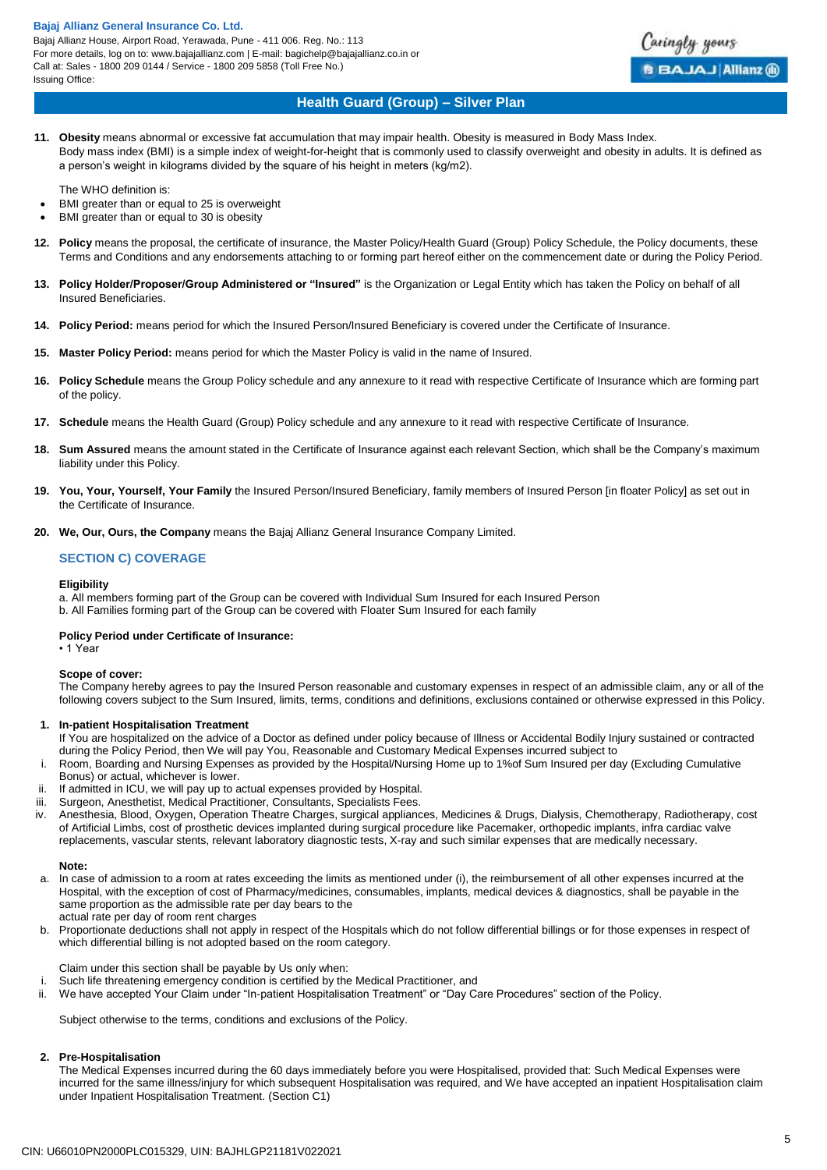Bajaj Allianz House, Airport Road, Yerawada, Pune - 411 006. Reg. No.: 113 For more details, log on to: www.bajajallianz.com | E-mail: bagichelp@bajajallianz.co.in or Call at: Sales - 1800 209 0144 / Service - 1800 209 5858 (Toll Free No.) Issuing Office:



### **Health Guard (Group) – Silver Plan**

**11. Obesity** means abnormal or excessive fat accumulation that may impair health. Obesity is measured in Body Mass Index. Body mass index (BMI) is a simple index of weight-for-height that is commonly used to classify overweight and obesity in adults. It is defined as a person's weight in kilograms divided by the square of his height in meters (kg/m2).

The WHO definition is:

- BMI greater than or equal to 25 is overweight
- BMI greater than or equal to 30 is obesity
- **12. Policy** means the proposal, the certificate of insurance, the Master Policy/Health Guard (Group) Policy Schedule, the Policy documents, these Terms and Conditions and any endorsements attaching to or forming part hereof either on the commencement date or during the Policy Period.
- **13. Policy Holder/Proposer/Group Administered or "Insured"** is the Organization or Legal Entity which has taken the Policy on behalf of all Insured Beneficiaries.
- **14. Policy Period:** means period for which the Insured Person/Insured Beneficiary is covered under the Certificate of Insurance.
- **15. Master Policy Period:** means period for which the Master Policy is valid in the name of Insured.
- **16. Policy Schedule** means the Group Policy schedule and any annexure to it read with respective Certificate of Insurance which are forming part of the policy.
- **17. Schedule** means the Health Guard (Group) Policy schedule and any annexure to it read with respective Certificate of Insurance.
- **18. Sum Assured** means the amount stated in the Certificate of Insurance against each relevant Section, which shall be the Company's maximum liability under this Policy.
- **19. You, Your, Yourself, Your Family** the Insured Person/Insured Beneficiary, family members of Insured Person [in floater Policy] as set out in the Certificate of Insurance.
- **20. We, Our, Ours, the Company** means the Bajaj Allianz General Insurance Company Limited.

### **SECTION C) COVERAGE**

### **Eligibility**

a. All members forming part of the Group can be covered with Individual Sum Insured for each Insured Person b. All Families forming part of the Group can be covered with Floater Sum Insured for each family

#### **Policy Period under Certificate of Insurance:**

• 1 Year

#### **Scope of cover:**

The Company hereby agrees to pay the Insured Person reasonable and customary expenses in respect of an admissible claim, any or all of the following covers subject to the Sum Insured, limits, terms, conditions and definitions, exclusions contained or otherwise expressed in this Policy.

#### **1. In-patient Hospitalisation Treatment**

- If You are hospitalized on the advice of a Doctor as defined under policy because of Illness or Accidental Bodily Injury sustained or contracted during the Policy Period, then We will pay You, Reasonable and Customary Medical Expenses incurred subject to
- i. Room, Boarding and Nursing Expenses as provided by the Hospital/Nursing Home up to 1%of Sum Insured per day (Excluding Cumulative Bonus) or actual, whichever is lower.
- ii. If admitted in ICU, we will pay up to actual expenses provided by Hospital.
- iii. Surgeon, Anesthetist, Medical Practitioner, Consultants, Specialists Fees.
- iv. Anesthesia, Blood, Oxygen, Operation Theatre Charges, surgical appliances, Medicines & Drugs, Dialysis, Chemotherapy, Radiotherapy, cost of Artificial Limbs, cost of prosthetic devices implanted during surgical procedure like Pacemaker, orthopedic implants, infra cardiac valve replacements, vascular stents, relevant laboratory diagnostic tests, X-ray and such similar expenses that are medically necessary.

#### **Note:**

- a. In case of admission to a room at rates exceeding the limits as mentioned under (i), the reimbursement of all other expenses incurred at the Hospital, with the exception of cost of Pharmacy/medicines, consumables, implants, medical devices & diagnostics, shall be payable in the same proportion as the admissible rate per day bears to the actual rate per day of room rent charges
- b. Proportionate deductions shall not apply in respect of the Hospitals which do not follow differential billings or for those expenses in respect of which differential billing is not adopted based on the room category.

### Claim under this section shall be payable by Us only when:

- i. Such life threatening emergency condition is certified by the Medical Practitioner, and
- ii. We have accepted Your Claim under "In-patient Hospitalisation Treatment" or "Day Care Procedures" section of the Policy.

Subject otherwise to the terms, conditions and exclusions of the Policy.

### **2. Pre-Hospitalisation**

The Medical Expenses incurred during the 60 days immediately before you were Hospitalised, provided that: Such Medical Expenses were incurred for the same illness/injury for which subsequent Hospitalisation was required, and We have accepted an inpatient Hospitalisation claim under Inpatient Hospitalisation Treatment. (Section C1)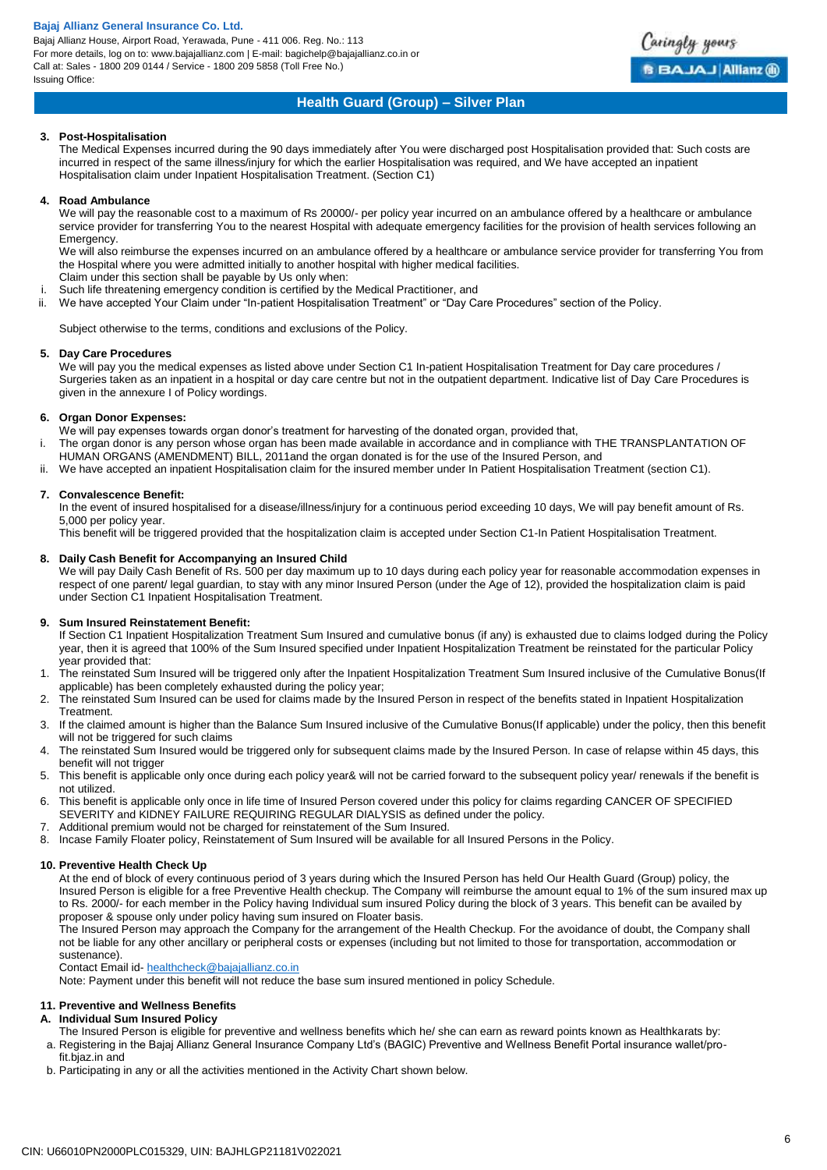Bajaj Allianz House, Airport Road, Yerawada, Pune - 411 006. Reg. No.: 113 For more details, log on to: www.bajajallianz.com | E-mail: bagichelp@bajajallianz.co.in or Call at: Sales - 1800 209 0144 / Service - 1800 209 5858 (Toll Free No.) Issuing Office:



# **Health Guard (Group) – Silver Plan**

### **3. Post-Hospitalisation**

The Medical Expenses incurred during the 90 days immediately after You were discharged post Hospitalisation provided that: Such costs are incurred in respect of the same illness/injury for which the earlier Hospitalisation was required, and We have accepted an inpatient Hospitalisation claim under Inpatient Hospitalisation Treatment. (Section C1)

### **4. Road Ambulance**

We will pay the reasonable cost to a maximum of Rs 20000/- per policy year incurred on an ambulance offered by a healthcare or ambulance service provider for transferring You to the nearest Hospital with adequate emergency facilities for the provision of health services following an Emergency.

We will also reimburse the expenses incurred on an ambulance offered by a healthcare or ambulance service provider for transferring You from the Hospital where you were admitted initially to another hospital with higher medical facilities. Claim under this section shall be payable by Us only when:

- i. Such life threatening emergency condition is certified by the Medical Practitioner, and
- ii. We have accepted Your Claim under "In-patient Hospitalisation Treatment" or "Day Care Procedures" section of the Policy.

Subject otherwise to the terms, conditions and exclusions of the Policy.

### **5. Day Care Procedures**

We will pay you the medical expenses as listed above under Section C1 In-patient Hospitalisation Treatment for Day care procedures / Surgeries taken as an inpatient in a hospital or day care centre but not in the outpatient department. Indicative list of Day Care Procedures is given in the annexure I of Policy wordings.

### **6. Organ Donor Expenses:**

We will pay expenses towards organ donor's treatment for harvesting of the donated organ, provided that,

- The organ donor is any person whose organ has been made available in accordance and in compliance with THE TRANSPLANTATION OF HUMAN ORGANS (AMENDMENT) BILL, 2011and the organ donated is for the use of the Insured Person, and
- ii. We have accepted an inpatient Hospitalisation claim for the insured member under In Patient Hospitalisation Treatment (section C1).

### **7. Convalescence Benefit:**

In the event of insured hospitalised for a disease/illness/injury for a continuous period exceeding 10 days, We will pay benefit amount of Rs. 5,000 per policy year.

This benefit will be triggered provided that the hospitalization claim is accepted under Section C1-In Patient Hospitalisation Treatment.

### **8. Daily Cash Benefit for Accompanying an Insured Child**

We will pay Daily Cash Benefit of Rs. 500 per day maximum up to 10 days during each policy year for reasonable accommodation expenses in respect of one parent/ legal guardian, to stay with any minor Insured Person (under the Age of 12), provided the hospitalization claim is paid under Section C1 Inpatient Hospitalisation Treatment.

### **9. Sum Insured Reinstatement Benefit:**

If Section C1 Inpatient Hospitalization Treatment Sum Insured and cumulative bonus (if any) is exhausted due to claims lodged during the Policy year, then it is agreed that 100% of the Sum Insured specified under Inpatient Hospitalization Treatment be reinstated for the particular Policy year provided that:

- 1. The reinstated Sum Insured will be triggered only after the Inpatient Hospitalization Treatment Sum Insured inclusive of the Cumulative Bonus(If applicable) has been completely exhausted during the policy year;
- 2. The reinstated Sum Insured can be used for claims made by the Insured Person in respect of the benefits stated in Inpatient Hospitalization **Treatment**
- 3. If the claimed amount is higher than the Balance Sum Insured inclusive of the Cumulative Bonus(If applicable) under the policy, then this benefit will not be triggered for such claims
- 4. The reinstated Sum Insured would be triggered only for subsequent claims made by the Insured Person. In case of relapse within 45 days, this benefit will not trigger
- 5. This benefit is applicable only once during each policy year& will not be carried forward to the subsequent policy year/ renewals if the benefit is not utilized.
- 6. This benefit is applicable only once in life time of Insured Person covered under this policy for claims regarding CANCER OF SPECIFIED SEVERITY and KIDNEY FAILURE REQUIRING REGULAR DIALYSIS as defined under the policy.
- 7. Additional premium would not be charged for reinstatement of the Sum Insured.
- 8. Incase Family Floater policy, Reinstatement of Sum Insured will be available for all Insured Persons in the Policy.

### **10. Preventive Health Check Up**

At the end of block of every continuous period of 3 years during which the Insured Person has held Our Health Guard (Group) policy, the Insured Person is eligible for a free Preventive Health checkup. The Company will reimburse the amount equal to 1% of the sum insured max up to Rs. 2000/- for each member in the Policy having Individual sum insured Policy during the block of 3 years. This benefit can be availed by proposer & spouse only under policy having sum insured on Floater basis.

The Insured Person may approach the Company for the arrangement of the Health Checkup. For the avoidance of doubt, the Company shall not be liable for any other ancillary or peripheral costs or expenses (including but not limited to those for transportation, accommodation or sustenance).

Contact Email id[- healthcheck@bajajallianz.co.in](mailto:healthcheck@bajajallianz.co.in)

Note: Payment under this benefit will not reduce the base sum insured mentioned in policy Schedule.

### **11. Preventive and Wellness Benefits**

#### **A. Individual Sum Insured Policy**

- The Insured Person is eligible for preventive and wellness benefits which he/ she can earn as reward points known as Healthkarats by: a. Registering in the Bajaj Allianz General Insurance Company Ltd's (BAGIC) Preventive and Wellness Benefit Portal insurance wallet/pro-
- fit.bjaz.in and b. Participating in any or all the activities mentioned in the Activity Chart shown below.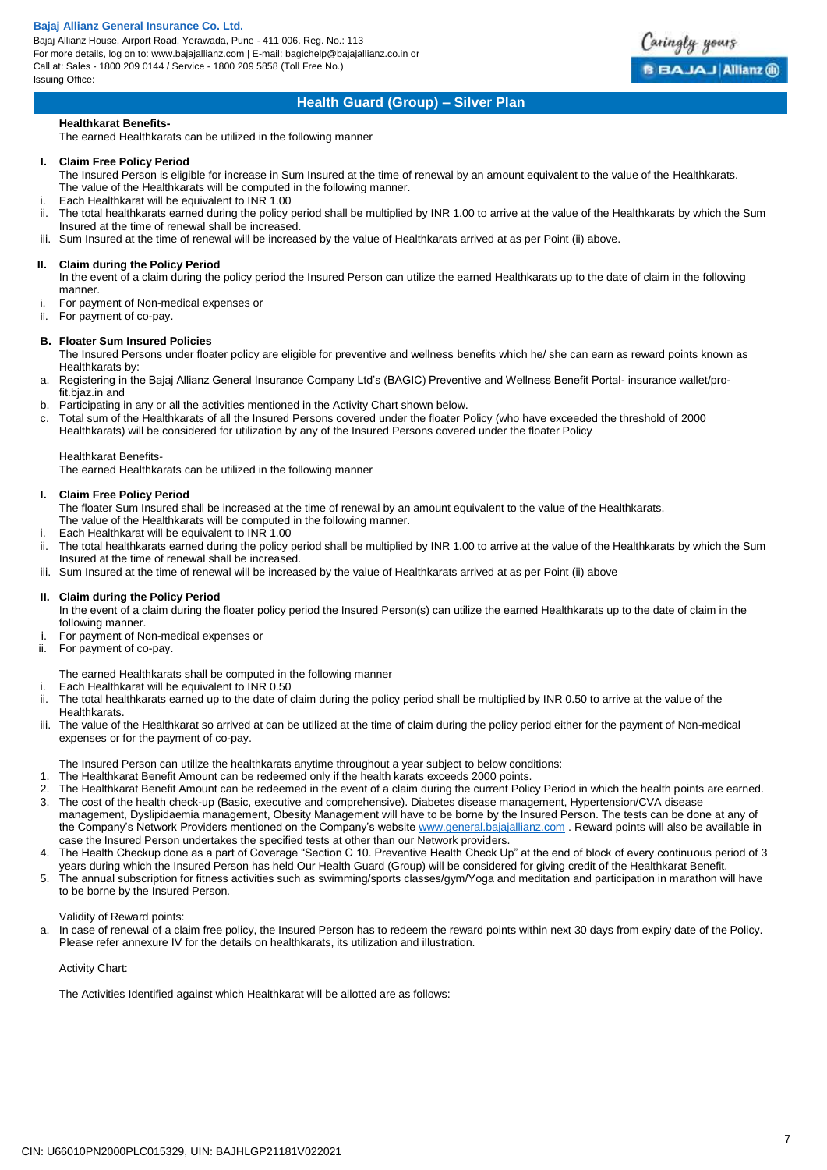Bajaj Allianz House, Airport Road, Yerawada, Pune - 411 006. Reg. No.: 113 For more details, log on to: www.bajajallianz.com | E-mail: bagichelp@bajajallianz.co.in or Call at: Sales - 1800 209 0144 / Service - 1800 209 5858 (Toll Free No.) Issuing Office:



### **Health Guard (Group) – Silver Plan**

### **Healthkarat Benefits-**

The earned Healthkarats can be utilized in the following manner

#### **I. Claim Free Policy Period**

The Insured Person is eligible for increase in Sum Insured at the time of renewal by an amount equivalent to the value of the Healthkarats. The value of the Healthkarats will be computed in the following manner.

- i. Each Healthkarat will be equivalent to INR 1.00
- The total healthkarats earned during the policy period shall be multiplied by INR 1.00 to arrive at the value of the Healthkarats by which the Sum Insured at the time of renewal shall be increased.
- iii. Sum Insured at the time of renewal will be increased by the value of Healthkarats arrived at as per Point (ii) above.

### **II. Claim during the Policy Period**

In the event of a claim during the policy period the Insured Person can utilize the earned Healthkarats up to the date of claim in the following manner.

- For payment of Non-medical expenses or
- ii. For payment of co-pay.

### **B. Floater Sum Insured Policies**

The Insured Persons under floater policy are eligible for preventive and wellness benefits which he/ she can earn as reward points known as Healthkarats by:

a. Registering in the Bajaj Allianz General Insurance Company Ltd's (BAGIC) Preventive and Wellness Benefit Portal- insurance wallet/profit.bjaz.in and

- b. Participating in any or all the activities mentioned in the Activity Chart shown below.
- c. Total sum of the Healthkarats of all the Insured Persons covered under the floater Policy (who have exceeded the threshold of 2000 Healthkarats) will be considered for utilization by any of the Insured Persons covered under the floater Policy

#### Healthkarat Benefits-

The earned Healthkarats can be utilized in the following manner

### **I. Claim Free Policy Period**

The floater Sum Insured shall be increased at the time of renewal by an amount equivalent to the value of the Healthkarats. The value of the Healthkarats will be computed in the following manner.

- Each Healthkarat will be equivalent to INR 1.00
- ii. The total healthkarats earned during the policy period shall be multiplied by INR 1.00 to arrive at the value of the Healthkarats by which the Sum Insured at the time of renewal shall be increased.
- iii. Sum Insured at the time of renewal will be increased by the value of Healthkarats arrived at as per Point (ii) above

#### **II. Claim during the Policy Period**

In the event of a claim during the floater policy period the Insured Person(s) can utilize the earned Healthkarats up to the date of claim in the following manner.

- For payment of Non-medical expenses or
- ii. For payment of co-pay.
- The earned Healthkarats shall be computed in the following manner
- Each Healthkarat will be equivalent to INR 0.50
- ii. The total healthkarats earned up to the date of claim during the policy period shall be multiplied by INR 0.50 to arrive at the value of the Healthkarats.
- iii. The value of the Healthkarat so arrived at can be utilized at the time of claim during the policy period either for the payment of Non-medical expenses or for the payment of co-pay.
	- The Insured Person can utilize the healthkarats anytime throughout a year subject to below conditions:
- 1. The Healthkarat Benefit Amount can be redeemed only if the health karats exceeds 2000 points.
- 2. The Healthkarat Benefit Amount can be redeemed in the event of a claim during the current Policy Period in which the health points are earned. 3. The cost of the health check-up (Basic, executive and comprehensive). Diabetes disease management, Hypertension/CVA disease
- management, Dyslipidaemia management, Obesity Management will have to be borne by the Insured Person. The tests can be done at any of the Company's Network Providers mentioned on the Company's websit[e www.general.bajajallianz.com](http://www.general.bajajallianz.com/) . Reward points will also be available in case the Insured Person undertakes the specified tests at other than our Network providers.
- 4. The Health Checkup done as a part of Coverage "Section C 10. Preventive Health Check Up" at the end of block of every continuous period of 3 years during which the Insured Person has held Our Health Guard (Group) will be considered for giving credit of the Healthkarat Benefit.
- 5. The annual subscription for fitness activities such as swimming/sports classes/gym/Yoga and meditation and participation in marathon will have to be borne by the Insured Person.

### Validity of Reward points:

a. In case of renewal of a claim free policy, the Insured Person has to redeem the reward points within next 30 days from expiry date of the Policy. Please refer annexure IV for the details on healthkarats, its utilization and illustration.

### Activity Chart:

The Activities Identified against which Healthkarat will be allotted are as follows: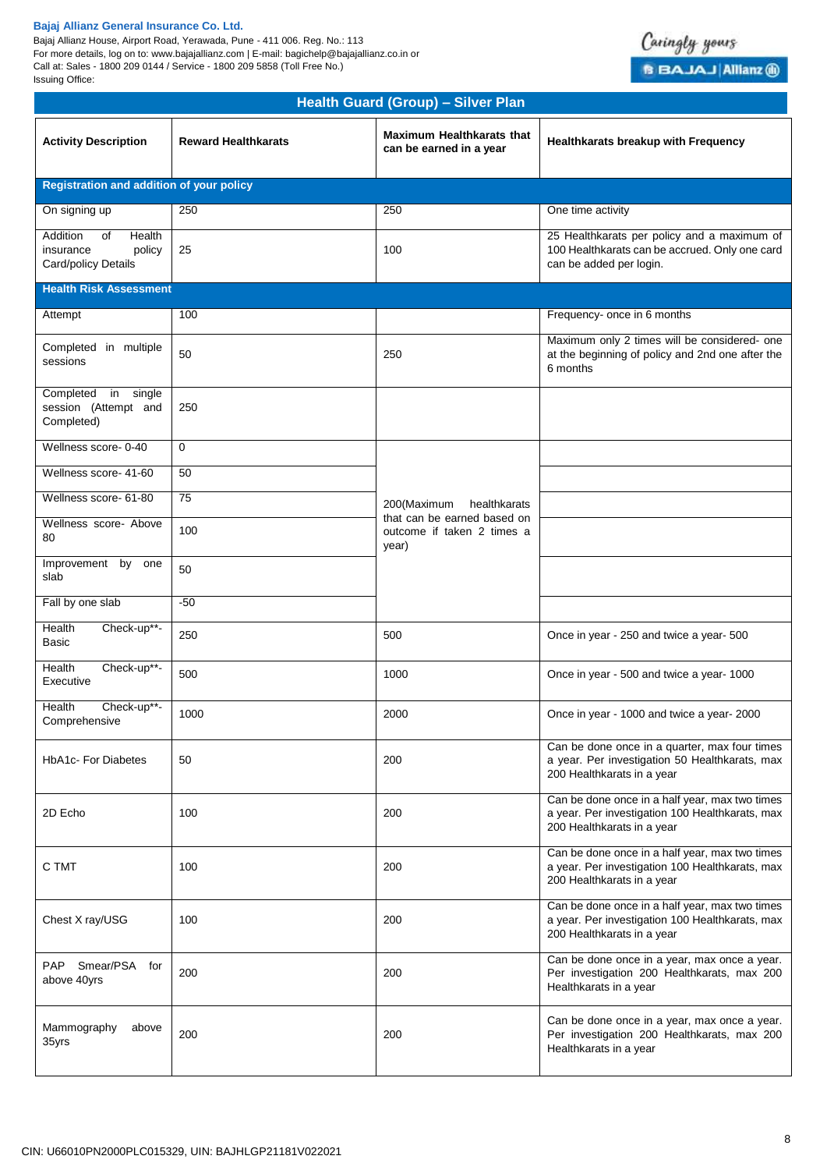Bajaj Allianz House, Airport Road, Yerawada, Pune - 411 006. Reg. No.: 113 For more details, log on to: www.bajajallianz.com | E-mail: bagichelp@bajajallianz.co.in or Call at: Sales - 1800 209 0144 / Service - 1800 209 5858 (Toll Free No.) Issuing Office:



| <b>Health Guard (Group) - Silver Plan</b>                              |                            |                                                                    |                                                                                                                                 |
|------------------------------------------------------------------------|----------------------------|--------------------------------------------------------------------|---------------------------------------------------------------------------------------------------------------------------------|
| <b>Activity Description</b>                                            | <b>Reward Healthkarats</b> | <b>Maximum Healthkarats that</b><br>can be earned in a year        | Healthkarats breakup with Frequency                                                                                             |
| Registration and addition of your policy                               |                            |                                                                    |                                                                                                                                 |
| On signing up                                                          | 250                        | 250                                                                | One time activity                                                                                                               |
| Addition<br>οf<br>Health<br>insurance<br>policy<br>Card/policy Details | 25                         | 100                                                                | 25 Healthkarats per policy and a maximum of<br>100 Healthkarats can be accrued. Only one card<br>can be added per login.        |
| <b>Health Risk Assessment</b>                                          |                            |                                                                    |                                                                                                                                 |
| Attempt                                                                | 100                        |                                                                    | Frequency- once in 6 months                                                                                                     |
| Completed in multiple<br>sessions                                      | 50                         | 250                                                                | Maximum only 2 times will be considered- one<br>at the beginning of policy and 2nd one after the<br>6 months                    |
| Completed in single<br>session (Attempt and<br>Completed)              | 250                        |                                                                    |                                                                                                                                 |
| Wellness score- 0-40                                                   | $\mathbf 0$                |                                                                    |                                                                                                                                 |
| Wellness score- 41-60                                                  | 50                         |                                                                    |                                                                                                                                 |
| Wellness score- 61-80                                                  | 75                         | 200(Maximum<br>healthkarats                                        |                                                                                                                                 |
| Wellness score- Above<br>80                                            | 100                        | that can be earned based on<br>outcome if taken 2 times a<br>year) |                                                                                                                                 |
| Improvement by<br>one<br>slab                                          | 50                         |                                                                    |                                                                                                                                 |
| Fall by one slab                                                       | $-50$                      |                                                                    |                                                                                                                                 |
| Health<br>Check-up**-<br>Basic                                         | 250                        | 500                                                                | Once in year - 250 and twice a year- 500                                                                                        |
| Health<br>Check-up**-<br>Executive                                     | 500                        | 1000                                                               | Once in year - 500 and twice a year- 1000                                                                                       |
| Check-up**-<br>Health<br>Comprehensive                                 | 1000                       | 2000                                                               | Once in year - 1000 and twice a year- 2000                                                                                      |
| <b>HbA1c- For Diabetes</b>                                             | 50                         | 200                                                                | Can be done once in a quarter, max four times<br>a year. Per investigation 50 Healthkarats, max<br>200 Healthkarats in a year   |
| 2D Echo                                                                | 100                        | 200                                                                | Can be done once in a half year, max two times<br>a year. Per investigation 100 Healthkarats, max<br>200 Healthkarats in a year |
| C TMT                                                                  | 100                        | 200                                                                | Can be done once in a half year, max two times<br>a year. Per investigation 100 Healthkarats, max<br>200 Healthkarats in a year |
| Chest X ray/USG                                                        | 100                        | 200                                                                | Can be done once in a half year, max two times<br>a year. Per investigation 100 Healthkarats, max<br>200 Healthkarats in a year |
| Smear/PSA for<br>PAP<br>above 40yrs                                    | 200                        | 200                                                                | Can be done once in a year, max once a year.<br>Per investigation 200 Healthkarats, max 200<br>Healthkarats in a year           |
| Mammography<br>above<br>35yrs                                          | 200                        | 200                                                                | Can be done once in a year, max once a year.<br>Per investigation 200 Healthkarats, max 200<br>Healthkarats in a year           |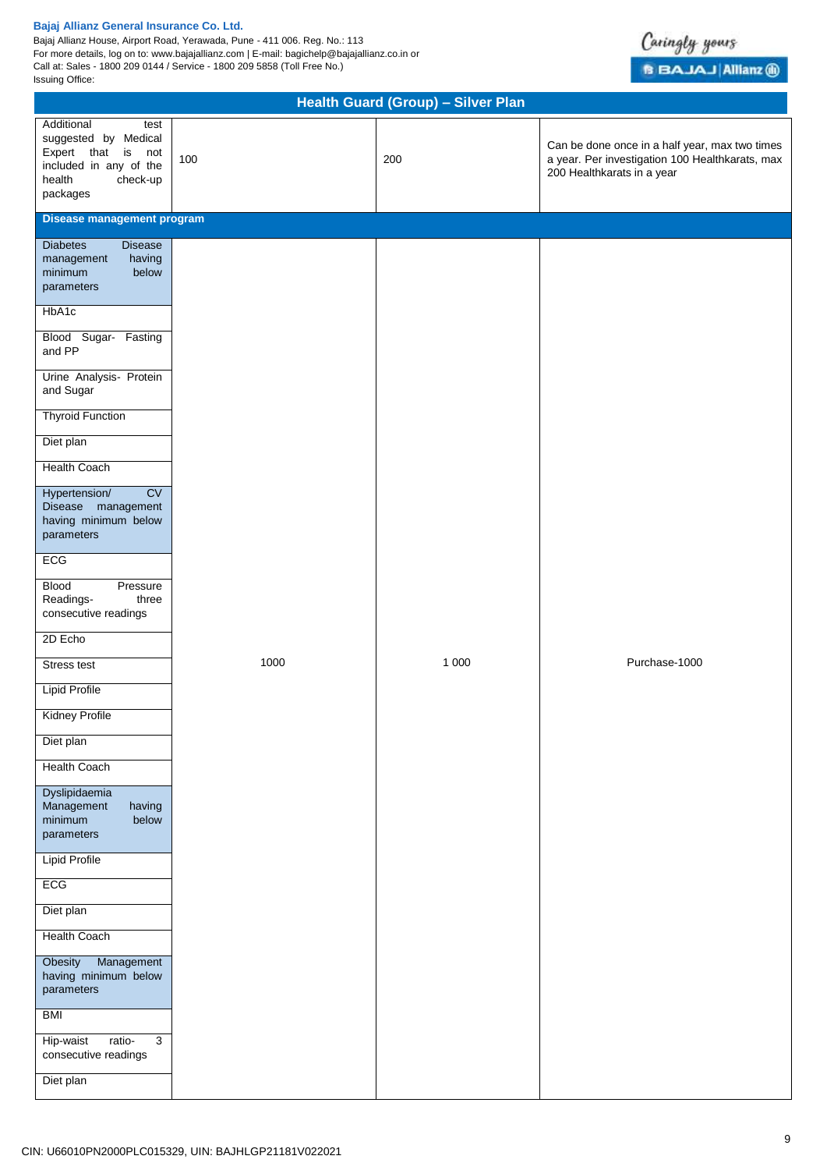Bajaj Allianz House, Airport Road, Yerawada, Pune - 411 006. Reg. No.: 113 For more details, log on to: www.bajajallianz.com | E-mail: bagichelp@bajajallianz.co.in or Call at: Sales - 1800 209 0144 / Service - 1800 209 5858 (Toll Free No.) Issuing Office:



| Health Guard (Group) - Silver Plan                                                                                                                                                                                                                                                                                                                                                                                                                                                                                                                                                                                                                                                                                                                                                                                 |      |         |                                                                                                                                 |  |
|--------------------------------------------------------------------------------------------------------------------------------------------------------------------------------------------------------------------------------------------------------------------------------------------------------------------------------------------------------------------------------------------------------------------------------------------------------------------------------------------------------------------------------------------------------------------------------------------------------------------------------------------------------------------------------------------------------------------------------------------------------------------------------------------------------------------|------|---------|---------------------------------------------------------------------------------------------------------------------------------|--|
| Additional<br>test<br>suggested by Medical<br>Expert that is not<br>included in any of the<br>health<br>check-up<br>packages                                                                                                                                                                                                                                                                                                                                                                                                                                                                                                                                                                                                                                                                                       | 100  | 200     | Can be done once in a half year, max two times<br>a year. Per investigation 100 Healthkarats, max<br>200 Healthkarats in a year |  |
| Disease management program                                                                                                                                                                                                                                                                                                                                                                                                                                                                                                                                                                                                                                                                                                                                                                                         |      |         |                                                                                                                                 |  |
| <b>Diabetes</b><br><b>Disease</b><br>management<br>having<br>minimum<br>below<br>parameters<br>HbA1c<br>Blood Sugar- Fasting<br>and PP<br>Urine Analysis- Protein<br>and Sugar<br><b>Thyroid Function</b><br>Diet plan<br><b>Health Coach</b><br>CV<br>Hypertension/<br>Disease management<br>having minimum below<br>parameters<br>ECG<br><b>Blood</b><br>Pressure<br>Readings-<br>three<br>consecutive readings<br>2D Echo<br><b>Stress test</b><br><b>Lipid Profile</b><br><b>Kidney Profile</b><br>Diet plan<br><b>Health Coach</b><br>Dyslipidaemia<br>Management<br>having<br>minimum<br>below<br>parameters<br><b>Lipid Profile</b><br><b>ECG</b><br>Diet plan<br><b>Health Coach</b><br>Management<br>Obesity<br>having minimum below<br>parameters<br><b>BMI</b><br>$\overline{3}$<br>Hip-waist<br>ratio- | 1000 | 1 0 0 0 | Purchase-1000                                                                                                                   |  |
| consecutive readings<br>Diet plan                                                                                                                                                                                                                                                                                                                                                                                                                                                                                                                                                                                                                                                                                                                                                                                  |      |         |                                                                                                                                 |  |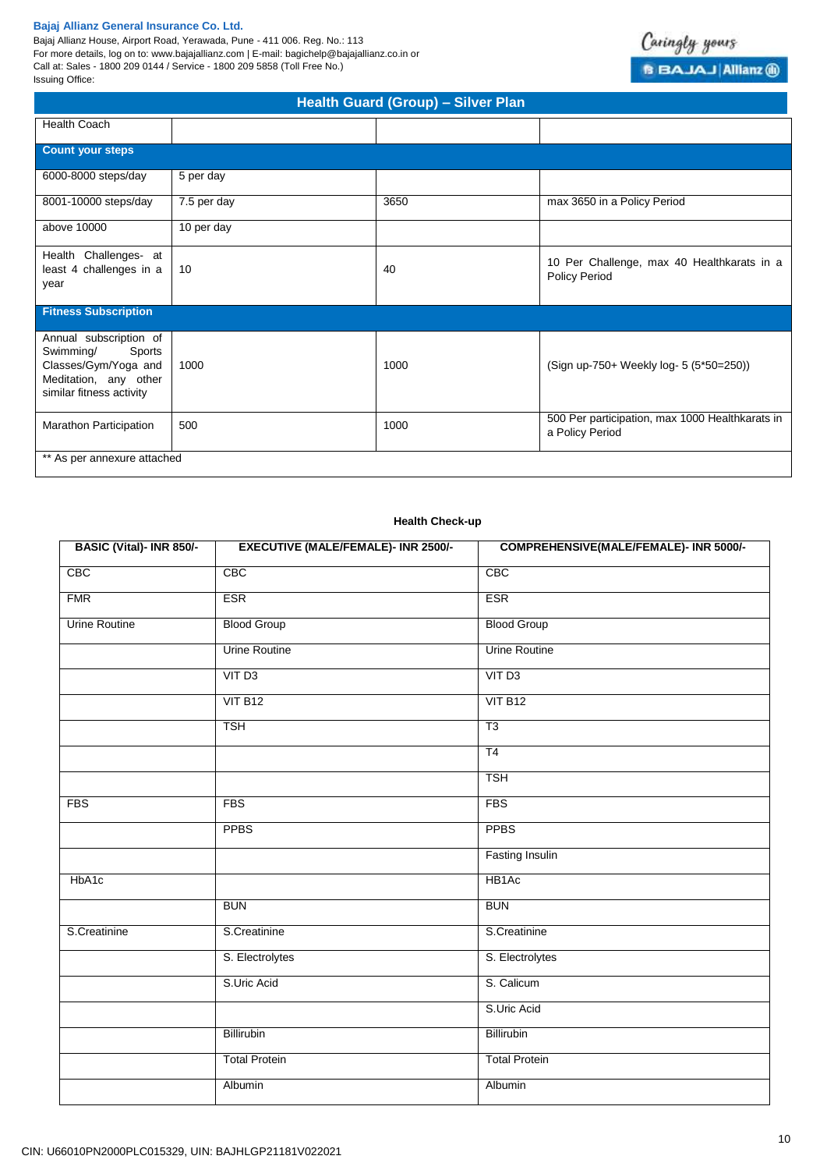Bajaj Allianz House, Airport Road, Yerawada, Pune - 411 006. Reg. No.: 113 For more details, log on to: www.bajajallianz.com | E-mail: bagichelp@bajajallianz.co.in or Call at: Sales - 1800 209 0144 / Service - 1800 209 5858 (Toll Free No.) Issuing Office:



| Health Guard (Group) - Silver Plan                                                                                         |             |      |                                                                    |  |
|----------------------------------------------------------------------------------------------------------------------------|-------------|------|--------------------------------------------------------------------|--|
| <b>Health Coach</b>                                                                                                        |             |      |                                                                    |  |
| <b>Count your steps</b>                                                                                                    |             |      |                                                                    |  |
| 6000-8000 steps/day                                                                                                        | 5 per day   |      |                                                                    |  |
| 8001-10000 steps/day                                                                                                       | 7.5 per day | 3650 | max 3650 in a Policy Period                                        |  |
| above 10000                                                                                                                | 10 per day  |      |                                                                    |  |
| Health Challenges- at<br>least 4 challenges in a<br>year                                                                   | 10          | 40   | 10 Per Challenge, max 40 Healthkarats in a<br><b>Policy Period</b> |  |
| <b>Fitness Subscription</b>                                                                                                |             |      |                                                                    |  |
| Annual subscription of<br>Swimming/<br>Sports<br>Classes/Gym/Yoga and<br>Meditation, any other<br>similar fitness activity | 1000        | 1000 | (Sign up-750+ Weekly log- 5 (5*50=250))                            |  |
| <b>Marathon Participation</b>                                                                                              | 500         | 1000 | 500 Per participation, max 1000 Healthkarats in<br>a Policy Period |  |
| ** As per annexure attached                                                                                                |             |      |                                                                    |  |

### **Health Check-up**

| BASIC (Vital)- INR 850/- | <b>EXECUTIVE (MALE/FEMALE)- INR 2500/-</b> | <b>COMPREHENSIVE(MALE/FEMALE)- INR 5000/-</b> |
|--------------------------|--------------------------------------------|-----------------------------------------------|
| CBC                      | CBC                                        | CBC                                           |
| <b>FMR</b>               | <b>ESR</b>                                 | <b>ESR</b>                                    |
| <b>Urine Routine</b>     | <b>Blood Group</b>                         | <b>Blood Group</b>                            |
|                          | <b>Urine Routine</b>                       | <b>Urine Routine</b>                          |
|                          | VIT <sub>D3</sub>                          | VIT <sub>D3</sub>                             |
|                          | VIT B12                                    | VIT B12                                       |
|                          | <b>TSH</b>                                 | T3                                            |
|                          |                                            | T <sub>4</sub>                                |
|                          |                                            | <b>TSH</b>                                    |
| <b>FBS</b>               | <b>FBS</b>                                 | <b>FBS</b>                                    |
|                          | <b>PPBS</b>                                | <b>PPBS</b>                                   |
|                          |                                            | <b>Fasting Insulin</b>                        |
| HbA1c                    |                                            | HB <sub>1</sub> Ac                            |
|                          | <b>BUN</b>                                 | <b>BUN</b>                                    |
| S.Creatinine             | S.Creatinine                               | S.Creatinine                                  |
|                          | S. Electrolytes                            | S. Electrolytes                               |
|                          | S.Uric Acid                                | S. Calicum                                    |
|                          |                                            | S.Uric Acid                                   |
|                          | Billirubin                                 | Billirubin                                    |
|                          | <b>Total Protein</b>                       | <b>Total Protein</b>                          |
|                          | Albumin                                    | Albumin                                       |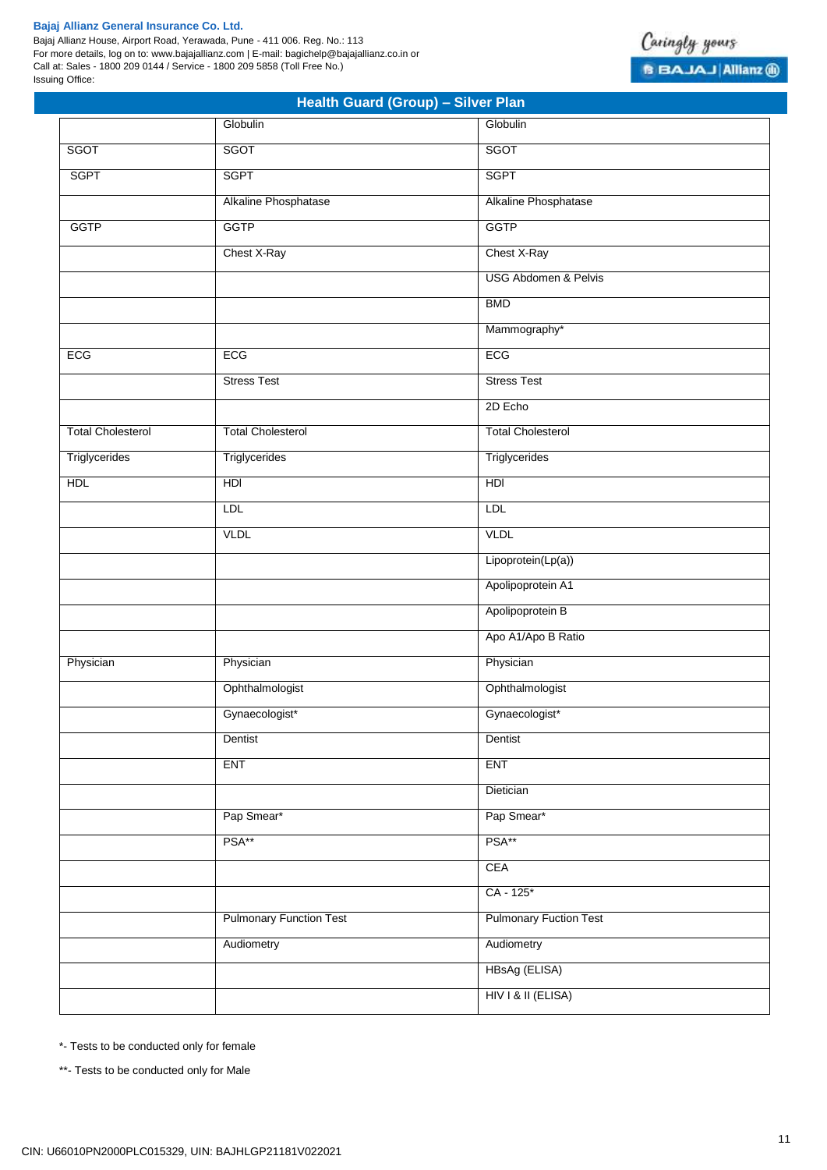Bajaj Allianz House, Airport Road, Yerawada, Pune - 411 006. Reg. No.: 113 For more details, log on to: www.bajajallianz.com | E-mail: bagichelp@bajajallianz.co.in or Call at: Sales - 1800 209 0144 / Service - 1800 209 5858 (Toll Free No.) Issuing Office:



|                          | . .<br>Globulin                | Globulin                        |
|--------------------------|--------------------------------|---------------------------------|
| SGOT                     | SGOT                           | SGOT                            |
| <b>SGPT</b>              | <b>SGPT</b>                    | <b>SGPT</b>                     |
|                          | Alkaline Phosphatase           | Alkaline Phosphatase            |
| <b>GGTP</b>              | <b>GGTP</b>                    | <b>GGTP</b>                     |
|                          | Chest X-Ray                    | Chest X-Ray                     |
|                          |                                | <b>USG Abdomen &amp; Pelvis</b> |
|                          |                                | <b>BMD</b>                      |
|                          |                                | Mammography*                    |
| ECG                      | ECG                            | ECG                             |
|                          | <b>Stress Test</b>             | <b>Stress Test</b>              |
|                          |                                | 2D Echo                         |
| <b>Total Cholesterol</b> | <b>Total Cholesterol</b>       | <b>Total Cholesterol</b>        |
| Triglycerides            | Triglycerides                  | Triglycerides                   |
| <b>HDL</b>               | HDI                            | HDI                             |
|                          | <b>LDL</b>                     | LDL                             |
|                          | <b>VLDL</b>                    | <b>VLDL</b>                     |
|                          |                                | Lipoprotein(Lp(a))              |
|                          |                                | Apolipoprotein A1               |
|                          |                                | Apolipoprotein B                |
|                          |                                | Apo A1/Apo B Ratio              |
| Physician                | Physician                      | Physician                       |
|                          | Ophthalmologist                | Ophthalmologist                 |
|                          | Gynaecologist*                 | Gynaecologist*                  |
|                          | Dentist                        | Dentist                         |
|                          | <b>ENT</b>                     | <b>ENT</b>                      |
|                          |                                | Dietician                       |
|                          | Pap Smear*                     | Pap Smear*                      |
|                          | PSA**                          | PSA**                           |
|                          |                                | CEA                             |
|                          |                                | CA - 125*                       |
|                          | <b>Pulmonary Function Test</b> | <b>Pulmonary Fuction Test</b>   |
|                          | Audiometry                     | Audiometry                      |
|                          |                                | HBsAg (ELISA)                   |
|                          |                                | HIV I & II (ELISA)              |

**Health Guard (Group) – Silver Plan**

\*- Tests to be conducted only for female

\*\*- Tests to be conducted only for Male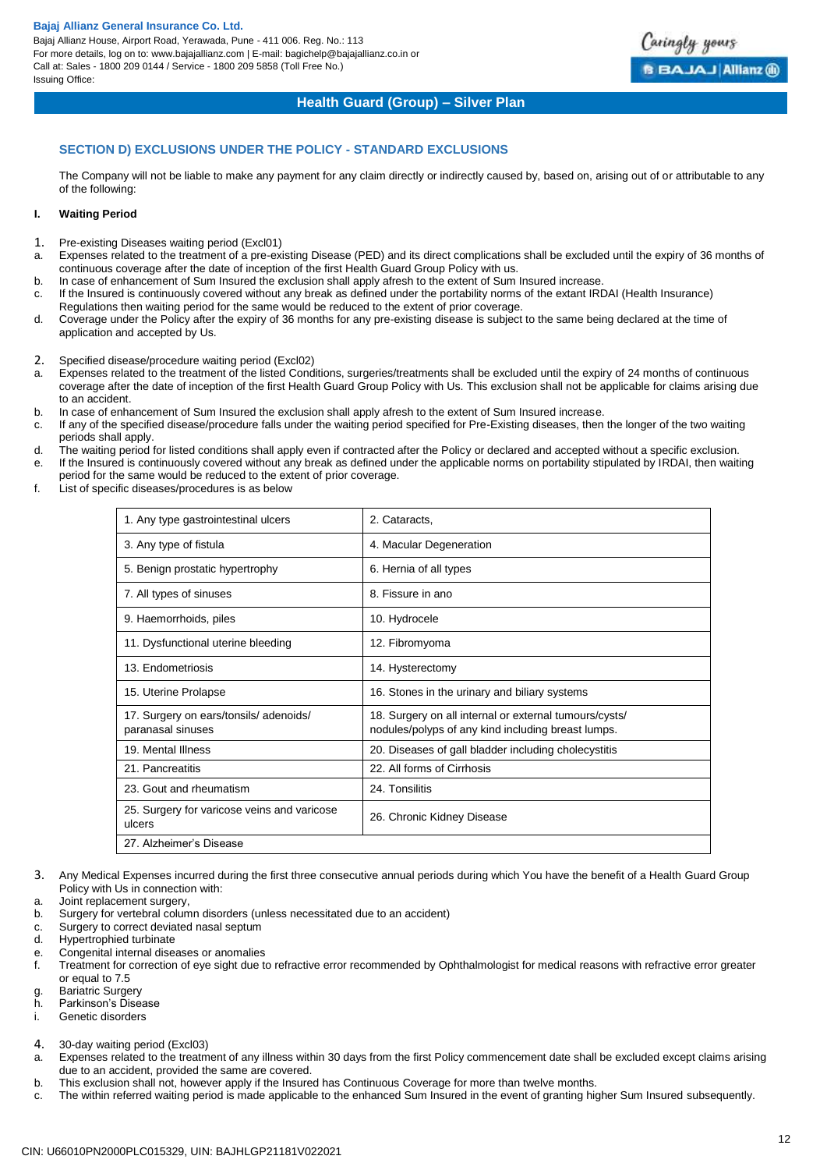Bajaj Allianz House, Airport Road, Yerawada, Pune - 411 006. Reg. No.: 113 For more details, log on to: www.bajajallianz.com | E-mail: bagichelp@bajajallianz.co.in or Call at: Sales - 1800 209 0144 / Service - 1800 209 5858 (Toll Free No.) Issuing Office:



### **Health Guard (Group) – Silver Plan**

### **SECTION D) EXCLUSIONS UNDER THE POLICY - STANDARD EXCLUSIONS**

The Company will not be liable to make any payment for any claim directly or indirectly caused by, based on, arising out of or attributable to any of the following:

### **I. Waiting Period**

- 1. Pre-existing Diseases waiting period (Excl01)
- a. Expenses related to the treatment of a pre-existing Disease (PED) and its direct complications shall be excluded until the expiry of 36 months of continuous coverage after the date of inception of the first Health Guard Group Policy with us.
- b. In case of enhancement of Sum Insured the exclusion shall apply afresh to the extent of Sum Insured increase.
- c. If the Insured is continuously covered without any break as defined under the portability norms of the extant IRDAI (Health Insurance) Regulations then waiting period for the same would be reduced to the extent of prior coverage.
- d. Coverage under the Policy after the expiry of 36 months for any pre-existing disease is subject to the same being declared at the time of application and accepted by Us.
- 2. Specified disease/procedure waiting period (Excl02)<br>a. Expenses related to the treatment of the listed Cond
- a. Expenses related to the treatment of the listed Conditions, surgeries/treatments shall be excluded until the expiry of 24 months of continuous coverage after the date of inception of the first Health Guard Group Policy with Us. This exclusion shall not be applicable for claims arising due to an accident.
- b. In case of enhancement of Sum Insured the exclusion shall apply afresh to the extent of Sum Insured increase.
- c. If any of the specified disease/procedure falls under the waiting period specified for Pre-Existing diseases, then the longer of the two waiting periods shall apply.
- d. The waiting period for listed conditions shall apply even if contracted after the Policy or declared and accepted without a specific exclusion.
- e. If the Insured is continuously covered without any break as defined under the applicable norms on portability stipulated by IRDAI, then waiting period for the same would be reduced to the extent of prior coverage.
- f. List of specific diseases/procedures is as below

| 1. Any type gastrointestinal ulcers                        | 2. Cataracts,                                                                                                |
|------------------------------------------------------------|--------------------------------------------------------------------------------------------------------------|
| 3. Any type of fistula                                     | 4. Macular Degeneration                                                                                      |
| 5. Benign prostatic hypertrophy                            | 6. Hernia of all types                                                                                       |
| 7. All types of sinuses                                    | 8. Fissure in ano                                                                                            |
| 9. Haemorrhoids, piles                                     | 10. Hydrocele                                                                                                |
| 11. Dysfunctional uterine bleeding                         | 12. Fibromyoma                                                                                               |
| 13. Endometriosis                                          | 14. Hysterectomy                                                                                             |
| 15. Uterine Prolapse                                       | 16. Stones in the urinary and biliary systems                                                                |
| 17. Surgery on ears/tonsils/adenoids/<br>paranasal sinuses | 18. Surgery on all internal or external tumours/cysts/<br>nodules/polyps of any kind including breast lumps. |
| 19. Mental Illness                                         | 20. Diseases of gall bladder including cholecystitis                                                         |
| 21. Pancreatitis                                           | 22. All forms of Cirrhosis                                                                                   |
| 23. Gout and rheumatism                                    | 24. Tonsilitis                                                                                               |
| 25. Surgery for varicose veins and varicose<br>ulcers      | 26. Chronic Kidney Disease                                                                                   |
| 27. Alzheimer's Disease                                    |                                                                                                              |

- 3. Any Medical Expenses incurred during the first three consecutive annual periods during which You have the benefit of a Health Guard Group Policy with Us in connection with:
- a. Joint replacement surgery,
- b. Surgery for vertebral column disorders (unless necessitated due to an accident)
- c. Surgery to correct deviated nasal septum
- d. Hypertrophied turbinate
- e. Congenital internal diseases or anomalies
- f. Treatment for correction of eye sight due to refractive error recommended by Ophthalmologist for medical reasons with refractive error greater or equal to 7.5
- g. Bariatric Surgery
- h. Parkinson's Disease
- i. Genetic disorders
- 4. 30-day waiting period (Excl03)
- a. Expenses related to the treatment of any illness within 30 days from the first Policy commencement date shall be excluded except claims arising due to an accident, provided the same are covered.
- b. This exclusion shall not, however apply if the Insured has Continuous Coverage for more than twelve months.
- c. The within referred waiting period is made applicable to the enhanced Sum Insured in the event of granting higher Sum Insured subsequently.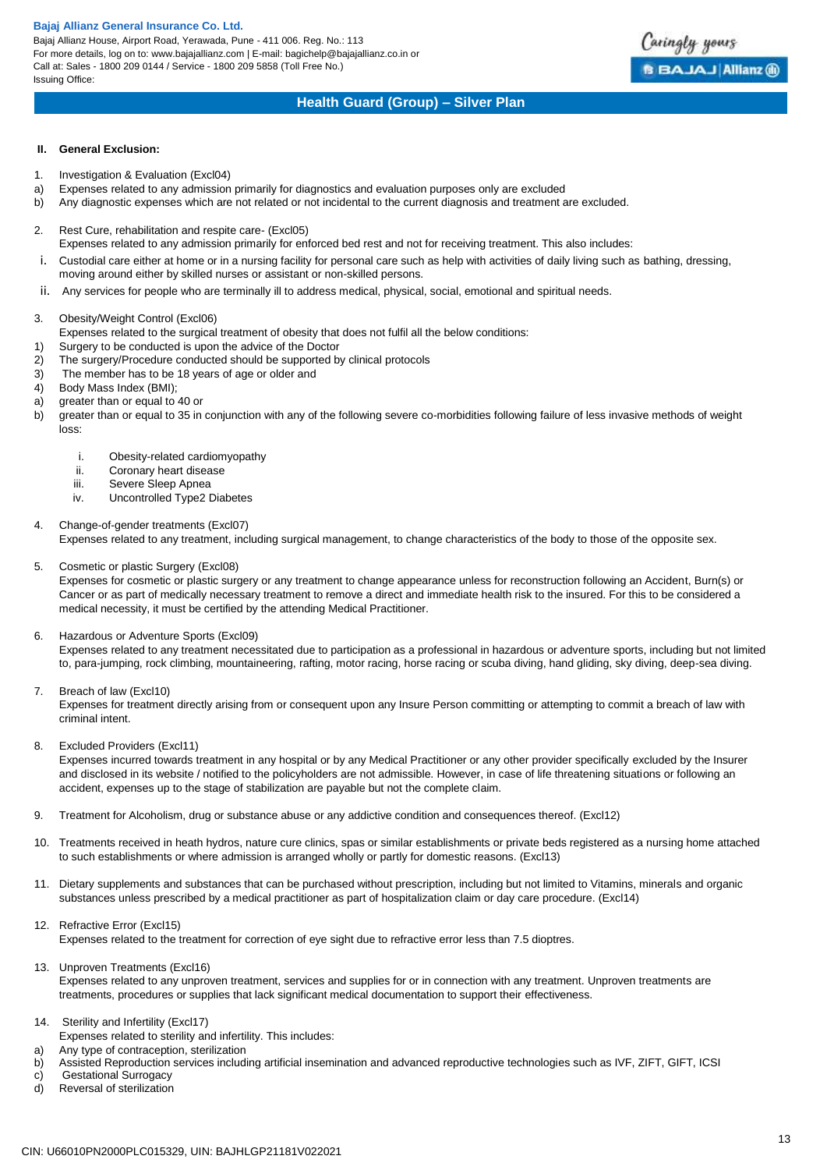Bajaj Allianz House, Airport Road, Yerawada, Pune - 411 006. Reg. No.: 113 For more details, log on to: www.bajajallianz.com | E-mail: bagichelp@bajajallianz.co.in or Call at: Sales - 1800 209 0144 / Service - 1800 209 5858 (Toll Free No.) Issuing Office:

# **Health Guard (Group) – Silver Plan**

### **II. General Exclusion:**

- 1. Investigation & Evaluation (Excl04)
- a) Expenses related to any admission primarily for diagnostics and evaluation purposes only are excluded
- b) Any diagnostic expenses which are not related or not incidental to the current diagnosis and treatment are excluded.
- 2. Rest Cure, rehabilitation and respite care- (Excl05)
- Expenses related to any admission primarily for enforced bed rest and not for receiving treatment. This also includes:
- i. Custodial care either at home or in a nursing facility for personal care such as help with activities of daily living such as bathing, dressing, moving around either by skilled nurses or assistant or non-skilled persons.
- ii. Any services for people who are terminally ill to address medical, physical, social, emotional and spiritual needs.
- 3. Obesity/Weight Control (Excl06)
- Expenses related to the surgical treatment of obesity that does not fulfil all the below conditions:
- 1) Surgery to be conducted is upon the advice of the Doctor
- 2) The surgery/Procedure conducted should be supported by clinical protocols
- 3) The member has to be 18 years of age or older and
- 4) Body Mass Index (BMI);
- a) greater than or equal to 40 or
- b) greater than or equal to 35 in conjunction with any of the following severe co-morbidities following failure of less invasive methods of weight loss:
	- i. Obesity-related cardiomyopathy
	- ii. Coronary heart disease
	- iii. Severe Sleep Apnea
	- iv. Uncontrolled Type2 Diabetes

### 4. Change-of-gender treatments (Excl07)

Expenses related to any treatment, including surgical management, to change characteristics of the body to those of the opposite sex.

### 5. Cosmetic or plastic Surgery (Excl08)

Expenses for cosmetic or plastic surgery or any treatment to change appearance unless for reconstruction following an Accident, Burn(s) or Cancer or as part of medically necessary treatment to remove a direct and immediate health risk to the insured. For this to be considered a medical necessity, it must be certified by the attending Medical Practitioner.

### 6. Hazardous or Adventure Sports (Excl09)

Expenses related to any treatment necessitated due to participation as a professional in hazardous or adventure sports, including but not limited to, para-jumping, rock climbing, mountaineering, rafting, motor racing, horse racing or scuba diving, hand gliding, sky diving, deep-sea diving.

7. Breach of law (Excl10)

Expenses for treatment directly arising from or consequent upon any Insure Person committing or attempting to commit a breach of law with criminal intent.

8. Excluded Providers (Excl11)

Expenses incurred towards treatment in any hospital or by any Medical Practitioner or any other provider specifically excluded by the Insurer and disclosed in its website / notified to the policyholders are not admissible. However, in case of life threatening situations or following an accident, expenses up to the stage of stabilization are payable but not the complete claim.

- 9. Treatment for Alcoholism, drug or substance abuse or any addictive condition and consequences thereof. (Excl12)
- 10. Treatments received in heath hydros, nature cure clinics, spas or similar establishments or private beds registered as a nursing home attached to such establishments or where admission is arranged wholly or partly for domestic reasons. (Excl13)
- 11. Dietary supplements and substances that can be purchased without prescription, including but not limited to Vitamins, minerals and organic substances unless prescribed by a medical practitioner as part of hospitalization claim or day care procedure. (Excl14)
- 12. Refractive Error (Excl15)

Expenses related to the treatment for correction of eye sight due to refractive error less than 7.5 dioptres.

13. Unproven Treatments (Excl16)

Expenses related to any unproven treatment, services and supplies for or in connection with any treatment. Unproven treatments are treatments, procedures or supplies that lack significant medical documentation to support their effectiveness.

- 14. Sterility and Infertility (Excl17)
- Expenses related to sterility and infertility. This includes:
- a) Any type of contraception, sterilization
- b) Assisted Reproduction services including artificial insemination and advanced reproductive technologies such as IVF, ZIFT, GIFT, ICSI
- c) Gestational Surrogacy<br>d) Reversal of sterilization Reversal of sterilization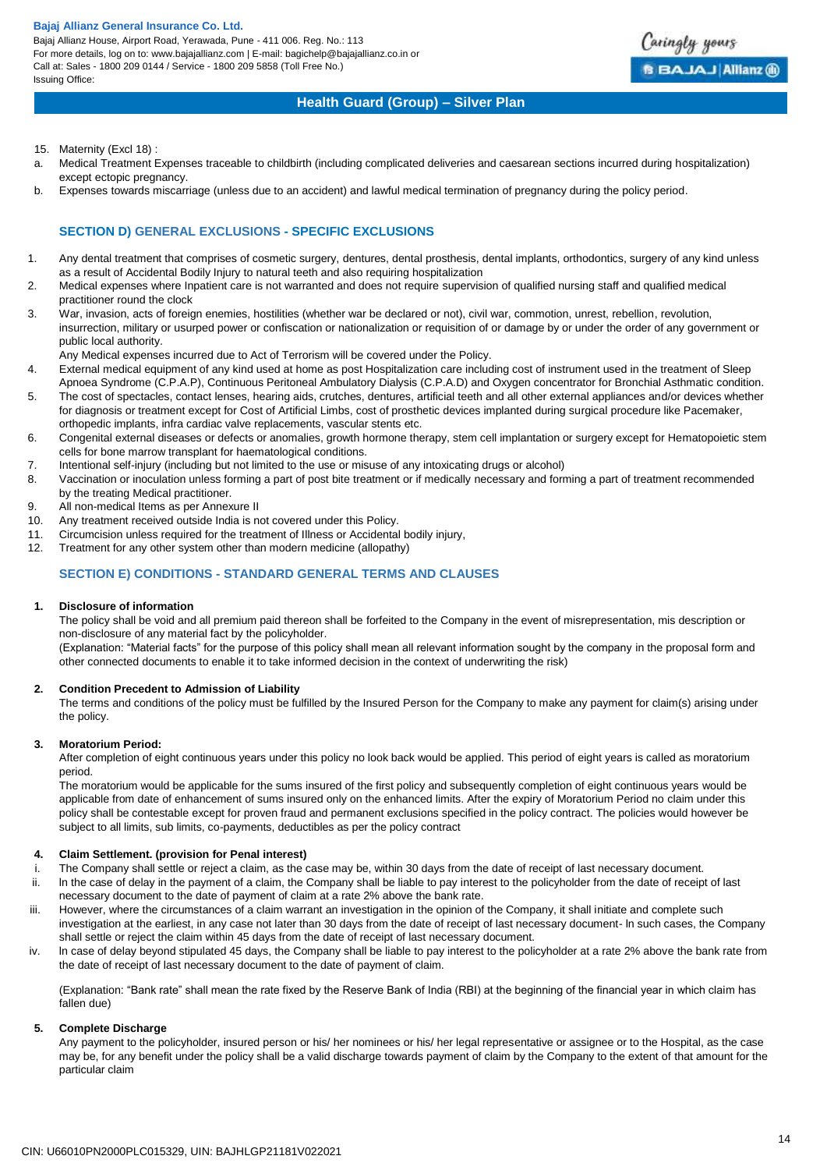Bajaj Allianz House, Airport Road, Yerawada, Pune - 411 006. Reg. No.: 113 For more details, log on to: www.bajajallianz.com | E-mail: bagichelp@bajajallianz.co.in or Call at: Sales - 1800 209 0144 / Service - 1800 209 5858 (Toll Free No.) Issuing Office:



### **Health Guard (Group) – Silver Plan**

- 15. Maternity (Excl 18) :
- a. Medical Treatment Expenses traceable to childbirth (including complicated deliveries and caesarean sections incurred during hospitalization) except ectopic pregnancy.
- b. Expenses towards miscarriage (unless due to an accident) and lawful medical termination of pregnancy during the policy period.

### **SECTION D) GENERAL EXCLUSIONS - SPECIFIC EXCLUSIONS**

- 1. Any dental treatment that comprises of cosmetic surgery, dentures, dental prosthesis, dental implants, orthodontics, surgery of any kind unless as a result of Accidental Bodily Injury to natural teeth and also requiring hospitalization
- 2. Medical expenses where Inpatient care is not warranted and does not require supervision of qualified nursing staff and qualified medical practitioner round the clock
- 3. War, invasion, acts of foreign enemies, hostilities (whether war be declared or not), civil war, commotion, unrest, rebellion, revolution, insurrection, military or usurped power or confiscation or nationalization or requisition of or damage by or under the order of any government or public local authority.
	- Any Medical expenses incurred due to Act of Terrorism will be covered under the Policy.
- 4. External medical equipment of any kind used at home as post Hospitalization care including cost of instrument used in the treatment of Sleep Apnoea Syndrome (C.P.A.P), Continuous Peritoneal Ambulatory Dialysis (C.P.A.D) and Oxygen concentrator for Bronchial Asthmatic condition.
- 5. The cost of spectacles, contact lenses, hearing aids, crutches, dentures, artificial teeth and all other external appliances and/or devices whether for diagnosis or treatment except for Cost of Artificial Limbs, cost of prosthetic devices implanted during surgical procedure like Pacemaker, orthopedic implants, infra cardiac valve replacements, vascular stents etc.
- 6. Congenital external diseases or defects or anomalies, growth hormone therapy, stem cell implantation or surgery except for Hematopoietic stem cells for bone marrow transplant for haematological conditions.
- 7. Intentional self-injury (including but not limited to the use or misuse of any intoxicating drugs or alcohol)
- 8. Vaccination or inoculation unless forming a part of post bite treatment or if medically necessary and forming a part of treatment recommended by the treating Medical practitioner.
- 9. All non-medical Items as per Annexure II
- 10. Any treatment received outside India is not covered under this Policy.
- 11. Circumcision unless required for the treatment of Illness or Accidental bodily injury,
- 12. Treatment for any other system other than modern medicine (allopathy)

### **SECTION E) CONDITIONS - STANDARD GENERAL TERMS AND CLAUSES**

### **1. Disclosure of information**

The policy shall be void and all premium paid thereon shall be forfeited to the Company in the event of misrepresentation, mis description or non-disclosure of any material fact by the policyholder.

(Explanation: "Material facts" for the purpose of this policy shall mean all relevant information sought by the company in the proposal form and other connected documents to enable it to take informed decision in the context of underwriting the risk)

### **2. Condition Precedent to Admission of Liability**

The terms and conditions of the policy must be fulfilled by the Insured Person for the Company to make any payment for claim(s) arising under the policy.

### **3. Moratorium Period:**

After completion of eight continuous years under this policy no look back would be applied. This period of eight years is called as moratorium period.

The moratorium would be applicable for the sums insured of the first policy and subsequently completion of eight continuous years would be applicable from date of enhancement of sums insured only on the enhanced limits. After the expiry of Moratorium Period no claim under this policy shall be contestable except for proven fraud and permanent exclusions specified in the policy contract. The policies would however be subject to all limits, sub limits, co-payments, deductibles as per the policy contract

### **4. Claim Settlement. (provision for Penal interest)**

- i. The Company shall settle or reject a claim, as the case may be, within 30 days from the date of receipt of last necessary document.
- ii. ln the case of delay in the payment of a claim, the Company shall be liable to pay interest to the policyholder from the date of receipt of last necessary document to the date of payment of claim at a rate 2% above the bank rate.
- iii. However, where the circumstances of a claim warrant an investigation in the opinion of the Company, it shall initiate and complete such investigation at the earliest, in any case not later than 30 days from the date of receipt of last necessary document- ln such cases, the Company shall settle or reject the claim within 45 days from the date of receipt of last necessary document.
- iv. ln case of delay beyond stipulated 45 days, the Company shall be liable to pay interest to the policyholder at a rate 2% above the bank rate from the date of receipt of last necessary document to the date of payment of claim.

(Explanation: "Bank rate" shall mean the rate fixed by the Reserve Bank of India (RBI) at the beginning of the financial year in which claim has fallen due)

### **5. Complete Discharge**

Any payment to the policyholder, insured person or his/ her nominees or his/ her legal representative or assignee or to the Hospital, as the case may be, for any benefit under the policy shall be a valid discharge towards payment of claim by the Company to the extent of that amount for the particular claim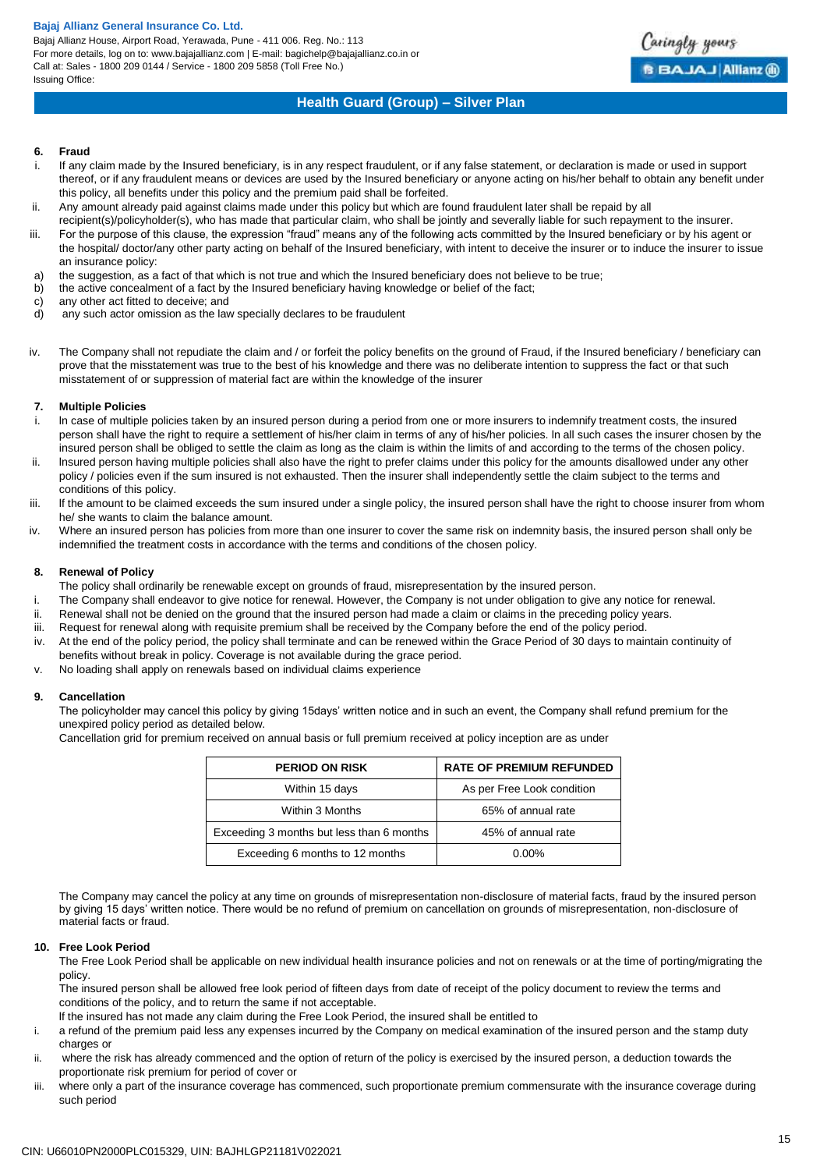Bajaj Allianz House, Airport Road, Yerawada, Pune - 411 006. Reg. No.: 113 For more details, log on to: www.bajajallianz.com | E-mail: bagichelp@bajajallianz.co.in or Call at: Sales - 1800 209 0144 / Service - 1800 209 5858 (Toll Free No.) Issuing Office:

# **Health Guard (Group) – Silver Plan**

Caringly yours

**BBAJAJ Allianz @** 

### **6. Fraud**

- i. If any claim made by the Insured beneficiary, is in any respect fraudulent, or if any false statement, or declaration is made or used in support thereof, or if any fraudulent means or devices are used by the Insured beneficiary or anyone acting on his/her behalf to obtain any benefit under this policy, all benefits under this policy and the premium paid shall be forfeited.
- ii. Any amount already paid against claims made under this policy but which are found fraudulent later shall be repaid by all
- recipient(s)/policyholder(s), who has made that particular claim, who shall be jointly and severally liable for such repayment to the insurer.
- iii. For the purpose of this clause, the expression "fraud" means any of the following acts committed by the Insured beneficiary or by his agent or the hospital/ doctor/any other party acting on behalf of the Insured beneficiary, with intent to deceive the insurer or to induce the insurer to issue an insurance policy:
- a) the suggestion, as a fact of that which is not true and which the Insured beneficiary does not believe to be true;
- b) the active concealment of a fact by the Insured beneficiary having knowledge or belief of the fact;
- c) any other act fitted to deceive; and
- d) any such actor omission as the law specially declares to be fraudulent
- iv. The Company shall not repudiate the claim and / or forfeit the policy benefits on the ground of Fraud, if the Insured beneficiary / beneficiary can prove that the misstatement was true to the best of his knowledge and there was no deliberate intention to suppress the fact or that such misstatement of or suppression of material fact are within the knowledge of the insurer

### **7. Multiple Policies**

- In case of multiple policies taken by an insured person during a period from one or more insurers to indemnify treatment costs, the insured person shall have the right to require a settlement of his/her claim in terms of any of his/her policies. ln all such cases the insurer chosen by the insured person shall be obliged to settle the claim as long as the claim is within the limits of and according to the terms of the chosen policy.
- ii. lnsured person having multiple policies shall also have the right to prefer claims under this policy for the amounts disallowed under any other policy / policies even if the sum insured is not exhausted. Then the insurer shall independently settle the claim subject to the terms and conditions of this policy.
- iii. lf the amount to be claimed exceeds the sum insured under a single policy, the insured person shall have the right to choose insurer from whom he/ she wants to claim the balance amount.
- iv. Where an insured person has policies from more than one insurer to cover the same risk on indemnity basis, the insured person shall only be indemnified the treatment costs in accordance with the terms and conditions of the chosen policy.

### **8. Renewal of Policy**

- The policy shall ordinarily be renewable except on grounds of fraud, misrepresentation by the insured person.
- i. The Company shall endeavor to give notice for renewal. However, the Company is not under obligation to give any notice for renewal.
- ii. Renewal shall not be denied on the ground that the insured person had made a claim or claims in the preceding policy years.
- iii. Request for renewal along with requisite premium shall be received by the Company before the end of the policy period.
- iv. At the end of the policy period, the policy shall terminate and can be renewed within the Grace Period of 30 days to maintain continuity of benefits without break in policy. Coverage is not available during the grace period.
- v. No loading shall apply on renewals based on individual claims experience

### **9. Cancellation**

The policyholder may cancel this policy by giving 15days' written notice and in such an event, the Company shall refund premium for the unexpired policy period as detailed below.

Cancellation grid for premium received on annual basis or full premium received at policy inception are as under

| <b>PERIOD ON RISK</b>                     | <b>RATE OF PREMIUM REFUNDED</b> |
|-------------------------------------------|---------------------------------|
| Within 15 days                            | As per Free Look condition      |
| Within 3 Months                           | 65% of annual rate              |
| Exceeding 3 months but less than 6 months | 45% of annual rate              |
| Exceeding 6 months to 12 months           | 0.00%                           |

The Company may cancel the policy at any time on grounds of misrepresentation non-disclosure of material facts, fraud by the insured person by giving 15 days' written notice. There would be no refund of premium on cancellation on grounds of misrepresentation, non-disclosure of material facts or fraud.

#### **10. Free Look Period**

The Free Look Period shall be applicable on new individual health insurance policies and not on renewals or at the time of porting/migrating the policy.

The insured person shall be allowed free look period of fifteen days from date of receipt of the policy document to review the terms and conditions of the policy, and to return the same if not acceptable.

lf the insured has not made any claim during the Free Look Period, the insured shall be entitled to

- i. a refund of the premium paid less any expenses incurred by the Company on medical examination of the insured person and the stamp duty charges or
- ii. where the risk has already commenced and the option of return of the policy is exercised by the insured person, a deduction towards the proportionate risk premium for period of cover or
- iii. where only a part of the insurance coverage has commenced, such proportionate premium commensurate with the insurance coverage during such period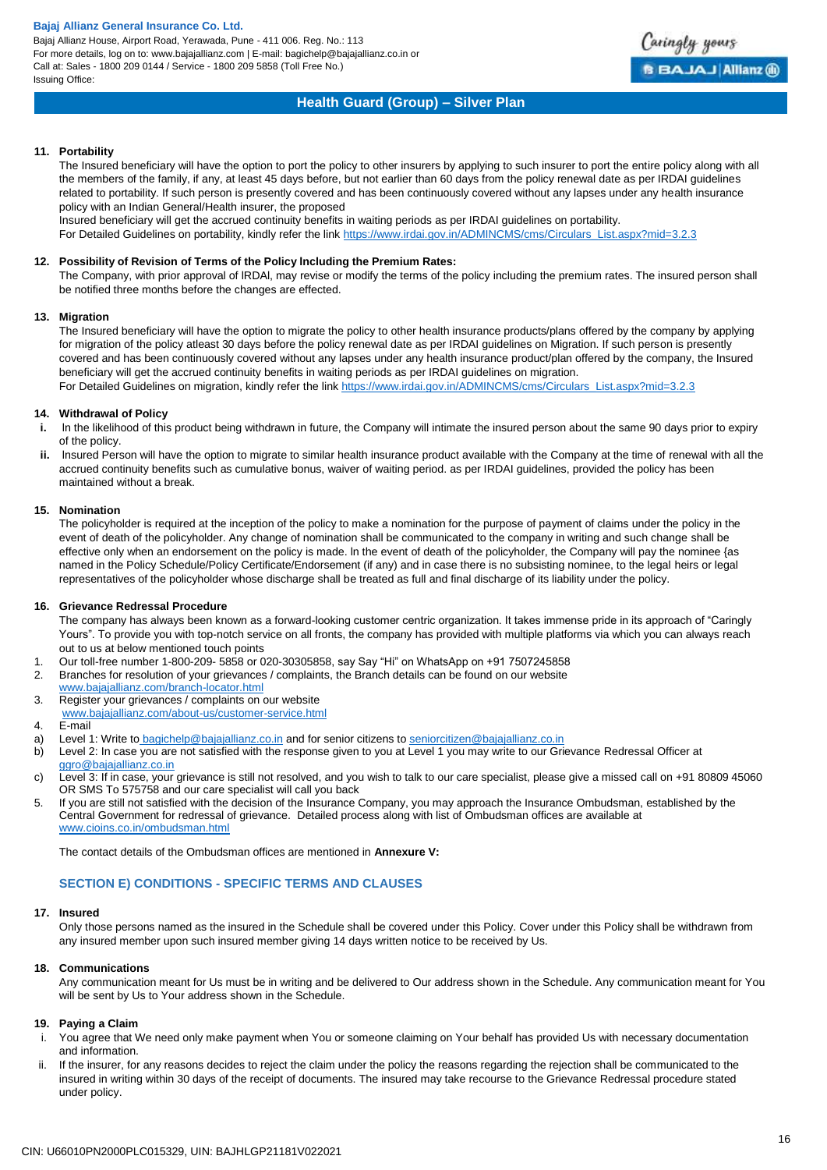Bajaj Allianz House, Airport Road, Yerawada, Pune - 411 006. Reg. No.: 113 For more details, log on to: www.bajajallianz.com | E-mail: bagichelp@bajajallianz.co.in or Call at: Sales - 1800 209 0144 / Service - 1800 209 5858 (Toll Free No.) Issuing Office:



# **Health Guard (Group) – Silver Plan**

### **11. Portability**

The Insured beneficiary will have the option to port the policy to other insurers by applying to such insurer to port the entire policy along with all the members of the family, if any, at least 45 days before, but not earlier than 60 days from the policy renewal date as per IRDAI guidelines related to portability. If such person is presently covered and has been continuously covered without any lapses under any health insurance policy with an Indian General/Health insurer, the proposed

Insured beneficiary will get the accrued continuity benefits in waiting periods as per IRDAI guidelines on portability.

For Detailed Guidelines on portability, kindly refer the link [https://www.irdai.gov.in/ADMINCMS/cms/Circulars\\_List.aspx?mid=3.2.3](https://www.irdai.gov.in/ADMINCMS/cms/Circulars_List.aspx?mid=3.2.3)

### **12. Possibility of Revision of Terms of the Policy lncluding the Premium Rates:**

The Company, with prior approval of lRDAl, may revise or modify the terms of the policy including the premium rates. The insured person shall be notified three months before the changes are effected.

### **13. Migration**

The Insured beneficiary will have the option to migrate the policy to other health insurance products/plans offered by the company by applying for migration of the policy atleast 30 days before the policy renewal date as per IRDAI guidelines on Migration. If such person is presently covered and has been continuously covered without any lapses under any health insurance product/plan offered by the company, the Insured beneficiary will get the accrued continuity benefits in waiting periods as per IRDAI guidelines on migration. For Detailed Guidelines on migration, kindly refer the link [https://www.irdai.gov.in/ADMINCMS/cms/Circulars\\_List.aspx?mid=3.2.3](https://www.irdai.gov.in/ADMINCMS/cms/Circulars_List.aspx?mid=3.2.3)

### **14. Withdrawal of Policy**

- **i.** In the likelihood of this product being withdrawn in future, the Company will intimate the insured person about the same 90 days prior to expiry of the policy.
- **ii.** lnsured Person will have the option to migrate to similar health insurance product available with the Company at the time of renewal with all the accrued continuity benefits such as cumulative bonus, waiver of waiting period. as per IRDAI guidelines, provided the policy has been maintained without a break.

### **15. Nomination**

The policyholder is required at the inception of the policy to make a nomination for the purpose of payment of claims under the policy in the event of death of the policyholder. Any change of nomination shall be communicated to the company in writing and such change shall be effective only when an endorsement on the policy is made. ln the event of death of the policyholder, the Company will pay the nominee {as named in the Policy Schedule/Policy Certificate/Endorsement (if any) and in case there is no subsisting nominee, to the legal heirs or legal representatives of the policyholder whose discharge shall be treated as full and final discharge of its liability under the policy.

### **16. Grievance Redressal Procedure**

The company has always been known as a forward-looking customer centric organization. It takes immense pride in its approach of "Caringly Yours". To provide you with top-notch service on all fronts, the company has provided with multiple platforms via which you can always reach out to us at below mentioned touch points

- 1. Our toll-free number 1-800-209- 5858 or 020-30305858, say Say "Hi" on WhatsApp on +91 7507245858
- 2. Branches for resolution of your grievances / complaints, the Branch details can be found on our website
- [www.bajajallianz.com/branch-locator.html](http://www.bajajallianz.com/branch-locator.html)
- 3. Register your grievances / complaints on our website [www.bajajallianz.com/about-us/customer-service.html](http://www.bajajallianz.com/about-us/customer-service.html)
- 4. E-mail
- a) Level 1: Write to [bagichelp@bajajallianz.co.in](mailto:bagichelp@bajajallianz.co.in) and for senior citizens to [seniorcitizen@bajajallianz.co.in](mailto:seniorcitizen@bajajallianz.co.in)
- b) Level 2: In case you are not satisfied with the response given to you at Level 1 you may write to our Grievance Redressal Officer at [ggro@bajajallianz.co.in](mailto:ggro@bajajallianz.co.in)
- c) Level 3: If in case, your grievance is still not resolved, and you wish to talk to our care specialist, please give a missed call on +91 80809 45060 OR SMS To 575758 and our care specialist will call you back
- 5. If you are still not satisfied with the decision of the Insurance Company, you may approach the Insurance Ombudsman, established by the Central Government for redressal of grievance. Detailed process along with list of Ombudsman offices are available at [www.cioins.co.in/ombudsman.html](http://www.cioins.co.in/ombudsman.html)

The contact details of the Ombudsman offices are mentioned in **Annexure V:**

### **SECTION E) CONDITIONS - SPECIFIC TERMS AND CLAUSES**

### **17. Insured**

Only those persons named as the insured in the Schedule shall be covered under this Policy. Cover under this Policy shall be withdrawn from any insured member upon such insured member giving 14 days written notice to be received by Us.

### **18. Communications**

Any communication meant for Us must be in writing and be delivered to Our address shown in the Schedule. Any communication meant for You will be sent by Us to Your address shown in the Schedule.

### **19. Paying a Claim**

- i. You agree that We need only make payment when You or someone claiming on Your behalf has provided Us with necessary documentation and information.
- ii. If the insurer, for any reasons decides to reject the claim under the policy the reasons regarding the rejection shall be communicated to the insured in writing within 30 days of the receipt of documents. The insured may take recourse to the Grievance Redressal procedure stated under policy.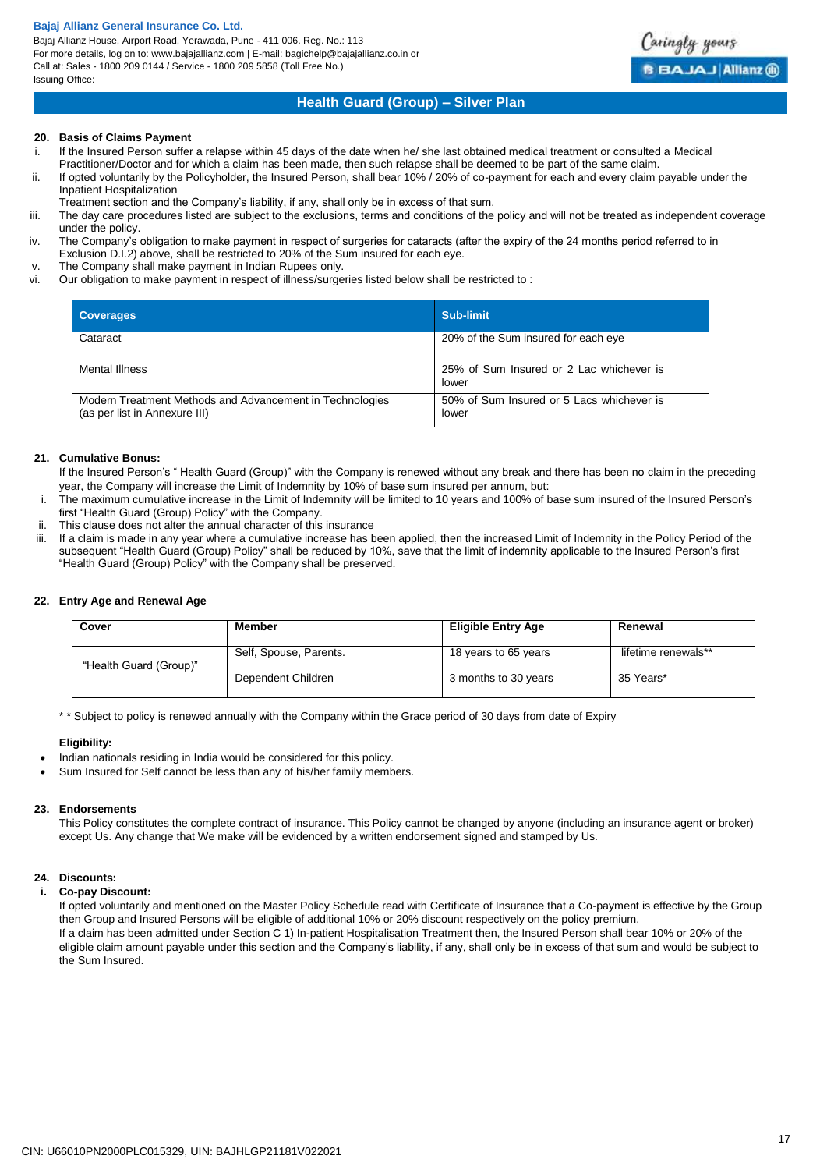Bajaj Allianz House, Airport Road, Yerawada, Pune - 411 006. Reg. No.: 113 For more details, log on to: www.bajajallianz.com | E-mail: bagichelp@bajajallianz.co.in or Call at: Sales - 1800 209 0144 / Service - 1800 209 5858 (Toll Free No.) Issuing Office:



# **Health Guard (Group) – Silver Plan**

### **20. Basis of Claims Payment**

- If the Insured Person suffer a relapse within 45 days of the date when he/ she last obtained medical treatment or consulted a Medical
- Practitioner/Doctor and for which a claim has been made, then such relapse shall be deemed to be part of the same claim.
- ii. If opted voluntarily by the Policyholder, the Insured Person, shall bear 10% / 20% of co-payment for each and every claim payable under the Inpatient Hospitalization
	- Treatment section and the Company's liability, if any, shall only be in excess of that sum.
- iii. The day care procedures listed are subject to the exclusions, terms and conditions of the policy and will not be treated as independent coverage under the policy.
- iv. The Company's obligation to make payment in respect of surgeries for cataracts (after the expiry of the 24 months period referred to in Exclusion D.I.2) above, shall be restricted to 20% of the Sum insured for each eye.
- v. The Company shall make payment in Indian Rupees only.
- vi. Our obligation to make payment in respect of illness/surgeries listed below shall be restricted to :

| <b>Coverages</b>                                                                          | Sub-limit                                          |
|-------------------------------------------------------------------------------------------|----------------------------------------------------|
| Cataract                                                                                  | 20% of the Sum insured for each eye                |
| Mental Illness                                                                            | 25% of Sum Insured or 2 Lac whichever is<br>lower  |
| Modern Treatment Methods and Advancement in Technologies<br>(as per list in Annexure III) | 50% of Sum Insured or 5 Lacs whichever is<br>lower |

### **21. Cumulative Bonus:**

- If the Insured Person's " Health Guard (Group)" with the Company is renewed without any break and there has been no claim in the preceding year, the Company will increase the Limit of Indemnity by 10% of base sum insured per annum, but:
- i. The maximum cumulative increase in the Limit of Indemnity will be limited to 10 years and 100% of base sum insured of the Insured Person's first "Health Guard (Group) Policy" with the Company.
- 
- ii. This clause does not alter the annual character of this insurance<br>iii. If a claim is made in any year where a cumulative increase has b If a claim is made in any year where a cumulative increase has been applied, then the increased Limit of Indemnity in the Policy Period of the subsequent "Health Guard (Group) Policy" shall be reduced by 10%, save that the limit of indemnity applicable to the Insured Person's first "Health Guard (Group) Policy" with the Company shall be preserved.

### **22. Entry Age and Renewal Age**

| Cover                  | Member                 | <b>Eligible Entry Age</b> | Renewal             |
|------------------------|------------------------|---------------------------|---------------------|
| "Health Guard (Group)" | Self, Spouse, Parents. | 18 years to 65 years      | lifetime renewals** |
|                        | Dependent Children     | 3 months to 30 years      | 35 Years*           |

\* \* Subject to policy is renewed annually with the Company within the Grace period of 30 days from date of Expiry

#### **Eligibility:**

- Indian nationals residing in India would be considered for this policy.
- Sum Insured for Self cannot be less than any of his/her family members.

### **23. Endorsements**

This Policy constitutes the complete contract of insurance. This Policy cannot be changed by anyone (including an insurance agent or broker) except Us. Any change that We make will be evidenced by a written endorsement signed and stamped by Us.

### **24. Discounts:**

### **i. Co-pay Discount:**

If opted voluntarily and mentioned on the Master Policy Schedule read with Certificate of Insurance that a Co-payment is effective by the Group then Group and Insured Persons will be eligible of additional 10% or 20% discount respectively on the policy premium. If a claim has been admitted under Section C 1) In-patient Hospitalisation Treatment then, the Insured Person shall bear 10% or 20% of the eligible claim amount payable under this section and the Company's liability, if any, shall only be in excess of that sum and would be subject to the Sum Insured.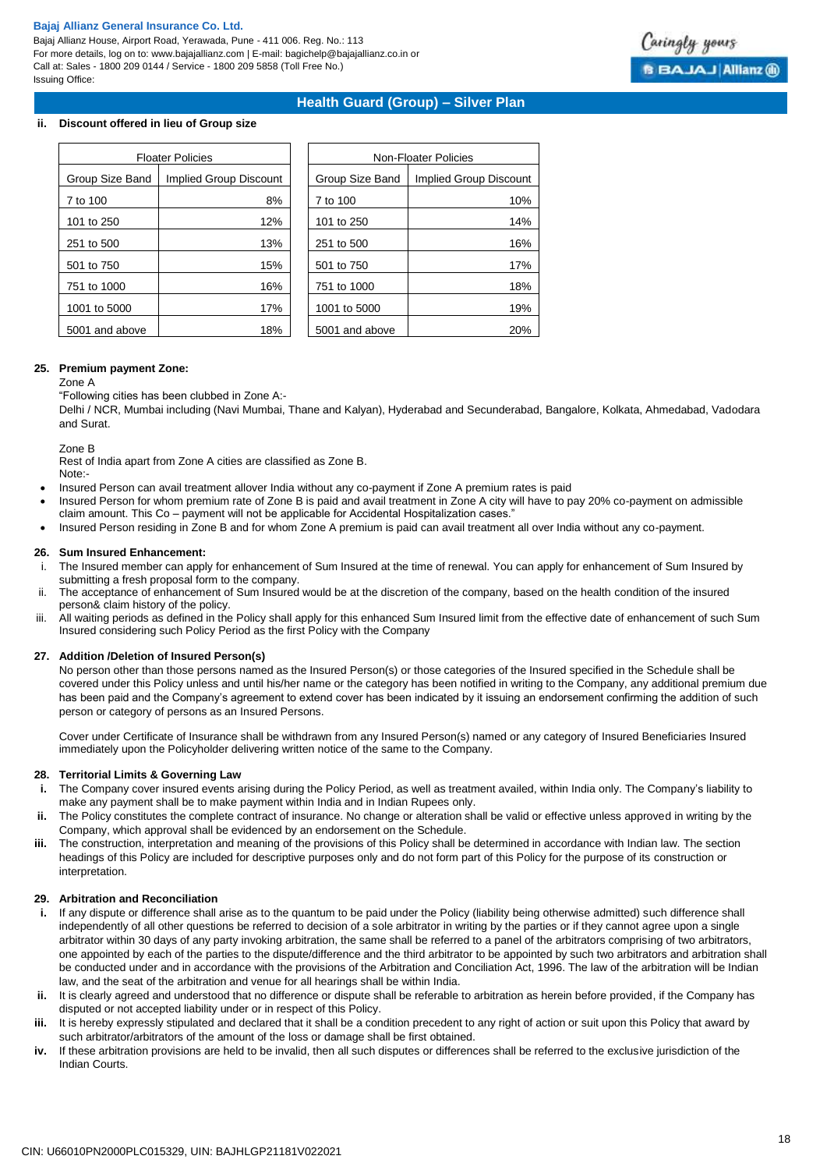Bajaj Allianz House, Airport Road, Yerawada, Pune - 411 006. Reg. No.: 113 For more details, log on to: www.bajajallianz.com | E-mail: bagichelp@bajajallianz.co.in or Call at: Sales - 1800 209 0144 / Service - 1800 209 5858 (Toll Free No.) Issuing Office:

# **Health Guard (Group) – Silver Plan**

### **ii. Discount offered in lieu of Group size**

|                 | <b>Floater Policies</b> |                 | Non-Floater Policies   |
|-----------------|-------------------------|-----------------|------------------------|
| Group Size Band | Implied Group Discount  | Group Size Band | Implied Group Discount |
| 7 to 100        | 8%                      | 7 to 100        | 10%                    |
| 101 to 250      | 12%                     | 101 to 250      | 14%                    |
| 251 to 500      | 13%                     | 251 to 500      | 16%                    |
| 501 to 750      | 15%                     | 501 to 750      | 17%                    |
| 751 to 1000     | 16%                     | 751 to 1000     | 18%                    |
| 1001 to 5000    | 17%                     | 1001 to 5000    | 19%                    |
| 5001 and above  | 18%                     | 5001 and above  | 20%                    |

| Non-Floater Policies |                        |  |
|----------------------|------------------------|--|
| Group Size Band      | Implied Group Discount |  |
| 7 to 100             | 10%                    |  |
| 101 to 250           | 14%                    |  |
| 251 to 500           | 16%                    |  |
| 501 to 750           | 17%                    |  |
| 751 to 1000          | 18%                    |  |
| 1001 to 5000         | 19%                    |  |
| 5001 and above       | 20%                    |  |

### **25. Premium payment Zone:**

### Zone A

"Following cities has been clubbed in Zone A:-

Delhi / NCR, Mumbai including (Navi Mumbai, Thane and Kalyan), Hyderabad and Secunderabad, Bangalore, Kolkata, Ahmedabad, Vadodara and Surat.

Zone B

Rest of India apart from Zone A cities are classified as Zone B. Note:-

- Insured Person can avail treatment allover India without any co-payment if Zone A premium rates is paid
- Insured Person for whom premium rate of Zone B is paid and avail treatment in Zone A city will have to pay 20% co-payment on admissible claim amount. This Co – payment will not be applicable for Accidental Hospitalization cases.
- Insured Person residing in Zone B and for whom Zone A premium is paid can avail treatment all over India without any co-payment.

### **26. Sum Insured Enhancement:**

- i. The Insured member can apply for enhancement of Sum Insured at the time of renewal. You can apply for enhancement of Sum Insured by submitting a fresh proposal form to the company.
- ii. The acceptance of enhancement of Sum Insured would be at the discretion of the company, based on the health condition of the insured person& claim history of the policy.
- iii. All waiting periods as defined in the Policy shall apply for this enhanced Sum Insured limit from the effective date of enhancement of such Sum Insured considering such Policy Period as the first Policy with the Company

### **27. Addition /Deletion of Insured Person(s)**

No person other than those persons named as the Insured Person(s) or those categories of the Insured specified in the Schedule shall be covered under this Policy unless and until his/her name or the category has been notified in writing to the Company, any additional premium due has been paid and the Company's agreement to extend cover has been indicated by it issuing an endorsement confirming the addition of such person or category of persons as an Insured Persons.

Cover under Certificate of Insurance shall be withdrawn from any Insured Person(s) named or any category of Insured Beneficiaries Insured immediately upon the Policyholder delivering written notice of the same to the Company.

### **28. Territorial Limits & Governing Law**

- **i.** The Company cover insured events arising during the Policy Period, as well as treatment availed, within India only. The Company's liability to make any payment shall be to make payment within India and in Indian Rupees only.
- **ii.** The Policy constitutes the complete contract of insurance. No change or alteration shall be valid or effective unless approved in writing by the Company, which approval shall be evidenced by an endorsement on the Schedule.
- **iii.** The construction, interpretation and meaning of the provisions of this Policy shall be determined in accordance with Indian law. The section headings of this Policy are included for descriptive purposes only and do not form part of this Policy for the purpose of its construction or interpretation.

### **29. Arbitration and Reconciliation**

- **i.** If any dispute or difference shall arise as to the quantum to be paid under the Policy (liability being otherwise admitted) such difference shall independently of all other questions be referred to decision of a sole arbitrator in writing by the parties or if they cannot agree upon a single arbitrator within 30 days of any party invoking arbitration, the same shall be referred to a panel of the arbitrators comprising of two arbitrators, one appointed by each of the parties to the dispute/difference and the third arbitrator to be appointed by such two arbitrators and arbitration shall be conducted under and in accordance with the provisions of the Arbitration and Conciliation Act, 1996. The law of the arbitration will be Indian law, and the seat of the arbitration and venue for all hearings shall be within India.
- **ii.** It is clearly agreed and understood that no difference or dispute shall be referable to arbitration as herein before provided, if the Company has disputed or not accepted liability under or in respect of this Policy.
- **iii.** It is hereby expressly stipulated and declared that it shall be a condition precedent to any right of action or suit upon this Policy that award by such arbitrator/arbitrators of the amount of the loss or damage shall be first obtained.
- **iv.** If these arbitration provisions are held to be invalid, then all such disputes or differences shall be referred to the exclusive jurisdiction of the Indian Courts.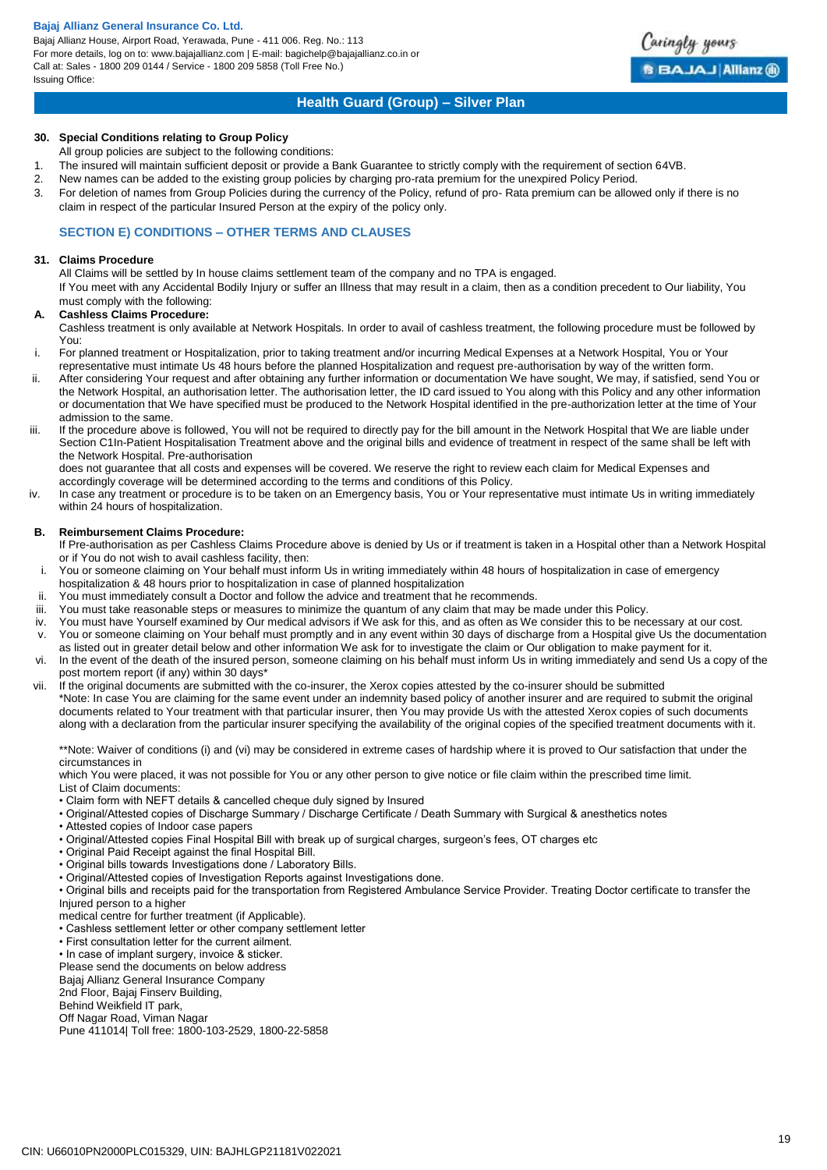Bajaj Allianz House, Airport Road, Yerawada, Pune - 411 006. Reg. No.: 113 For more details, log on to: www.bajajallianz.com | E-mail: bagichelp@bajajallianz.co.in or Call at: Sales - 1800 209 0144 / Service - 1800 209 5858 (Toll Free No.) Issuing Office:



# **Health Guard (Group) – Silver Plan**

### **30. Special Conditions relating to Group Policy**

All group policies are subject to the following conditions:

- 1. The insured will maintain sufficient deposit or provide a Bank Guarantee to strictly comply with the requirement of section 64VB.
- 2. New names can be added to the existing group policies by charging pro-rata premium for the unexpired Policy Period.
- 3. For deletion of names from Group Policies during the currency of the Policy, refund of pro- Rata premium can be allowed only if there is no claim in respect of the particular Insured Person at the expiry of the policy only.

### **SECTION E) CONDITIONS – OTHER TERMS AND CLAUSES**

### **31. Claims Procedure**

All Claims will be settled by In house claims settlement team of the company and no TPA is engaged.

If You meet with any Accidental Bodily Injury or suffer an Illness that may result in a claim, then as a condition precedent to Our liability, You must comply with the following:

### **A. Cashless Claims Procedure:**

Cashless treatment is only available at Network Hospitals. In order to avail of cashless treatment, the following procedure must be followed by You:

i. For planned treatment or Hospitalization, prior to taking treatment and/or incurring Medical Expenses at a Network Hospital, You or Your representative must intimate Us 48 hours before the planned Hospitalization and request pre-authorisation by way of the written form.

- ii. After considering Your request and after obtaining any further information or documentation We have sought, We may, if satisfied, send You or the Network Hospital, an authorisation letter. The authorisation letter, the ID card issued to You along with this Policy and any other information or documentation that We have specified must be produced to the Network Hospital identified in the pre-authorization letter at the time of Your admission to the same.
- iii. If the procedure above is followed, You will not be required to directly pay for the bill amount in the Network Hospital that We are liable under Section C1In-Patient Hospitalisation Treatment above and the original bills and evidence of treatment in respect of the same shall be left with the Network Hospital. Pre-authorisation

does not guarantee that all costs and expenses will be covered. We reserve the right to review each claim for Medical Expenses and accordingly coverage will be determined according to the terms and conditions of this Policy.

iv. In case any treatment or procedure is to be taken on an Emergency basis, You or Your representative must intimate Us in writing immediately within 24 hours of hospitalization.

### **B. Reimbursement Claims Procedure:**

If Pre-authorisation as per Cashless Claims Procedure above is denied by Us or if treatment is taken in a Hospital other than a Network Hospital or if You do not wish to avail cashless facility, then:

- i. You or someone claiming on Your behalf must inform Us in writing immediately within 48 hours of hospitalization in case of emergency hospitalization & 48 hours prior to hospitalization in case of planned hospitalization
- 
- ii. You must immediately consult a Doctor and follow the advice and treatment that he recommends.<br>iii. You must take reasonable steps or measures to minimize the quantum of any claim that may be n You must take reasonable steps or measures to minimize the quantum of any claim that may be made under this Policy.
- iv. You must have Yourself examined by Our medical advisors if We ask for this, and as often as We consider this to be necessary at our cost.
- v. You or someone claiming on Your behalf must promptly and in any event within 30 days of discharge from a Hospital give Us the documentation as listed out in greater detail below and other information We ask for to investigate the claim or Our obligation to make payment for it.
- vi. In the event of the death of the insured person, someone claiming on his behalf must inform Us in writing immediately and send Us a copy of the post mortem report (if any) within 30 days\*
- vii. If the original documents are submitted with the co-insurer, the Xerox copies attested by the co-insurer should be submitted \*Note: In case You are claiming for the same event under an indemnity based policy of another insurer and are required to submit the original documents related to Your treatment with that particular insurer, then You may provide Us with the attested Xerox copies of such documents along with a declaration from the particular insurer specifying the availability of the original copies of the specified treatment documents with it.

\*\*Note: Waiver of conditions (i) and (vi) may be considered in extreme cases of hardship where it is proved to Our satisfaction that under the circumstances in

which You were placed, it was not possible for You or any other person to give notice or file claim within the prescribed time limit.

List of Claim documents:

- Claim form with NEFT details & cancelled cheque duly signed by Insured
- Original/Attested copies of Discharge Summary / Discharge Certificate / Death Summary with Surgical & anesthetics notes
- Attested copies of Indoor case papers
- Original/Attested copies Final Hospital Bill with break up of surgical charges, surgeon's fees, OT charges etc
- Original Paid Receipt against the final Hospital Bill.
- Original bills towards Investigations done / Laboratory Bills.
- Original/Attested copies of Investigation Reports against Investigations done.
- Original bills and receipts paid for the transportation from Registered Ambulance Service Provider. Treating Doctor certificate to transfer the Injured person to a higher
- medical centre for further treatment (if Applicable).
- Cashless settlement letter or other company settlement letter
- First consultation letter for the current ailment.
- In case of implant surgery, invoice & sticker.
- Please send the documents on below address

Bajaj Allianz General Insurance Company

2nd Floor, Bajaj Finserv Building,

Behind Weikfield IT park,

Off Nagar Road, Viman Nagar

Pune 411014| Toll free: 1800-103-2529, 1800-22-5858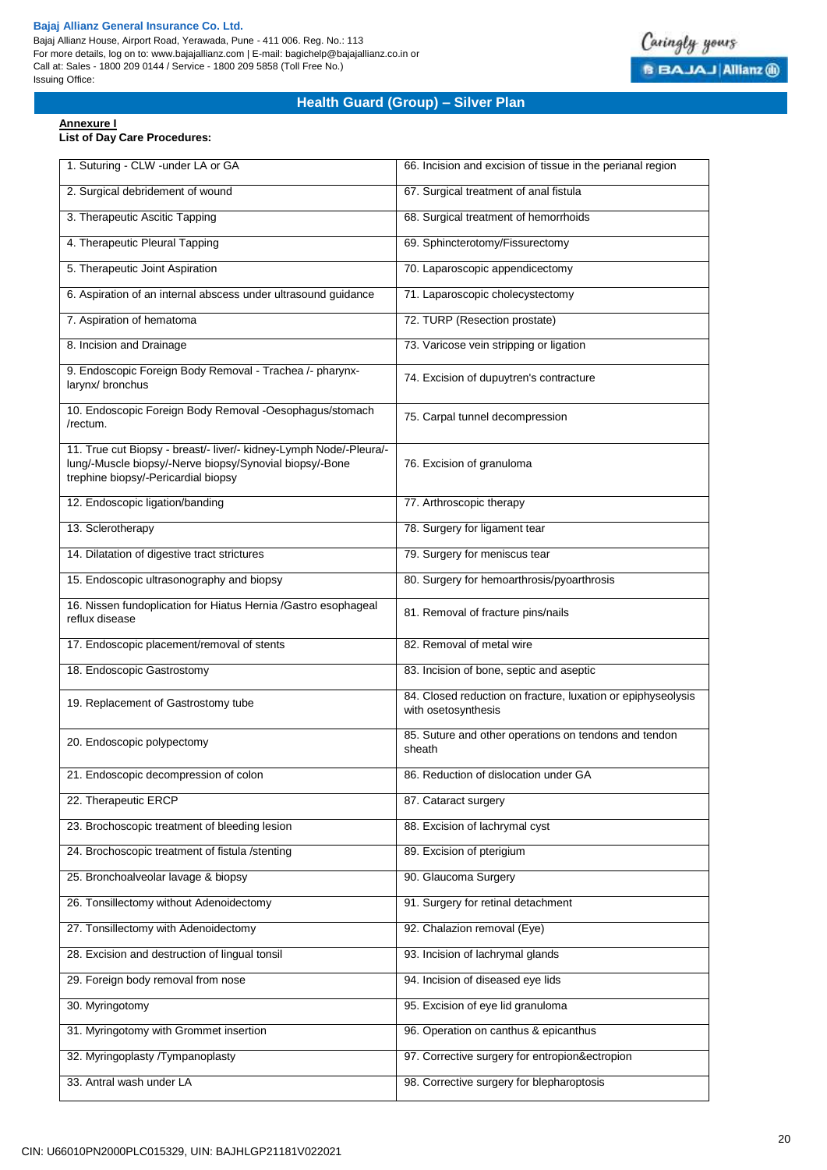Bajaj Allianz House, Airport Road, Yerawada, Pune - 411 006. Reg. No.: 113 For more details, log on to: www.bajajallianz.com | E-mail: bagichelp@bajajallianz.co.in or Call at: Sales - 1800 209 0144 / Service - 1800 209 5858 (Toll Free No.) Issuing Office:



# **Health Guard (Group) – Silver Plan**

### **Annexure I**

# **List of Day Care Procedures:**

| 1. Suturing - CLW -under LA or GA                                                                                                                                    | 66. Incision and excision of tissue in the perianal region                          |
|----------------------------------------------------------------------------------------------------------------------------------------------------------------------|-------------------------------------------------------------------------------------|
| 2. Surgical debridement of wound                                                                                                                                     | 67. Surgical treatment of anal fistula                                              |
| 3. Therapeutic Ascitic Tapping                                                                                                                                       | 68. Surgical treatment of hemorrhoids                                               |
| 4. Therapeutic Pleural Tapping                                                                                                                                       | 69. Sphincterotomy/Fissurectomy                                                     |
| 5. Therapeutic Joint Aspiration                                                                                                                                      | 70. Laparoscopic appendicectomy                                                     |
| 6. Aspiration of an internal abscess under ultrasound guidance                                                                                                       | 71. Laparoscopic cholecystectomy                                                    |
| 7. Aspiration of hematoma                                                                                                                                            | 72. TURP (Resection prostate)                                                       |
| 8. Incision and Drainage                                                                                                                                             | 73. Varicose vein stripping or ligation                                             |
| 9. Endoscopic Foreign Body Removal - Trachea /- pharynx-<br>larynx/ bronchus                                                                                         | 74. Excision of dupuytren's contracture                                             |
| 10. Endoscopic Foreign Body Removal -Oesophagus/stomach<br>/rectum.                                                                                                  | 75. Carpal tunnel decompression                                                     |
| 11. True cut Biopsy - breast/- liver/- kidney-Lymph Node/-Pleura/-<br>lung/-Muscle biopsy/-Nerve biopsy/Synovial biopsy/-Bone<br>trephine biopsy/-Pericardial biopsy | 76. Excision of granuloma                                                           |
| 12. Endoscopic ligation/banding                                                                                                                                      | 77. Arthroscopic therapy                                                            |
| 13. Sclerotherapy                                                                                                                                                    | 78. Surgery for ligament tear                                                       |
| 14. Dilatation of digestive tract strictures                                                                                                                         | 79. Surgery for meniscus tear                                                       |
| 15. Endoscopic ultrasonography and biopsy                                                                                                                            | 80. Surgery for hemoarthrosis/pyoarthrosis                                          |
| 16. Nissen fundoplication for Hiatus Hernia /Gastro esophageal<br>reflux disease                                                                                     | 81. Removal of fracture pins/nails                                                  |
| 17. Endoscopic placement/removal of stents                                                                                                                           | 82. Removal of metal wire                                                           |
| 18. Endoscopic Gastrostomy                                                                                                                                           | 83. Incision of bone, septic and aseptic                                            |
| 19. Replacement of Gastrostomy tube                                                                                                                                  | 84. Closed reduction on fracture, luxation or epiphyseolysis<br>with osetosynthesis |
| 20. Endoscopic polypectomy                                                                                                                                           | 85. Suture and other operations on tendons and tendon<br>sheath                     |
| 21. Endoscopic decompression of colon                                                                                                                                | 86. Reduction of dislocation under GA                                               |
| 22. Therapeutic ERCP                                                                                                                                                 | 87. Cataract surgery                                                                |
| 23. Brochoscopic treatment of bleeding lesion                                                                                                                        | 88. Excision of lachrymal cyst                                                      |
| 24. Brochoscopic treatment of fistula /stenting                                                                                                                      | 89. Excision of pterigium                                                           |
| 25. Bronchoalveolar lavage & biopsy                                                                                                                                  | 90. Glaucoma Surgery                                                                |
| 26. Tonsillectomy without Adenoidectomy                                                                                                                              | 91. Surgery for retinal detachment                                                  |
| 27. Tonsillectomy with Adenoidectomy                                                                                                                                 | 92. Chalazion removal (Eye)                                                         |
| 28. Excision and destruction of lingual tonsil                                                                                                                       | 93. Incision of lachrymal glands                                                    |
| 29. Foreign body removal from nose                                                                                                                                   | 94. Incision of diseased eye lids                                                   |
| 30. Myringotomy                                                                                                                                                      | 95. Excision of eye lid granuloma                                                   |
| 31. Myringotomy with Grommet insertion                                                                                                                               | 96. Operation on canthus & epicanthus                                               |
| 32. Myringoplasty /Tympanoplasty                                                                                                                                     | 97. Corrective surgery for entropion&ectropion                                      |
| 33. Antral wash under LA                                                                                                                                             | 98. Corrective surgery for blepharoptosis                                           |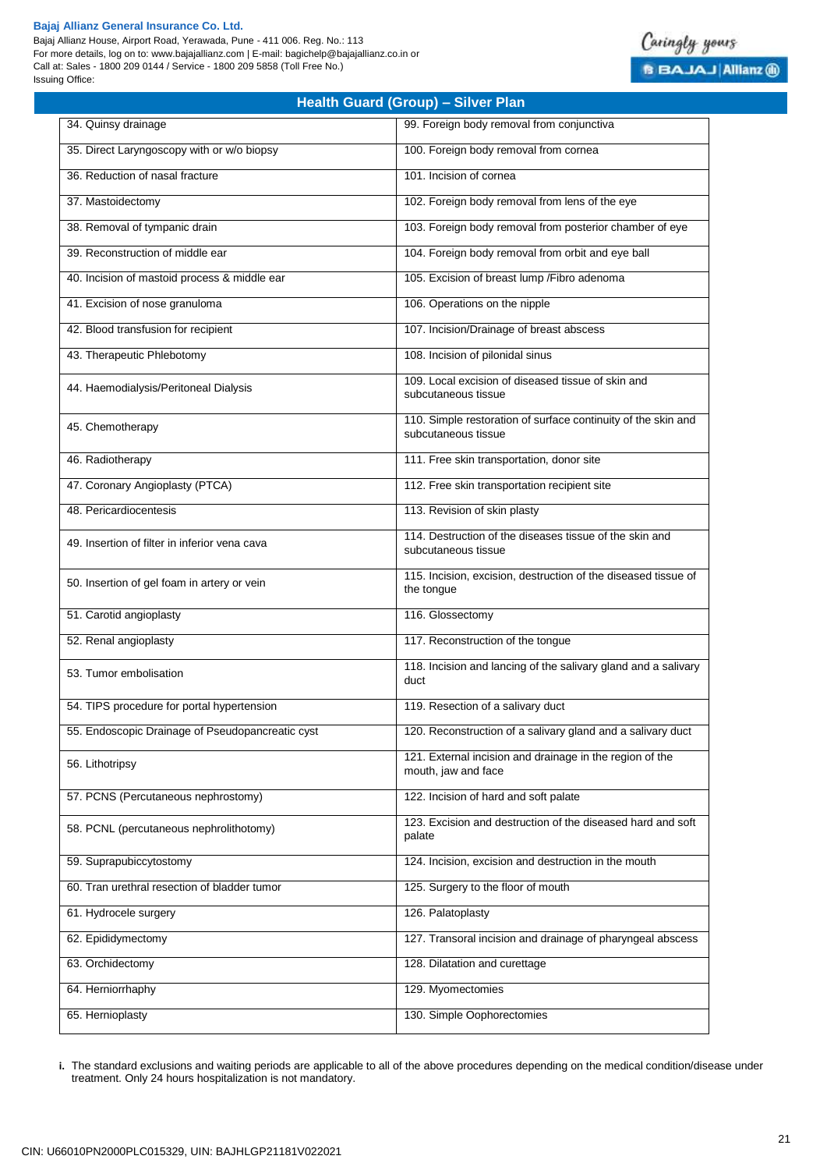Bajaj Allianz House, Airport Road, Yerawada, Pune - 411 006. Reg. No.: 113 For more details, log on to: www.bajajallianz.com | E-mail: bagichelp@bajajallianz.co.in or Call at: Sales - 1800 209 0144 / Service - 1800 209 5858 (Toll Free No.) Issuing Office:

# Caringly yours **B BAJAJ Allianz @**

| <b>Health Guard (Group) - Silver Plan</b>        |                                                                                      |  |  |  |
|--------------------------------------------------|--------------------------------------------------------------------------------------|--|--|--|
| 34. Quinsy drainage                              | 99. Foreign body removal from conjunctiva                                            |  |  |  |
| 35. Direct Laryngoscopy with or w/o biopsy       | 100. Foreign body removal from cornea                                                |  |  |  |
| 36. Reduction of nasal fracture                  | 101. Incision of cornea                                                              |  |  |  |
| 37. Mastoidectomy                                | 102. Foreign body removal from lens of the eye                                       |  |  |  |
| 38. Removal of tympanic drain                    | 103. Foreign body removal from posterior chamber of eye                              |  |  |  |
| 39. Reconstruction of middle ear                 | 104. Foreign body removal from orbit and eye ball                                    |  |  |  |
| 40. Incision of mastoid process & middle ear     | 105. Excision of breast lump / Fibro adenoma                                         |  |  |  |
| 41. Excision of nose granuloma                   | 106. Operations on the nipple                                                        |  |  |  |
| 42. Blood transfusion for recipient              | 107. Incision/Drainage of breast abscess                                             |  |  |  |
| 43. Therapeutic Phlebotomy                       | 108. Incision of pilonidal sinus                                                     |  |  |  |
| 44. Haemodialysis/Peritoneal Dialysis            | 109. Local excision of diseased tissue of skin and<br>subcutaneous tissue            |  |  |  |
| 45. Chemotherapy                                 | 110. Simple restoration of surface continuity of the skin and<br>subcutaneous tissue |  |  |  |
| 46. Radiotherapy                                 | 111. Free skin transportation, donor site                                            |  |  |  |
| 47. Coronary Angioplasty (PTCA)                  | 112. Free skin transportation recipient site                                         |  |  |  |
| 48. Pericardiocentesis                           | 113. Revision of skin plasty                                                         |  |  |  |
| 49. Insertion of filter in inferior vena cava    | 114. Destruction of the diseases tissue of the skin and<br>subcutaneous tissue       |  |  |  |
| 50. Insertion of gel foam in artery or vein      | 115. Incision, excision, destruction of the diseased tissue of<br>the tongue         |  |  |  |
| 51. Carotid angioplasty                          | 116. Glossectomy                                                                     |  |  |  |
| 52. Renal angioplasty                            | 117. Reconstruction of the tongue                                                    |  |  |  |
| 53. Tumor embolisation                           | 118. Incision and lancing of the salivary gland and a salivary<br>duct               |  |  |  |
| 54. TIPS procedure for portal hypertension       | 119. Resection of a salivary duct                                                    |  |  |  |
| 55. Endoscopic Drainage of Pseudopancreatic cyst | 120. Reconstruction of a salivary gland and a salivary duct                          |  |  |  |
| 56. Lithotripsy                                  | 121. External incision and drainage in the region of the<br>mouth, jaw and face      |  |  |  |
| 57. PCNS (Percutaneous nephrostomy)              | 122. Incision of hard and soft palate                                                |  |  |  |
| 58. PCNL (percutaneous nephrolithotomy)          | 123. Excision and destruction of the diseased hard and soft<br>palate                |  |  |  |
| 59. Suprapubiccytostomy                          | 124. Incision, excision and destruction in the mouth                                 |  |  |  |
| 60. Tran urethral resection of bladder tumor     | 125. Surgery to the floor of mouth                                                   |  |  |  |
| 61. Hydrocele surgery                            | 126. Palatoplasty                                                                    |  |  |  |
| 62. Epididymectomy                               | 127. Transoral incision and drainage of pharyngeal abscess                           |  |  |  |
| 63. Orchidectomy                                 | 128. Dilatation and curettage                                                        |  |  |  |
| 64. Herniorrhaphy                                | 129. Myomectomies                                                                    |  |  |  |
| 65. Hernioplasty                                 | 130. Simple Oophorectomies                                                           |  |  |  |

**i.** The standard exclusions and waiting periods are applicable to all of the above procedures depending on the medical condition/disease under treatment. Only 24 hours hospitalization is not mandatory.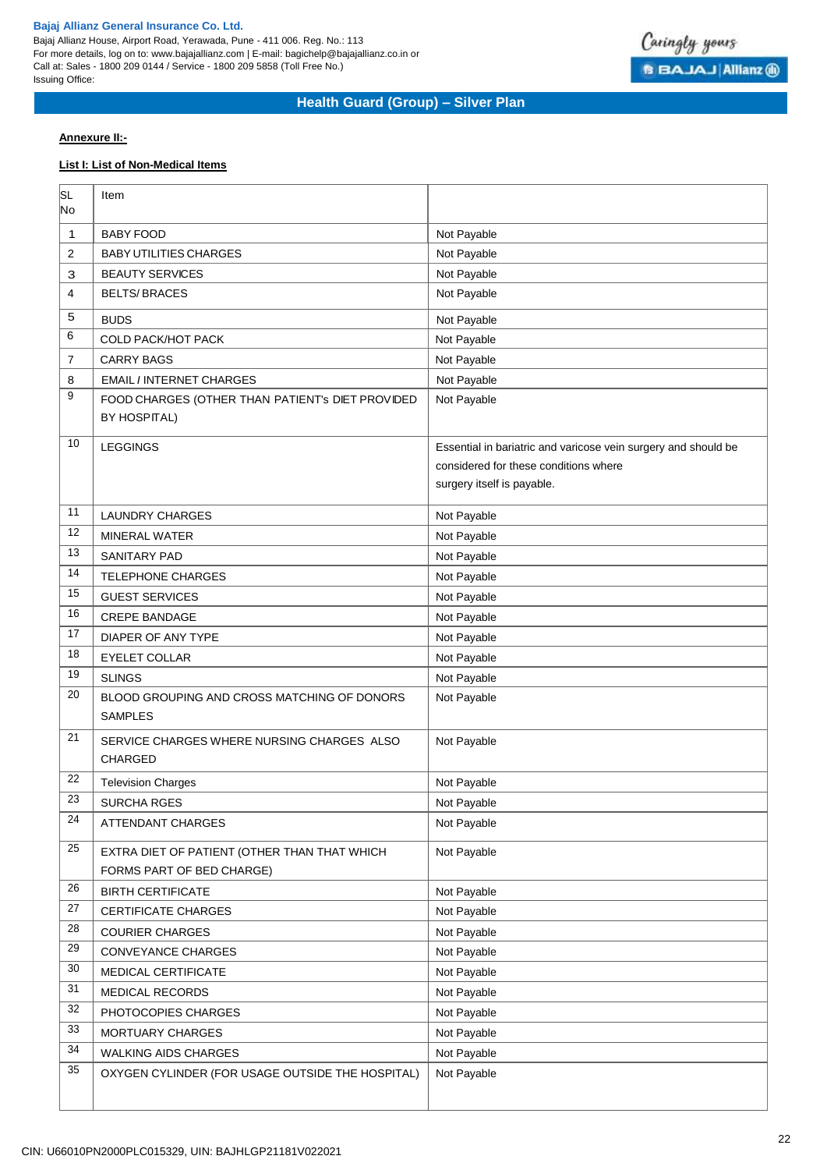Bajaj Allianz House, Airport Road, Yerawada, Pune - 411 006. Reg. No.: 113 For more details, log on to: www.bajajallianz.com | E-mail: bagichelp@bajajallianz.co.in or Call at: Sales - 1800 209 0144 / Service - 1800 209 5858 (Toll Free No.) Issuing Office:



# **Health Guard (Group) – Silver Plan**

# **Annexure II:-**

# **List I: List of Non-Medical Items**

| SL<br>No | Item                                                                      |                                                                |
|----------|---------------------------------------------------------------------------|----------------------------------------------------------------|
| 1        | <b>BABY FOOD</b>                                                          | Not Payable                                                    |
| 2        | <b>BABY UTILITIES CHARGES</b>                                             | Not Payable                                                    |
| З        | <b>BEAUTY SERVICES</b>                                                    | Not Payable                                                    |
| 4        | <b>BELTS/BRACES</b>                                                       | Not Payable                                                    |
| 5        | <b>BUDS</b>                                                               | Not Payable                                                    |
| 6        | <b>COLD PACK/HOT PACK</b>                                                 | Not Payable                                                    |
| 7        | <b>CARRY BAGS</b>                                                         | Not Payable                                                    |
| 8        | <b>EMAIL / INTERNET CHARGES</b>                                           | Not Payable                                                    |
| 9        | FOOD CHARGES (OTHER THAN PATIENT's DIET PROVIDED<br><b>BY HOSPITAL)</b>   | Not Payable                                                    |
| 10       | <b>LEGGINGS</b>                                                           | Essential in bariatric and varicose vein surgery and should be |
|          |                                                                           | considered for these conditions where                          |
|          |                                                                           | surgery itself is payable.                                     |
| 11       | <b>LAUNDRY CHARGES</b>                                                    | Not Payable                                                    |
| 12       | <b>MINERAL WATER</b>                                                      | Not Payable                                                    |
| 13       | <b>SANITARY PAD</b>                                                       | Not Payable                                                    |
| 14       | <b>TELEPHONE CHARGES</b>                                                  | Not Payable                                                    |
| 15       | <b>GUEST SERVICES</b>                                                     | Not Payable                                                    |
| 16       | <b>CREPE BANDAGE</b>                                                      | Not Payable                                                    |
| 17       | DIAPER OF ANY TYPE                                                        | Not Payable                                                    |
| 18       | <b>EYELET COLLAR</b>                                                      | Not Payable                                                    |
| 19       | <b>SLINGS</b>                                                             | Not Payable                                                    |
| 20       | BLOOD GROUPING AND CROSS MATCHING OF DONORS<br><b>SAMPLES</b>             | Not Payable                                                    |
| 21       | SERVICE CHARGES WHERE NURSING CHARGES ALSO<br><b>CHARGED</b>              | Not Payable                                                    |
| 22       | <b>Television Charges</b>                                                 | Not Payable                                                    |
| 23       | <b>SURCHA RGES</b>                                                        | Not Payable                                                    |
| 24       | <b>ATTENDANT CHARGES</b>                                                  | Not Payable                                                    |
| 25       | EXTRA DIET OF PATIENT (OTHER THAN THAT WHICH<br>FORMS PART OF BED CHARGE) | Not Payable                                                    |
| 26       | <b>BIRTH CERTIFICATE</b>                                                  | Not Payable                                                    |
| 27       | <b>CERTIFICATE CHARGES</b>                                                | Not Payable                                                    |
| 28       | <b>COURIER CHARGES</b>                                                    | Not Payable                                                    |
| 29       | CONVEYANCE CHARGES                                                        | Not Payable                                                    |
| 30       | MEDICAL CERTIFICATE                                                       | Not Payable                                                    |
| 31       | MEDICAL RECORDS                                                           | Not Payable                                                    |
| 32       | PHOTOCOPIES CHARGES                                                       | Not Payable                                                    |
| 33       | <b>MORTUARY CHARGES</b>                                                   | Not Payable                                                    |
| 34       | <b>WALKING AIDS CHARGES</b>                                               | Not Payable                                                    |
| 35       | OXYGEN CYLINDER (FOR USAGE OUTSIDE THE HOSPITAL)                          | Not Payable                                                    |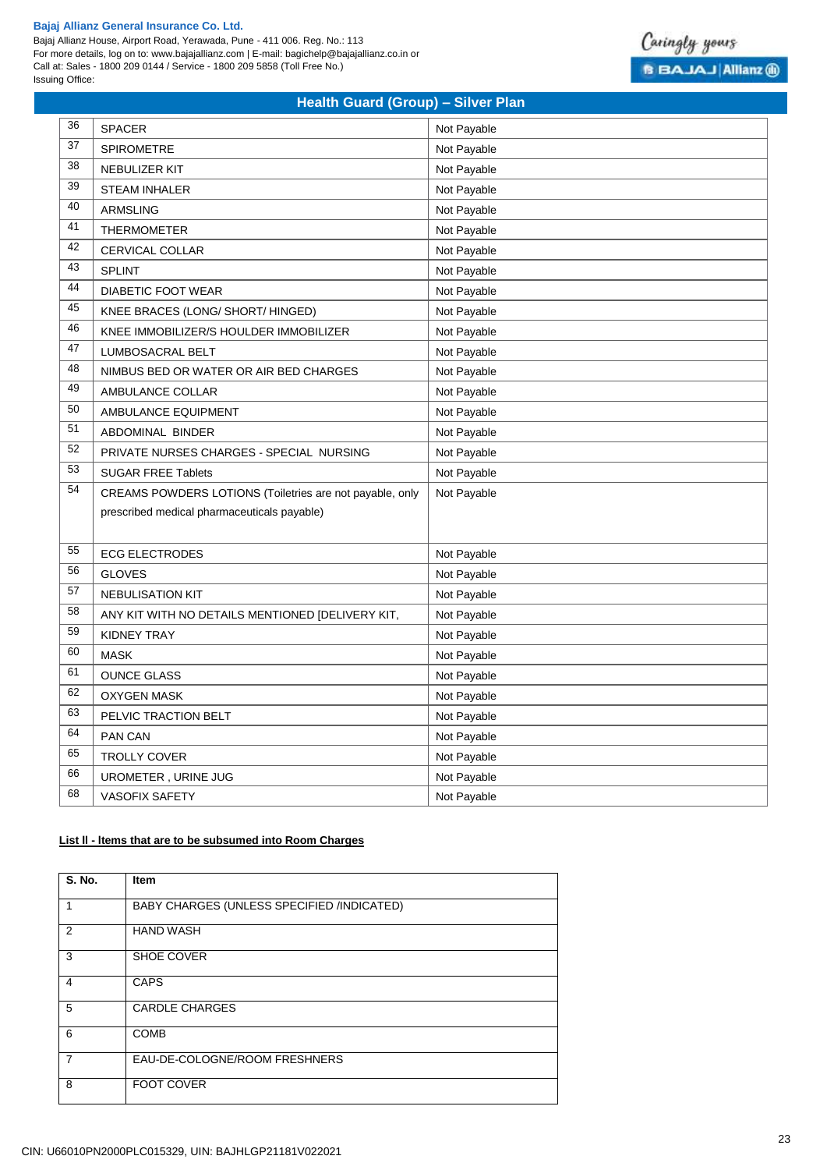Bajaj Allianz House, Airport Road, Yerawada, Pune - 411 006. Reg. No.: 113 For more details, log on to: www.bajajallianz.com | E-mail: bagichelp@bajajallianz.co.in or Call at: Sales - 1800 209 0144 / Service - 1800 209 5858 (Toll Free No.) Issuing Office:



# **Health Guard (Group) – Silver Plan**

| 36 | <b>SPACER</b>                                            | Not Payable |
|----|----------------------------------------------------------|-------------|
| 37 | SPIROMETRE                                               | Not Payable |
| 38 | <b>NEBULIZER KIT</b>                                     | Not Payable |
| 39 | <b>STEAM INHALER</b>                                     | Not Payable |
| 40 | <b>ARMSLING</b>                                          | Not Payable |
| 41 | <b>THERMOMETER</b>                                       | Not Payable |
| 42 | CERVICAL COLLAR                                          | Not Payable |
| 43 | <b>SPLINT</b>                                            | Not Payable |
| 44 | <b>DIABETIC FOOT WEAR</b>                                | Not Payable |
| 45 | KNEE BRACES (LONG/ SHORT/ HINGED)                        | Not Payable |
| 46 | KNEE IMMOBILIZER/S HOULDER IMMOBILIZER                   | Not Payable |
| 47 | LUMBOSACRAL BELT                                         | Not Payable |
| 48 | NIMBUS BED OR WATER OR AIR BED CHARGES                   | Not Payable |
| 49 | AMBULANCE COLLAR                                         | Not Payable |
| 50 | AMBULANCE EQUIPMENT                                      | Not Payable |
| 51 | ABDOMINAL BINDER                                         | Not Payable |
| 52 | PRIVATE NURSES CHARGES - SPECIAL NURSING                 | Not Payable |
| 53 | <b>SUGAR FREE Tablets</b>                                | Not Payable |
| 54 | CREAMS POWDERS LOTIONS (Toiletries are not payable, only | Not Payable |
|    | prescribed medical pharmaceuticals payable)              |             |
|    |                                                          |             |
| 55 | <b>ECG ELECTRODES</b>                                    | Not Payable |
| 56 | <b>GLOVES</b>                                            | Not Payable |
| 57 | <b>NEBULISATION KIT</b>                                  | Not Payable |
| 58 | ANY KIT WITH NO DETAILS MENTIONED [DELIVERY KIT,         | Not Payable |
| 59 | <b>KIDNEY TRAY</b>                                       | Not Payable |
| 60 | <b>MASK</b>                                              | Not Payable |
| 61 | <b>OUNCE GLASS</b>                                       | Not Payable |
| 62 | <b>OXYGEN MASK</b>                                       | Not Payable |
| 63 | PELVIC TRACTION BELT                                     | Not Payable |
| 64 | PAN CAN                                                  | Not Payable |
| 65 | <b>TROLLY COVER</b>                                      | Not Payable |
| 66 | UROMETER, URINE JUG                                      | Not Payable |
| 68 | <b>VASOFIX SAFETY</b>                                    | Not Payable |

# **List ll - ltems that are to be subsumed into Room Charges**

| <b>S. No.</b>  | Item                                       |
|----------------|--------------------------------------------|
| 1              | BABY CHARGES (UNLESS SPECIFIED /INDICATED) |
| $\overline{2}$ | <b>HAND WASH</b>                           |
| 3              | SHOE COVER                                 |
| 4              | <b>CAPS</b>                                |
| 5              | <b>CARDLE CHARGES</b>                      |
| 6              | <b>COMB</b>                                |
| 7              | EAU-DE-COLOGNE/ROOM FRESHNERS              |
| 8              | <b>FOOT COVER</b>                          |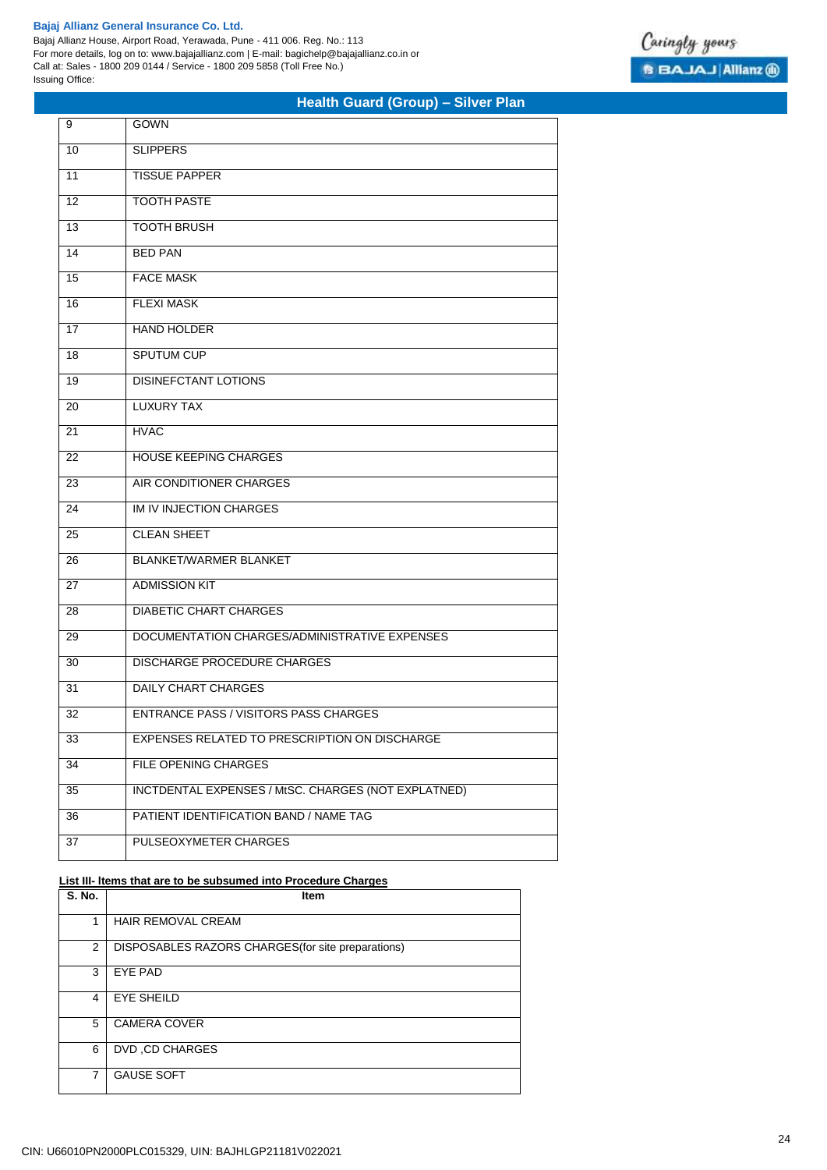Bajaj Allianz House, Airport Road, Yerawada, Pune - 411 006. Reg. No.: 113 For more details, log on to: www.bajajallianz.com | E-mail: bagichelp@bajajallianz.co.in or Call at: Sales - 1800 209 0144 / Service - 1800 209 5858 (Toll Free No.) Issuing Office:

# **Health Guard (Group) – Silver Plan**

| 9   | GOWN                                                |
|-----|-----------------------------------------------------|
| 10  | <b>SLIPPERS</b>                                     |
| 11  | <b>TISSUE PAPPER</b>                                |
| 12  | <b>TOOTH PASTE</b>                                  |
| 13  | <b>TOOTH BRUSH</b>                                  |
| 14  | <b>BED PAN</b>                                      |
| 15  | <b>FACE MASK</b>                                    |
| 16  | <b>FLEXI MASK</b>                                   |
| 17  | <b>HAND HOLDER</b>                                  |
| 18  | <b>SPUTUM CUP</b>                                   |
| 19  | <b>DISINEFCTANT LOTIONS</b>                         |
| 20  | <b>LUXURY TAX</b>                                   |
| 21  | <b>HVAC</b>                                         |
| 22  | <b>HOUSE KEEPING CHARGES</b>                        |
| 23  | AIR CONDITIONER CHARGES                             |
| 24  | IM IV INJECTION CHARGES                             |
| 25  | <b>CLEAN SHEET</b>                                  |
| 26  | <b>BLANKET/WARMER BLANKET</b>                       |
| 27  | <b>ADMISSION KIT</b>                                |
| 28  | <b>DIABETIC CHART CHARGES</b>                       |
| 29  | DOCUMENTATION CHARGES/ADMINISTRATIVE EXPENSES       |
| 30  | <b>DISCHARGE PROCEDURE CHARGES</b>                  |
| 31  | <b>DAILY CHART CHARGES</b>                          |
| 32  | <b>ENTRANCE PASS / VISITORS PASS CHARGES</b>        |
| -33 | EXPENSES RELATED TO PRESCRIPTION ON DISCHARGE       |
| 34  | FILE OPENING CHARGES                                |
| 35  | INCTDENTAL EXPENSES / MtSC. CHARGES (NOT EXPLATNED) |
| 36  | PATIENT IDENTIFICATION BAND / NAME TAG              |
| 37  | PULSEOXYMETER CHARGES                               |

# **List III- ltems that are to be subsumed into Procedure Charges**

| <b>S. No.</b>  | <b>Item</b>                                        |
|----------------|----------------------------------------------------|
| 1              | <b>HAIR REMOVAL CREAM</b>                          |
| $\overline{2}$ | DISPOSABLES RAZORS CHARGES (for site preparations) |
| 3              | <b>EYE PAD</b>                                     |
| 4              | <b>EYE SHEILD</b>                                  |
| 5              | <b>CAMERA COVER</b>                                |
| 6              | DVD, CD CHARGES                                    |
| 7              | <b>GAUSE SOFT</b>                                  |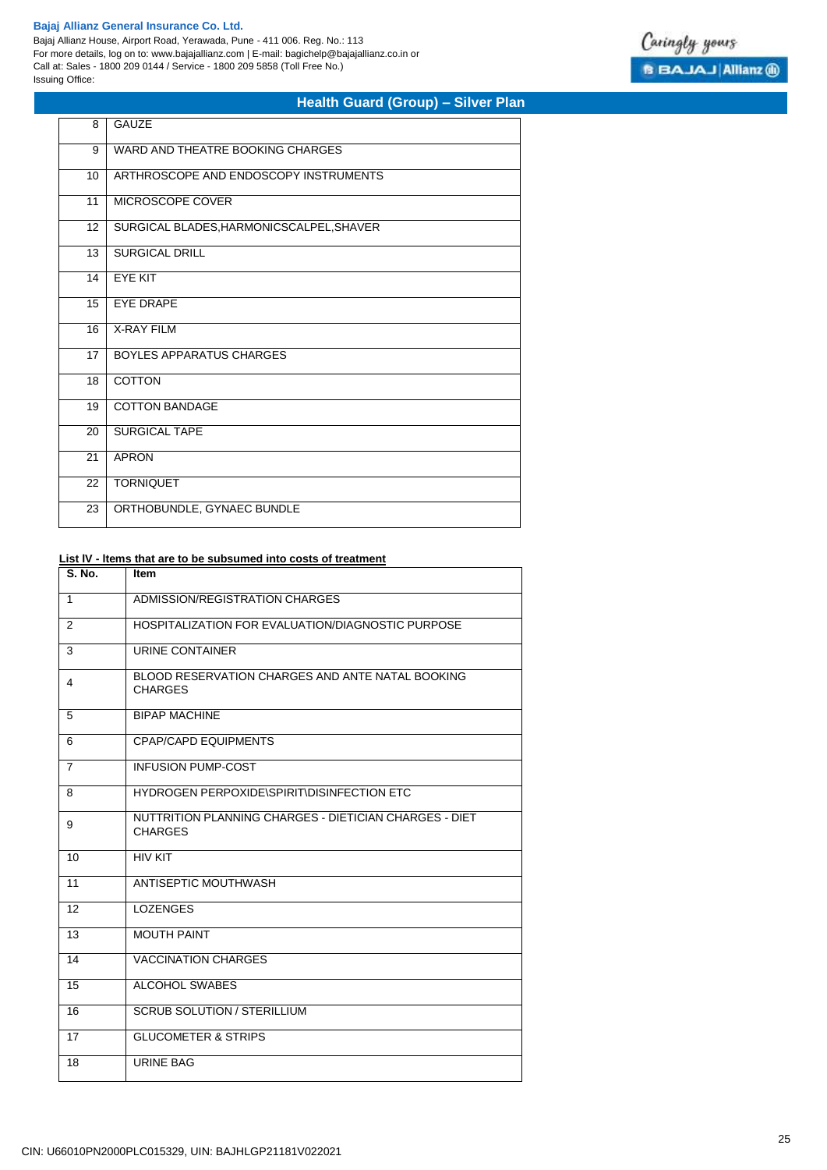Bajaj Allianz House, Airport Road, Yerawada, Pune - 411 006. Reg. No.: 113 For more details, log on to: www.bajajallianz.com | E-mail: bagichelp@bajajallianz.co.in or Call at: Sales - 1800 209 0144 / Service - 1800 209 5858 (Toll Free No.) Issuing Office:



# **Health Guard (Group) – Silver Plan**

| 8               | <b>GAUZE</b>                             |
|-----------------|------------------------------------------|
| 9               | WARD AND THEATRE BOOKING CHARGES         |
| 10              | ARTHROSCOPE AND ENDOSCOPY INSTRUMENTS    |
| 11              | MICROSCOPE COVER                         |
| 12 <sup>2</sup> | SURGICAL BLADES, HARMONICSCALPEL, SHAVER |
| 13              | <b>SURGICAL DRILL</b>                    |
| 14              | <b>EYE KIT</b>                           |
| 15              | <b>EYE DRAPE</b>                         |
| 16              | <b>X-RAY FILM</b>                        |
| 17              | <b>BOYLES APPARATUS CHARGES</b>          |
| 18              | <b>COTTON</b>                            |
| 19              | <b>COTTON BANDAGE</b>                    |
| 20              | <b>SURGICAL TAPE</b>                     |
| 21              | <b>APRON</b>                             |
| 22              | <b>TORNIQUET</b>                         |
| 23              | ORTHOBUNDLE, GYNAEC BUNDLE               |

# **List lV - ltems that are to be subsumed into costs of treatment**

| S. No.         | Item                                                                     |
|----------------|--------------------------------------------------------------------------|
| 1              | ADMISSION/REGISTRATION CHARGES                                           |
| 2              | HOSPITALIZATION FOR EVALUATION/DIAGNOSTIC PURPOSE                        |
| 3              | URINE CONTAINER                                                          |
| 4              | BLOOD RESERVATION CHARGES AND ANTE NATAL BOOKING<br><b>CHARGES</b>       |
| 5              | <b>BIPAP MACHINE</b>                                                     |
| 6              | <b>CPAP/CAPD EQUIPMENTS</b>                                              |
| $\overline{7}$ | <b>INFUSION PUMP-COST</b>                                                |
| 8              | HYDROGEN PERPOXIDE\SPIRIT\DISINFECTION ETC                               |
| 9              | NUTTRITION PLANNING CHARGES - DIETICIAN CHARGES - DIET<br><b>CHARGES</b> |
| 10             | <b>HIV KIT</b>                                                           |
| 11             | ANTISEPTIC MOUTHWASH                                                     |
| 12             | <b>LOZENGES</b>                                                          |
| 13             | <b>MOUTH PAINT</b>                                                       |
| 14             | <b>VACCINATION CHARGES</b>                                               |
| 15             | <b>ALCOHOL SWABES</b>                                                    |
| 16             | <b>SCRUB SOLUTION / STERILLIUM</b>                                       |
| 17             | <b>GLUCOMETER &amp; STRIPS</b>                                           |
| 18             | <b>URINE BAG</b>                                                         |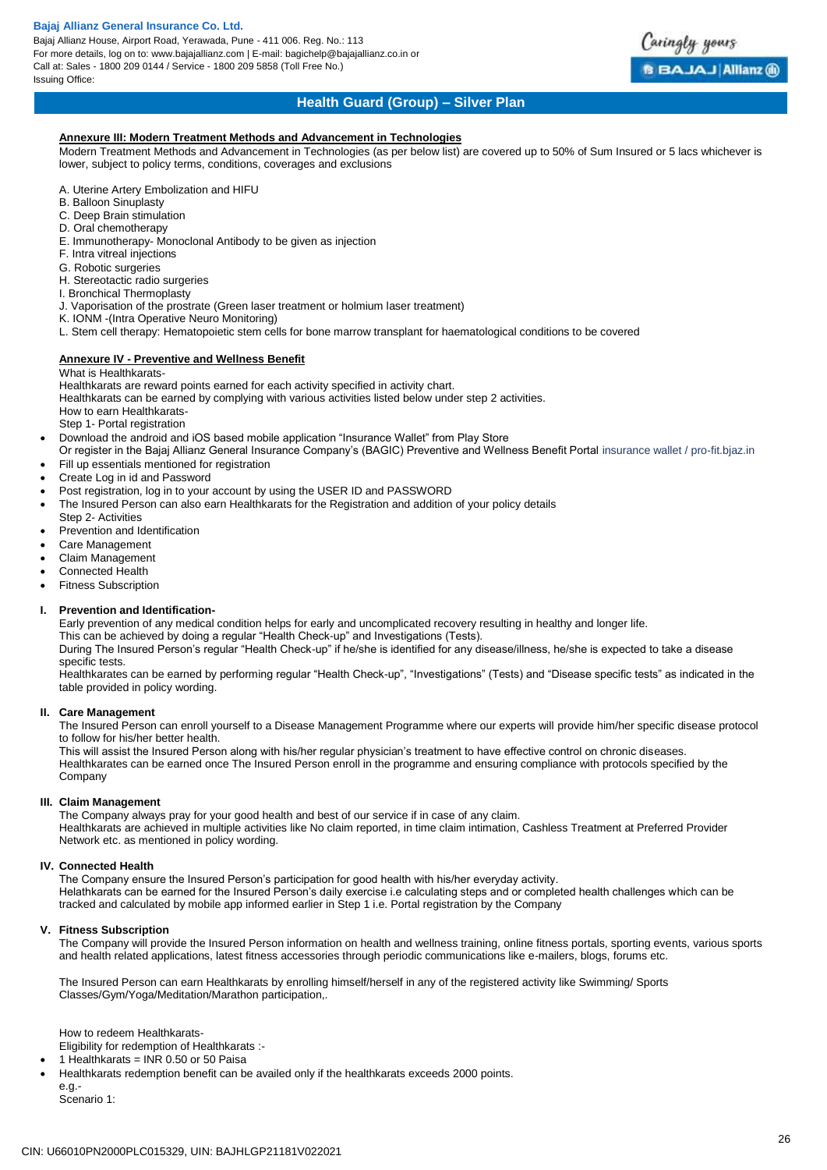Bajaj Allianz House, Airport Road, Yerawada, Pune - 411 006. Reg. No.: 113 For more details, log on to: www.bajajallianz.com | E-mail: bagichelp@bajajallianz.co.in or Call at: Sales - 1800 209 0144 / Service - 1800 209 5858 (Toll Free No.) Issuing Office:



### **Health Guard (Group) – Silver Plan**

### **Annexure III: Modern Treatment Methods and Advancement in Technologies**

Modern Treatment Methods and Advancement in Technologies (as per below list) are covered up to 50% of Sum Insured or 5 lacs whichever is lower, subject to policy terms, conditions, coverages and exclusions

- A. Uterine Artery Embolization and HIFU
- B. Balloon Sinuplasty
- C. Deep Brain stimulation
- D. Oral chemotherapy
- E. Immunotherapy- Monoclonal Antibody to be given as injection
- F. Intra vitreal injections
- G. Robotic surgeries
- H. Stereotactic radio surgeries
- I. Bronchical Thermoplasty
- J. Vaporisation of the prostrate (Green laser treatment or holmium laser treatment)
- K. IONM -(Intra Operative Neuro Monitoring)
- L. Stem cell therapy: Hematopoietic stem cells for bone marrow transplant for haematological conditions to be covered

### **Annexure IV - Preventive and Wellness Benefit**

#### What is Healthkarats-

Healthkarats are reward points earned for each activity specified in activity chart.

Healthkarats can be earned by complying with various activities listed below under step 2 activities.

How to earn Healthkarats-

Step 1- Portal registration

- Download the android and iOS based mobile application "Insurance Wallet" from Play Store
- Or register in the Bajaj Allianz General Insurance Company's (BAGIC) Preventive and Wellness Benefit Portal insurance wallet / pro-fit.bjaz.in Fill up essentials mentioned for registration
- Create Log in id and Password
- Post registration, log in to your account by using the USER ID and PASSWORD
- The Insured Person can also earn Healthkarats for the Registration and addition of your policy details
- Step 2- Activities
- Prevention and Identification
- Care Management
- Claim Management
- Connected Health
- Fitness Subscription

#### **I. Prevention and Identification-**

Early prevention of any medical condition helps for early and uncomplicated recovery resulting in healthy and longer life. This can be achieved by doing a regular "Health Check-up" and Investigations (Tests).

During The Insured Person's regular "Health Check-up" if he/she is identified for any disease/illness, he/she is expected to take a disease specific tests.

Healthkarates can be earned by performing regular "Health Check-up", "Investigations" (Tests) and "Disease specific tests" as indicated in the table provided in policy wording.

#### **II. Care Management**

The Insured Person can enroll yourself to a Disease Management Programme where our experts will provide him/her specific disease protocol to follow for his/her better health.

This will assist the Insured Person along with his/her regular physician's treatment to have effective control on chronic diseases. Healthkarates can be earned once The Insured Person enroll in the programme and ensuring compliance with protocols specified by the **Company** 

#### **III. Claim Management**

The Company always pray for your good health and best of our service if in case of any claim. Healthkarats are achieved in multiple activities like No claim reported, in time claim intimation, Cashless Treatment at Preferred Provider Network etc. as mentioned in policy wording.

#### **IV. Connected Health**

The Company ensure the Insured Person's participation for good health with his/her everyday activity. Helathkarats can be earned for the Insured Person's daily exercise i.e calculating steps and or completed health challenges which can be tracked and calculated by mobile app informed earlier in Step 1 i.e. Portal registration by the Company

#### **V. Fitness Subscription**

The Company will provide the Insured Person information on health and wellness training, online fitness portals, sporting events, various sports and health related applications, latest fitness accessories through periodic communications like e-mailers, blogs, forums etc.

The Insured Person can earn Healthkarats by enrolling himself/herself in any of the registered activity like Swimming/ Sports Classes/Gym/Yoga/Meditation/Marathon participation,.

How to redeem Healthkarats-

Eligibility for redemption of Healthkarats :-

- 1 Healthkarats = INR 0.50 or 50 Paisa
- Healthkarats redemption benefit can be availed only if the healthkarats exceeds 2000 points.

e.g.- Scenario 1: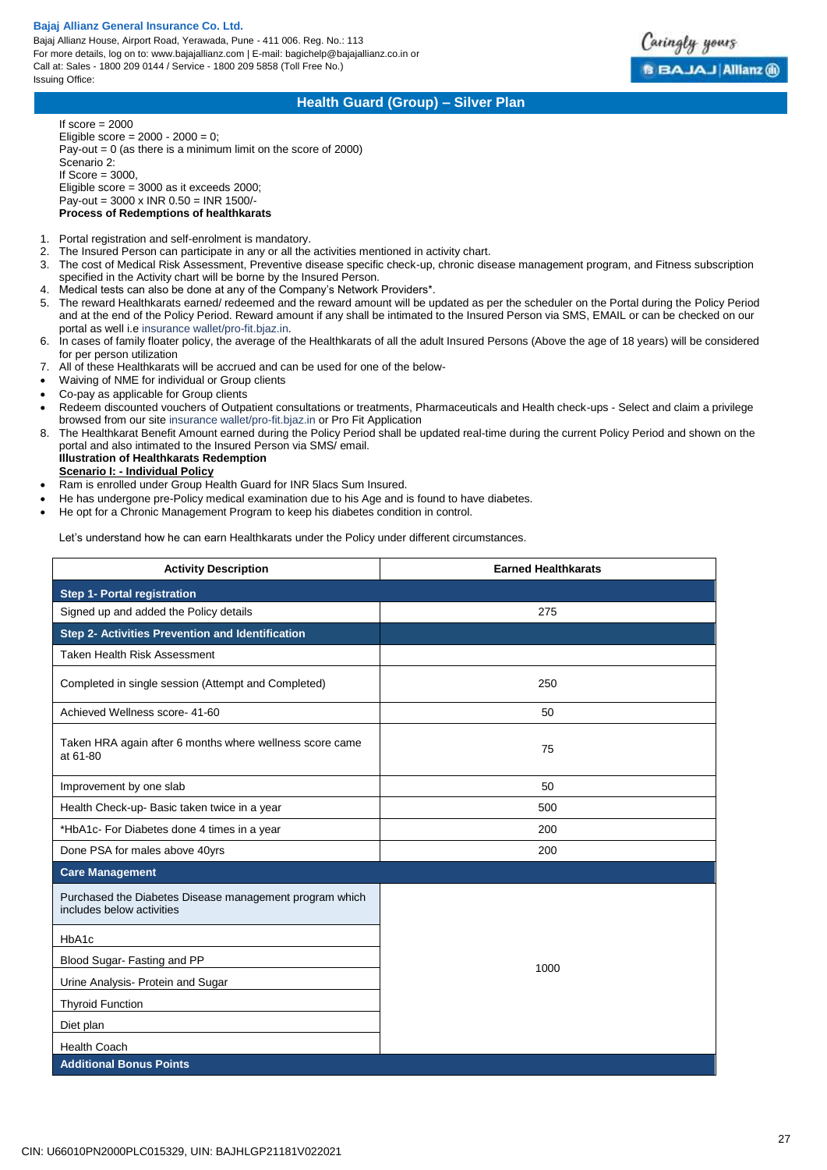Bajaj Allianz House, Airport Road, Yerawada, Pune - 411 006. Reg. No.: 113 For more details, log on to: www.bajajallianz.com | E-mail: bagichelp@bajajallianz.co.in or Call at: Sales - 1800 209 0144 / Service - 1800 209 5858 (Toll Free No.) Issuing Office:



# **Health Guard (Group) – Silver Plan**

If score  $= 2000$ Eligible score =  $2000 - 2000 = 0$ ; Pay-out = 0 (as there is a minimum limit on the score of 2000) Scenario 2: If Score  $= 3000$ , Eligible score = 3000 as it exceeds 2000; Pay-out = 3000 x INR 0.50 = INR 1500/- **Process of Redemptions of healthkarats**

- 1. Portal registration and self-enrolment is mandatory.
- 2. The Insured Person can participate in any or all the activities mentioned in activity chart.
- 3. The cost of Medical Risk Assessment, Preventive disease specific check-up, chronic disease management program, and Fitness subscription specified in the Activity chart will be borne by the Insured Person.
- 4. Medical tests can also be done at any of the Company's Network Providers\*.
- 5. The reward Healthkarats earned/ redeemed and the reward amount will be updated as per the scheduler on the Portal during the Policy Period and at the end of the Policy Period. Reward amount if any shall be intimated to the Insured Person via SMS, EMAIL or can be checked on our portal as well i.e insurance wallet/pro-fit.bjaz.in.
- 6. In cases of family floater policy, the average of the Healthkarats of all the adult Insured Persons (Above the age of 18 years) will be considered for per person utilization
- 7. All of these Healthkarats will be accrued and can be used for one of the below-
- Waiving of NME for individual or Group clients
- Co-pay as applicable for Group clients
- Redeem discounted vouchers of Outpatient consultations or treatments, Pharmaceuticals and Health check-ups Select and claim a privilege browsed from our site insurance wallet/pro-fit.bjaz.in or Pro Fit Application
- 8. The Healthkarat Benefit Amount earned during the Policy Period shall be updated real-time during the current Policy Period and shown on the portal and also intimated to the Insured Person via SMS/ email.

#### **Illustration of Healthkarats Redemption Scenario I: - Individual Policy**

- 
- Ram is enrolled under Group Health Guard for INR 5lacs Sum Insured.
- He has undergone pre-Policy medical examination due to his Age and is found to have diabetes.
- He opt for a Chronic Management Program to keep his diabetes condition in control.

Let's understand how he can earn Healthkarats under the Policy under different circumstances.

| <b>Activity Description</b>                                                          | <b>Earned Healthkarats</b> |  |
|--------------------------------------------------------------------------------------|----------------------------|--|
| <b>Step 1- Portal registration</b>                                                   |                            |  |
| Signed up and added the Policy details                                               | 275                        |  |
| Step 2- Activities Prevention and Identification                                     |                            |  |
| <b>Taken Health Risk Assessment</b>                                                  |                            |  |
| Completed in single session (Attempt and Completed)                                  | 250                        |  |
| Achieved Wellness score- 41-60                                                       | 50                         |  |
| Taken HRA again after 6 months where wellness score came<br>at 61-80                 | 75                         |  |
| Improvement by one slab                                                              | 50                         |  |
| Health Check-up- Basic taken twice in a year                                         | 500                        |  |
| *HbA1c- For Diabetes done 4 times in a year                                          | 200                        |  |
| Done PSA for males above 40yrs                                                       | 200                        |  |
| <b>Care Management</b>                                                               |                            |  |
| Purchased the Diabetes Disease management program which<br>includes below activities |                            |  |
| HbA1c                                                                                |                            |  |
| Blood Sugar-Fasting and PP                                                           | 1000                       |  |
| Urine Analysis- Protein and Sugar                                                    |                            |  |
| <b>Thyroid Function</b>                                                              |                            |  |
| Diet plan                                                                            |                            |  |
| <b>Health Coach</b>                                                                  |                            |  |
| <b>Additional Bonus Points</b>                                                       |                            |  |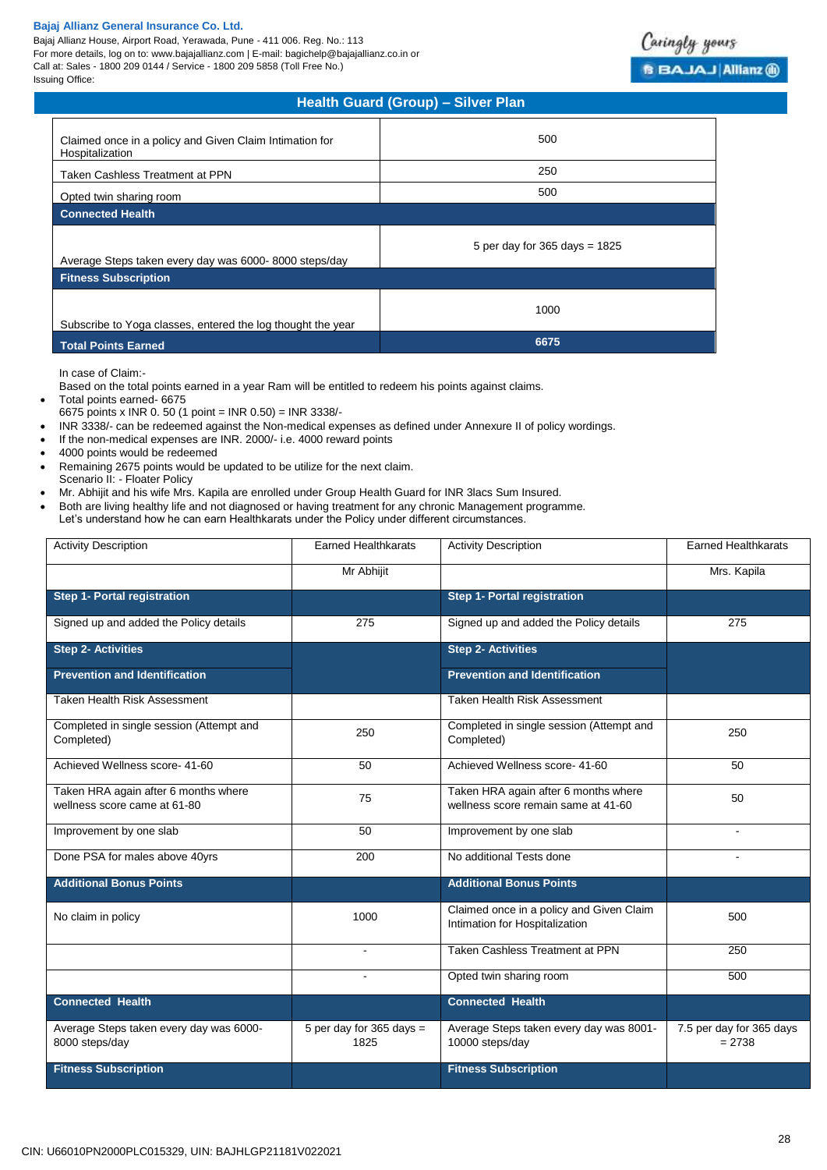Bajaj Allianz House, Airport Road, Yerawada, Pune - 411 006. Reg. No.: 113 For more details, log on to: www.bajajallianz.com | E-mail: bagichelp@bajajallianz.co.in or Call at: Sales - 1800 209 0144 / Service - 1800 209 5858 (Toll Free No.) Issuing Office:



| Health Guard (Group) - Silver Plan                                         |                                   |  |
|----------------------------------------------------------------------------|-----------------------------------|--|
| Claimed once in a policy and Given Claim Intimation for<br>Hospitalization | 500                               |  |
| Taken Cashless Treatment at PPN                                            | 250                               |  |
| Opted twin sharing room                                                    | 500                               |  |
| <b>Connected Health</b>                                                    |                                   |  |
| Average Steps taken every day was 6000-8000 steps/day                      | 5 per day for $365$ days = $1825$ |  |
| <b>Fitness Subscription</b>                                                |                                   |  |
| Subscribe to Yoga classes, entered the log thought the year                | 1000                              |  |
| <b>Total Points Earned</b>                                                 | 6675                              |  |

In case of Claim:-

Based on the total points earned in a year Ram will be entitled to redeem his points against claims.

Total points earned- 6675

- 6675 points x INR 0. 50 (1 point = INR 0.50) = INR 3338/-
- INR 3338/- can be redeemed against the Non-medical expenses as defined under Annexure II of policy wordings.
- If the non-medical expenses are INR. 2000/- i.e. 4000 reward points
- 4000 points would be redeemed
- Remaining 2675 points would be updated to be utilize for the next claim.
- Scenario II: Floater Policy
- Mr. Abhijit and his wife Mrs. Kapila are enrolled under Group Health Guard for INR 3lacs Sum Insured.
- Both are living healthy life and not diagnosed or having treatment for any chronic Management programme.
- Let's understand how he can earn Healthkarats under the Policy under different circumstances.

| <b>Activity Description</b>                                          | <b>Earned Healthkarats</b>         | <b>Activity Description</b>                                                 | <b>Earned Healthkarats</b>           |
|----------------------------------------------------------------------|------------------------------------|-----------------------------------------------------------------------------|--------------------------------------|
|                                                                      | Mr Abhijit                         |                                                                             | Mrs. Kapila                          |
| <b>Step 1- Portal registration</b>                                   |                                    | <b>Step 1- Portal registration</b>                                          |                                      |
| Signed up and added the Policy details                               | 275                                | Signed up and added the Policy details                                      | 275                                  |
| <b>Step 2- Activities</b>                                            |                                    | <b>Step 2- Activities</b>                                                   |                                      |
| <b>Prevention and Identification</b>                                 |                                    | <b>Prevention and Identification</b>                                        |                                      |
| Taken Health Risk Assessment                                         |                                    | Taken Health Risk Assessment                                                |                                      |
| Completed in single session (Attempt and<br>Completed)               | 250                                | Completed in single session (Attempt and<br>Completed)                      | 250                                  |
| Achieved Wellness score- 41-60                                       | 50                                 | Achieved Wellness score- 41-60                                              | 50                                   |
| Taken HRA again after 6 months where<br>wellness score came at 61-80 | 75                                 | Taken HRA again after 6 months where<br>wellness score remain same at 41-60 | 50                                   |
| Improvement by one slab                                              | $\overline{50}$                    | Improvement by one slab                                                     |                                      |
| Done PSA for males above 40yrs                                       | 200                                | No additional Tests done                                                    |                                      |
| <b>Additional Bonus Points</b>                                       |                                    | <b>Additional Bonus Points</b>                                              |                                      |
| No claim in policy                                                   | 1000                               | Claimed once in a policy and Given Claim<br>Intimation for Hospitalization  | 500                                  |
|                                                                      | $\overline{a}$                     | Taken Cashless Treatment at PPN                                             | 250                                  |
|                                                                      | $\sim$                             | Opted twin sharing room                                                     | 500                                  |
| <b>Connected Health</b>                                              |                                    | <b>Connected Health</b>                                                     |                                      |
| Average Steps taken every day was 6000-<br>8000 steps/day            | 5 per day for $365$ days =<br>1825 | Average Steps taken every day was 8001-<br>10000 steps/day                  | 7.5 per day for 365 days<br>$= 2738$ |
| <b>Fitness Subscription</b>                                          |                                    | <b>Fitness Subscription</b>                                                 |                                      |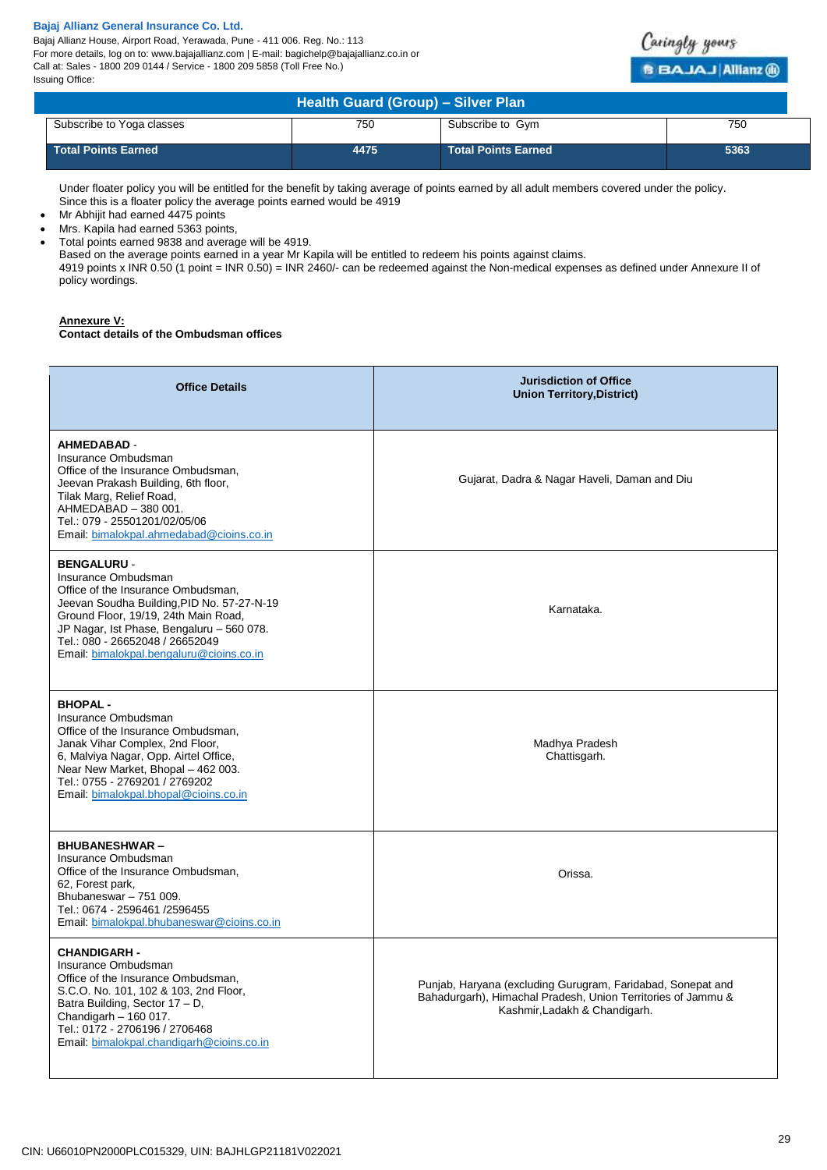Bajaj Allianz House, Airport Road, Yerawada, Pune - 411 006. Reg. No.: 113 For more details, log on to: www.bajajallianz.com | E-mail: bagichelp@bajajallianz.co.in or Call at: Sales - 1800 209 0144 / Service - 1800 209 5858 (Toll Free No.) Issuing Office:



| Health Guard (Group) - Silver Plan |      |                            |      |
|------------------------------------|------|----------------------------|------|
| Subscribe to Yoga classes          | 750  | Subscribe to Gym           | 750  |
| <b>Total Points Earned</b>         | 4475 | <b>Total Points Earned</b> | 5363 |

Under floater policy you will be entitled for the benefit by taking average of points earned by all adult members covered under the policy. Since this is a floater policy the average points earned would be 4919

- Mr Abhijit had earned 4475 points
- Mrs. Kapila had earned 5363 points,
- Total points earned 9838 and average will be 4919.

Based on the average points earned in a year Mr Kapila will be entitled to redeem his points against claims.

4919 points x INR 0.50 (1 point = INR 0.50) = INR 2460/- can be redeemed against the Non-medical expenses as defined under Annexure II of policy wordings.

# **Annexure V:**

**Contact details of the Ombudsman offices**

| <b>Office Details</b>                                                                                                                                                                                                                                                                             | <b>Jurisdiction of Office</b><br><b>Union Territory, District)</b>                                                                                           |
|---------------------------------------------------------------------------------------------------------------------------------------------------------------------------------------------------------------------------------------------------------------------------------------------------|--------------------------------------------------------------------------------------------------------------------------------------------------------------|
| <b>AHMEDABAD -</b><br>Insurance Ombudsman<br>Office of the Insurance Ombudsman,<br>Jeevan Prakash Building, 6th floor,<br>Tilak Marg, Relief Road,<br>AHMEDABAD - 380 001.<br>Tel.: 079 - 25501201/02/05/06<br>Email: bimalokpal.ahmedabad@cioins.co.in                                           | Gujarat, Dadra & Nagar Haveli, Daman and Diu                                                                                                                 |
| <b>BENGALURU -</b><br>Insurance Ombudsman<br>Office of the Insurance Ombudsman,<br>Jeevan Soudha Building, PID No. 57-27-N-19<br>Ground Floor, 19/19, 24th Main Road,<br>JP Nagar, Ist Phase, Bengaluru - 560 078.<br>Tel.: 080 - 26652048 / 26652049<br>Email: bimalokpal.bengaluru@cioins.co.in | Karnataka.                                                                                                                                                   |
| <b>BHOPAL-</b><br>Insurance Ombudsman<br>Office of the Insurance Ombudsman,<br>Janak Vihar Complex, 2nd Floor,<br>6, Malviya Nagar, Opp. Airtel Office,<br>Near New Market, Bhopal - 462 003.<br>Tel.: 0755 - 2769201 / 2769202<br>Email: bimalokpal.bhopal@cioins.co.in                          | Madhya Pradesh<br>Chattisgarh.                                                                                                                               |
| <b>BHUBANESHWAR-</b><br>Insurance Ombudsman<br>Office of the Insurance Ombudsman,<br>62, Forest park,<br>Bhubaneswar - 751 009.<br>Tel.: 0674 - 2596461 /2596455<br>Email: bimalokpal.bhubaneswar@cioins.co.in                                                                                    | Orissa.                                                                                                                                                      |
| <b>CHANDIGARH -</b><br>Insurance Ombudsman<br>Office of the Insurance Ombudsman,<br>S.C.O. No. 101, 102 & 103, 2nd Floor,<br>Batra Building, Sector 17 - D,<br>Chandigarh $-160017$ .<br>Tel.: 0172 - 2706196 / 2706468<br>Email: bimalokpal.chandigarh@cioins.co.in                              | Punjab, Haryana (excluding Gurugram, Faridabad, Sonepat and<br>Bahadurgarh), Himachal Pradesh, Union Territories of Jammu &<br>Kashmir, Ladakh & Chandigarh. |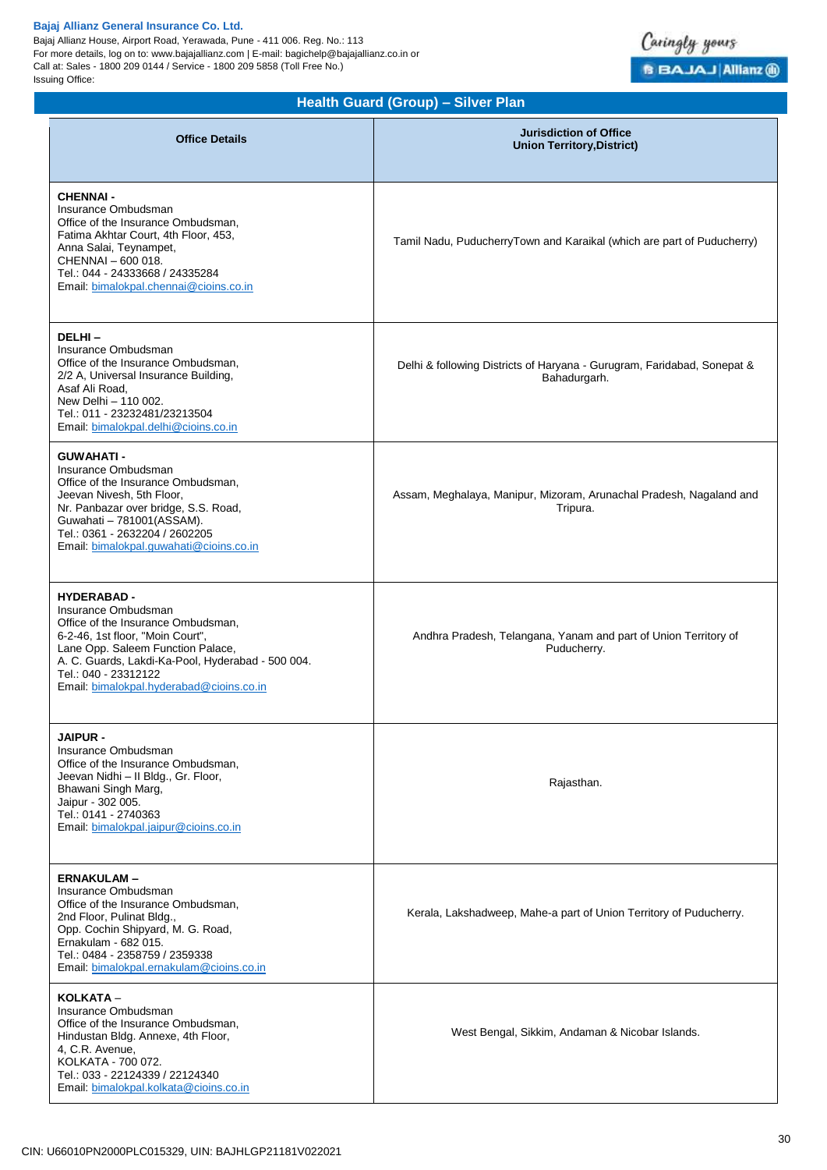Bajaj Allianz House, Airport Road, Yerawada, Pune - 411 006. Reg. No.: 113 For more details, log on to: www.bajajallianz.com | E-mail: bagichelp@bajajallianz.co.in or Call at: Sales - 1800 209 0144 / Service - 1800 209 5858 (Toll Free No.) Issuing Office:



# **Health Guard (Group) – Silver Plan**

| <b>Office Details</b>                                                                                                                                                                                                                                                             | <b>Jurisdiction of Office</b><br><b>Union Territory, District)</b>                      |
|-----------------------------------------------------------------------------------------------------------------------------------------------------------------------------------------------------------------------------------------------------------------------------------|-----------------------------------------------------------------------------------------|
| <b>CHENNAI -</b><br>Insurance Ombudsman<br>Office of the Insurance Ombudsman,<br>Fatima Akhtar Court, 4th Floor, 453,<br>Anna Salai, Teynampet,<br>CHENNAI - 600 018.<br>Tel.: 044 - 24333668 / 24335284<br>Email bimalokpal.chennai@cioins.co.in                                 | Tamil Nadu, PuducherryTown and Karaikal (which are part of Puducherry)                  |
| DELHI-<br>Insurance Ombudsman<br>Office of the Insurance Ombudsman,<br>2/2 A, Universal Insurance Building,<br>Asaf Ali Road,<br>New Delhi - 110 002.<br>Tel.: 011 - 23232481/23213504<br>Email: bimalokpal.delhi@cioins.co.in                                                    | Delhi & following Districts of Haryana - Gurugram, Faridabad, Sonepat &<br>Bahadurgarh. |
| <b>GUWAHATI -</b><br>Insurance Ombudsman<br>Office of the Insurance Ombudsman,<br>Jeevan Nivesh, 5th Floor,<br>Nr. Panbazar over bridge, S.S. Road,<br>Guwahati - 781001(ASSAM).<br>Tel.: 0361 - 2632204 / 2602205<br>Email. bimalokpal.guwahati@cioins.co.in                     | Assam, Meghalaya, Manipur, Mizoram, Arunachal Pradesh, Nagaland and<br>Tripura.         |
| <b>HYDERABAD -</b><br>Insurance Ombudsman<br>Office of the Insurance Ombudsman,<br>6-2-46, 1st floor, "Moin Court",<br>Lane Opp. Saleem Function Palace,<br>A. C. Guards, Lakdi-Ka-Pool, Hyderabad - 500 004.<br>Tel.: 040 - 23312122<br>Email: bimalokpal.hyderabad@cioins.co.in | Andhra Pradesh, Telangana, Yanam and part of Union Territory of<br>Puducherry.          |
| <b>JAIPUR -</b><br>Insurance Ombudsman<br>Office of the Insurance Ombudsman,<br>Jeevan Nidhi - Il Bldg., Gr. Floor,<br>Bhawani Singh Marg,<br>Jaipur - 302 005.<br>Tel.: 0141 - 2740363<br>Email: bimalokpal.jaipur@cioins.co.in                                                  | Rajasthan.                                                                              |
| <b>ERNAKULAM-</b><br>Insurance Ombudsman<br>Office of the Insurance Ombudsman,<br>2nd Floor, Pulinat Bldg.,<br>Opp. Cochin Shipyard, M. G. Road,<br>Ernakulam - 682 015.<br>Tel.: 0484 - 2358759 / 2359338<br>Email: bimalokpal.ernakulam@cioins.co.in                            | Kerala, Lakshadweep, Mahe-a part of Union Territory of Puducherry.                      |
| KOLKATA -<br>Insurance Ombudsman<br>Office of the Insurance Ombudsman,<br>Hindustan Bldg. Annexe, 4th Floor,<br>4, C.R. Avenue,<br>KOLKATA - 700 072.<br>Tel.: 033 - 22124339 / 22124340<br>Email: bimalokpal.kolkata@cioins.co.in                                                | West Bengal, Sikkim, Andaman & Nicobar Islands.                                         |